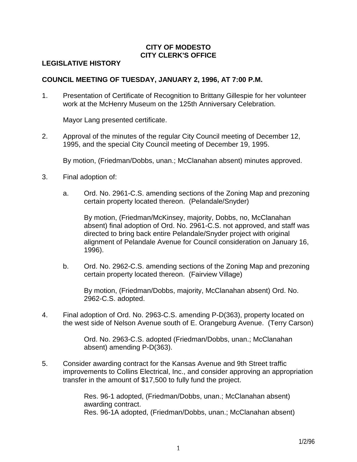# **CITY OF MODESTO CITY CLERK'S OFFICE**

## **LEGISLATIVE HISTORY**

#### **COUNCIL MEETING OF TUESDAY, JANUARY 2, 1996, AT 7:00 P.M.**

1. Presentation of Certificate of Recognition to Brittany Gillespie for her volunteer work at the McHenry Museum on the 125th Anniversary Celebration.

Mayor Lang presented certificate.

2. Approval of the minutes of the regular City Council meeting of December 12, 1995, and the special City Council meeting of December 19, 1995.

By motion, (Friedman/Dobbs, unan.; McClanahan absent) minutes approved.

- 3. Final adoption of:
	- a. Ord. No. 2961-C.S. amending sections of the Zoning Map and prezoning certain property located thereon. (Pelandale/Snyder)

 By motion, (Friedman/McKinsey, majority, Dobbs, no, McClanahan absent) final adoption of Ord. No. 2961-C.S. not approved, and staff was directed to bring back entire Pelandale/Snyder project with original alignment of Pelandale Avenue for Council consideration on January 16, 1996).

 b. Ord. No. 2962-C.S. amending sections of the Zoning Map and prezoning certain property located thereon. (Fairview Village)

 By motion, (Friedman/Dobbs, majority, McClanahan absent) Ord. No. 2962-C.S. adopted.

4. Final adoption of Ord. No. 2963-C.S. amending P-D(363), property located on the west side of Nelson Avenue south of E. Orangeburg Avenue. (Terry Carson)

> Ord. No. 2963-C.S. adopted (Friedman/Dobbs, unan.; McClanahan absent) amending P-D(363).

5. Consider awarding contract for the Kansas Avenue and 9th Street traffic improvements to Collins Electrical, Inc., and consider approving an appropriation transfer in the amount of \$17,500 to fully fund the project.

> Res. 96-1 adopted, (Friedman/Dobbs, unan.; McClanahan absent) awarding contract. Res. 96-1A adopted, (Friedman/Dobbs, unan.; McClanahan absent)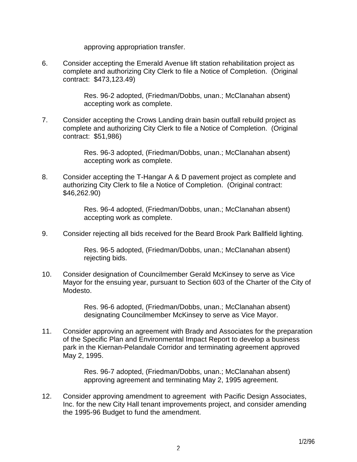approving appropriation transfer.

6. Consider accepting the Emerald Avenue lift station rehabilitation project as complete and authorizing City Clerk to file a Notice of Completion. (Original contract: \$473,123.49)

> Res. 96-2 adopted, (Friedman/Dobbs, unan.; McClanahan absent) accepting work as complete.

7. Consider accepting the Crows Landing drain basin outfall rebuild project as complete and authorizing City Clerk to file a Notice of Completion. (Original contract: \$51,986)

> Res. 96-3 adopted, (Friedman/Dobbs, unan.; McClanahan absent) accepting work as complete.

8. Consider accepting the T-Hangar A & D pavement project as complete and authorizing City Clerk to file a Notice of Completion. (Original contract: \$46,262.90)

> Res. 96-4 adopted, (Friedman/Dobbs, unan.; McClanahan absent) accepting work as complete.

9. Consider rejecting all bids received for the Beard Brook Park Ballfield lighting.

 Res. 96-5 adopted, (Friedman/Dobbs, unan.; McClanahan absent) rejecting bids.

10. Consider designation of Councilmember Gerald McKinsey to serve as Vice Mayor for the ensuing year, pursuant to Section 603 of the Charter of the City of Modesto.

> Res. 96-6 adopted, (Friedman/Dobbs, unan.; McClanahan absent) designating Councilmember McKinsey to serve as Vice Mayor.

11. Consider approving an agreement with Brady and Associates for the preparation of the Specific Plan and Environmental Impact Report to develop a business park in the Kiernan-Pelandale Corridor and terminating agreement approved May 2, 1995.

> Res. 96-7 adopted, (Friedman/Dobbs, unan.; McClanahan absent) approving agreement and terminating May 2, 1995 agreement.

12. Consider approving amendment to agreement with Pacific Design Associates, Inc. for the new City Hall tenant improvements project, and consider amending the 1995-96 Budget to fund the amendment.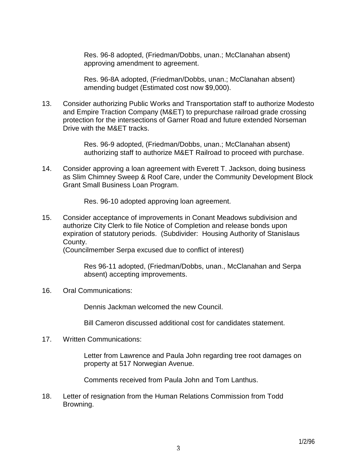Res. 96-8 adopted, (Friedman/Dobbs, unan.; McClanahan absent) approving amendment to agreement.

 Res. 96-8A adopted, (Friedman/Dobbs, unan.; McClanahan absent) amending budget (Estimated cost now \$9,000).

13. Consider authorizing Public Works and Transportation staff to authorize Modesto and Empire Traction Company (M&ET) to prepurchase railroad grade crossing protection for the intersections of Garner Road and future extended Norseman Drive with the M&ET tracks.

> Res. 96-9 adopted, (Friedman/Dobbs, unan.; McClanahan absent) authorizing staff to authorize M&ET Railroad to proceed with purchase.

14. Consider approving a loan agreement with Everett T. Jackson, doing business as Slim Chimney Sweep & Roof Care, under the Community Development Block Grant Small Business Loan Program.

Res. 96-10 adopted approving loan agreement.

15. Consider acceptance of improvements in Conant Meadows subdivision and authorize City Clerk to file Notice of Completion and release bonds upon expiration of statutory periods. (Subdivider: Housing Authority of Stanislaus County.

(Councilmember Serpa excused due to conflict of interest)

 Res 96-11 adopted, (Friedman/Dobbs, unan., McClanahan and Serpa absent) accepting improvements.

16. Oral Communications:

Dennis Jackman welcomed the new Council.

Bill Cameron discussed additional cost for candidates statement.

17. Written Communications:

 Letter from Lawrence and Paula John regarding tree root damages on property at 517 Norwegian Avenue.

Comments received from Paula John and Tom Lanthus.

18. Letter of resignation from the Human Relations Commission from Todd Browning.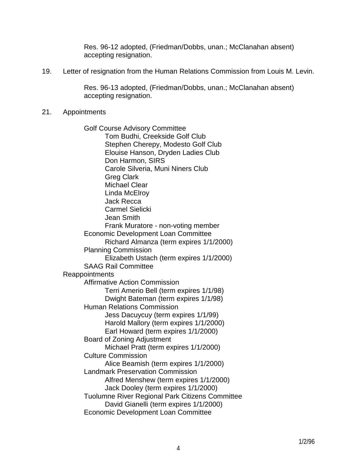Res. 96-12 adopted, (Friedman/Dobbs, unan.; McClanahan absent) accepting resignation.

19. Letter of resignation from the Human Relations Commission from Louis M. Levin.

 Res. 96-13 adopted, (Friedman/Dobbs, unan.; McClanahan absent) accepting resignation.

21. Appointments

 Golf Course Advisory Committee Tom Budhi, Creekside Golf Club Stephen Cherepy, Modesto Golf Club Elouise Hanson, Dryden Ladies Club Don Harmon, SIRS Carole Silveria, Muni Niners Club Greg Clark Michael Clear Linda McElroy Jack Recca Carmel Sielicki Jean Smith Frank Muratore - non-voting member Economic Development Loan Committee Richard Almanza (term expires 1/1/2000) Planning Commission Elizabeth Ustach (term expires 1/1/2000) SAAG Rail Committee Reappointments Affirmative Action Commission Terri Amerio Bell (term expires 1/1/98) Dwight Bateman (term expires 1/1/98) Human Relations Commission Jess Dacuycuy (term expires 1/1/99) Harold Mallory (term expires 1/1/2000) Earl Howard (term expires 1/1/2000) Board of Zoning Adjustment Michael Pratt (term expires 1/1/2000) Culture Commission Alice Beamish (term expires 1/1/2000) Landmark Preservation Commission Alfred Menshew (term expires 1/1/2000) Jack Dooley (term expires 1/1/2000) Tuolumne River Regional Park Citizens Committee David Gianelli (term expires 1/1/2000) Economic Development Loan Committee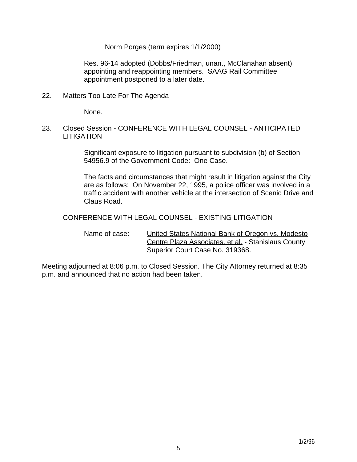Norm Porges (term expires 1/1/2000)

 Res. 96-14 adopted (Dobbs/Friedman, unan., McClanahan absent) appointing and reappointing members. SAAG Rail Committee appointment postponed to a later date.

22. Matters Too Late For The Agenda

None.

23. Closed Session - CONFERENCE WITH LEGAL COUNSEL - ANTICIPATED **LITIGATION** 

> Significant exposure to litigation pursuant to subdivision (b) of Section 54956.9 of the Government Code: One Case.

 The facts and circumstances that might result in litigation against the City are as follows: On November 22, 1995, a police officer was involved in a traffic accident with another vehicle at the intersection of Scenic Drive and Claus Road.

CONFERENCE WITH LEGAL COUNSEL - EXISTING LITIGATION

 Name of case: United States National Bank of Oregon vs. Modesto Centre Plaza Associates, et al. - Stanislaus County Superior Court Case No. 319368.

Meeting adjourned at 8:06 p.m. to Closed Session. The City Attorney returned at 8:35 p.m. and announced that no action had been taken.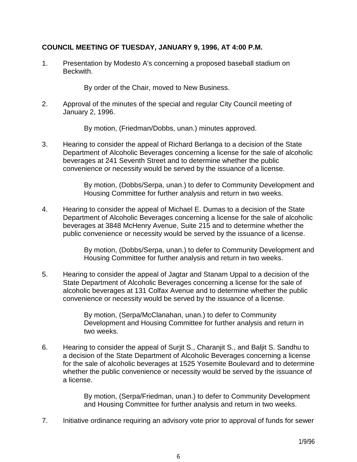## **COUNCIL MEETING OF TUESDAY, JANUARY 9, 1996, AT 4:00 P.M.**

1. Presentation by Modesto A's concerning a proposed baseball stadium on Beckwith.

By order of the Chair, moved to New Business.

2. Approval of the minutes of the special and regular City Council meeting of January 2, 1996.

By motion, (Friedman/Dobbs, unan.) minutes approved.

3. Hearing to consider the appeal of Richard Berlanga to a decision of the State Department of Alcoholic Beverages concerning a license for the sale of alcoholic beverages at 241 Seventh Street and to determine whether the public convenience or necessity would be served by the issuance of a license.

> By motion, (Dobbs/Serpa, unan.) to defer to Community Development and Housing Committee for further analysis and return in two weeks.

4. Hearing to consider the appeal of Michael E. Dumas to a decision of the State Department of Alcoholic Beverages concerning a license for the sale of alcoholic beverages at 3848 McHenry Avenue, Suite 215 and to determine whether the public convenience or necessity would be served by the issuance of a license.

> By motion, (Dobbs/Serpa, unan.) to defer to Community Development and Housing Committee for further analysis and return in two weeks.

5. Hearing to consider the appeal of Jagtar and Stanam Uppal to a decision of the State Department of Alcoholic Beverages concerning a license for the sale of alcoholic beverages at 131 Colfax Avenue and to determine whether the public convenience or necessity would be served by the issuance of a license.

> By motion, (Serpa/McClanahan, unan.) to defer to Community Development and Housing Committee for further analysis and return in two weeks.

6. Hearing to consider the appeal of Surjit S., Charanjit S., and Baljit S. Sandhu to a decision of the State Department of Alcoholic Beverages concerning a license for the sale of alcoholic beverages at 1525 Yosemite Boulevard and to determine whether the public convenience or necessity would be served by the issuance of a license.

> By motion, (Serpa/Friedman, unan.) to defer to Community Development and Housing Committee for further analysis and return in two weeks.

7. Initiative ordinance requiring an advisory vote prior to approval of funds for sewer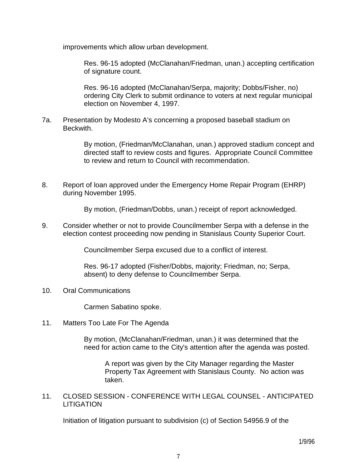improvements which allow urban development.

 Res. 96-15 adopted (McClanahan/Friedman, unan.) accepting certification of signature count.

 Res. 96-16 adopted (McClanahan/Serpa, majority; Dobbs/Fisher, no) ordering City Clerk to submit ordinance to voters at next regular municipal election on November 4, 1997.

7a. Presentation by Modesto A's concerning a proposed baseball stadium on Beckwith.

> By motion, (Friedman/McClanahan, unan.) approved stadium concept and directed staff to review costs and figures. Appropriate Council Committee to review and return to Council with recommendation.

8. Report of loan approved under the Emergency Home Repair Program (EHRP) during November 1995.

By motion, (Friedman/Dobbs, unan.) receipt of report acknowledged.

9. Consider whether or not to provide Councilmember Serpa with a defense in the election contest proceeding now pending in Stanislaus County Superior Court.

Councilmember Serpa excused due to a conflict of interest.

 Res. 96-17 adopted (Fisher/Dobbs, majority; Friedman, no; Serpa, absent) to deny defense to Councilmember Serpa.

10. Oral Communications

Carmen Sabatino spoke.

11. Matters Too Late For The Agenda

 By motion, (McClanahan/Friedman, unan.) it was determined that the need for action came to the City's attention after the agenda was posted.

 A report was given by the City Manager regarding the Master Property Tax Agreement with Stanislaus County. No action was taken.

11. CLOSED SESSION - CONFERENCE WITH LEGAL COUNSEL - ANTICIPATED **LITIGATION** 

Initiation of litigation pursuant to subdivision (c) of Section 54956.9 of the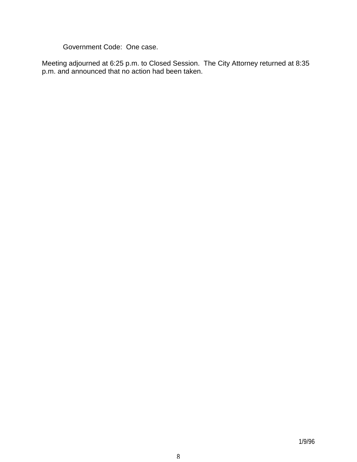Government Code: One case.

Meeting adjourned at 6:25 p.m. to Closed Session. The City Attorney returned at 8:35 p.m. and announced that no action had been taken.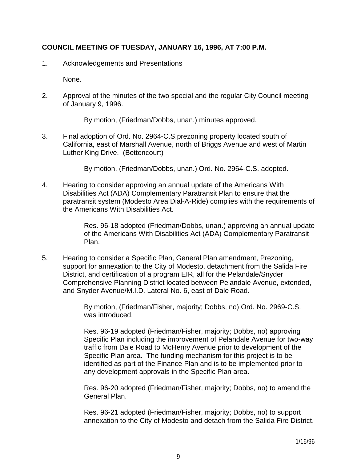## **COUNCIL MEETING OF TUESDAY, JANUARY 16, 1996, AT 7:00 P.M.**

1. Acknowledgements and Presentations

None.

2. Approval of the minutes of the two special and the regular City Council meeting of January 9, 1996.

By motion, (Friedman/Dobbs, unan.) minutes approved.

3. Final adoption of Ord. No. 2964-C.S.prezoning property located south of California, east of Marshall Avenue, north of Briggs Avenue and west of Martin Luther King Drive. (Bettencourt)

By motion, (Friedman/Dobbs, unan.) Ord. No. 2964-C.S. adopted.

4. Hearing to consider approving an annual update of the Americans With Disabilities Act (ADA) Complementary Paratransit Plan to ensure that the paratransit system (Modesto Area Dial-A-Ride) complies with the requirements of the Americans With Disabilities Act.

> Res. 96-18 adopted (Friedman/Dobbs, unan.) approving an annual update of the Americans With Disabilities Act (ADA) Complementary Paratransit Plan.

5. Hearing to consider a Specific Plan, General Plan amendment, Prezoning, support for annexation to the City of Modesto, detachment from the Salida Fire District, and certification of a program EIR, all for the Pelandale/Snyder Comprehensive Planning District located between Pelandale Avenue, extended, and Snyder Avenue/M.I.D. Lateral No. 6, east of Dale Road.

> By motion, (Friedman/Fisher, majority; Dobbs, no) Ord. No. 2969-C.S. was introduced.

 Res. 96-19 adopted (Friedman/Fisher, majority; Dobbs, no) approving Specific Plan including the improvement of Pelandale Avenue for two-way traffic from Dale Road to McHenry Avenue prior to development of the Specific Plan area. The funding mechanism for this project is to be identified as part of the Finance Plan and is to be implemented prior to any development approvals in the Specific Plan area.

 Res. 96-20 adopted (Friedman/Fisher, majority; Dobbs, no) to amend the General Plan.

 Res. 96-21 adopted (Friedman/Fisher, majority; Dobbs, no) to support annexation to the City of Modesto and detach from the Salida Fire District.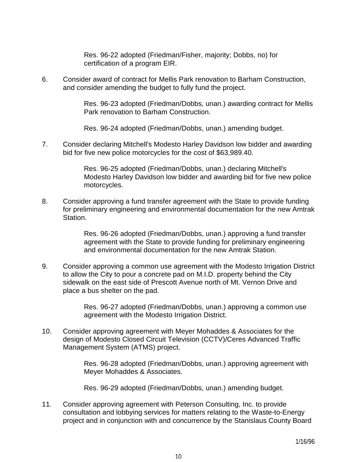Res. 96-22 adopted (Friedman/Fisher, majority; Dobbs, no) for certification of a program EIR.

6. Consider award of contract for Mellis Park renovation to Barham Construction, and consider amending the budget to fully fund the project.

> Res. 96-23 adopted (Friedman/Dobbs, unan.) awarding contract for Mellis Park renovation to Barham Construction.

Res. 96-24 adopted (Friedman/Dobbs, unan.) amending budget.

7. Consider declaring Mitchell's Modesto Harley Davidson low bidder and awarding bid for five new police motorcycles for the cost of \$63,989.40.

> Res. 96-25 adopted (Friedman/Dobbs, unan.) declaring Mitchell's Modesto Harley Davidson low bidder and awarding bid for five new police motorcycles.

8. Consider approving a fund transfer agreement with the State to provide funding for preliminary engineering and environmental documentation for the new Amtrak Station.

> Res. 96-26 adopted (Friedman/Dobbs, unan.) approving a fund transfer agreement with the State to provide funding for preliminary engineering and environmental documentation for the new Amtrak Station.

9. Consider approving a common use agreement with the Modesto Irrigation District to allow the City to pour a concrete pad on M.I.D. property behind the City sidewalk on the east side of Prescott Avenue north of Mt. Vernon Drive and place a bus shelter on the pad.

> Res. 96-27 adopted (Friedman/Dobbs, unan.) approving a common use agreement with the Modesto Irrigation District.

10. Consider approving agreement with Meyer Mohaddes & Associates for the design of Modesto Closed Circuit Television (CCTV)/Ceres Advanced Traffic Management System (ATMS) project.

> Res. 96-28 adopted (Friedman/Dobbs, unan.) approving agreement with Meyer Mohaddes & Associates.

Res. 96-29 adopted (Friedman/Dobbs, unan.) amending budget.

11. Consider approving agreement with Peterson Consulting, Inc. to provide consultation and lobbying services for matters relating to the Waste-to-Energy project and in conjunction with and concurrence by the Stanislaus County Board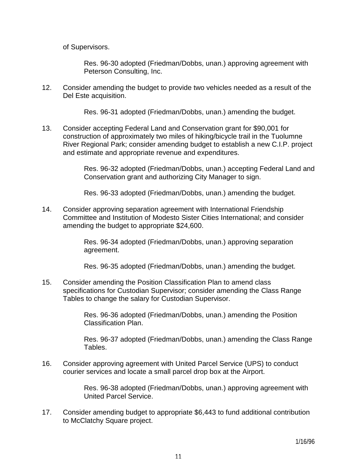of Supervisors.

 Res. 96-30 adopted (Friedman/Dobbs, unan.) approving agreement with Peterson Consulting, Inc.

12. Consider amending the budget to provide two vehicles needed as a result of the Del Este acquisition.

Res. 96-31 adopted (Friedman/Dobbs, unan.) amending the budget.

13. Consider accepting Federal Land and Conservation grant for \$90,001 for construction of approximately two miles of hiking/bicycle trail in the Tuolumne River Regional Park; consider amending budget to establish a new C.I.P. project and estimate and appropriate revenue and expenditures.

> Res. 96-32 adopted (Friedman/Dobbs, unan.) accepting Federal Land and Conservation grant and authorizing City Manager to sign.

Res. 96-33 adopted (Friedman/Dobbs, unan.) amending the budget.

14. Consider approving separation agreement with International Friendship Committee and Institution of Modesto Sister Cities International; and consider amending the budget to appropriate \$24,600.

> Res. 96-34 adopted (Friedman/Dobbs, unan.) approving separation agreement.

Res. 96-35 adopted (Friedman/Dobbs, unan.) amending the budget.

15. Consider amending the Position Classification Plan to amend class specifications for Custodian Supervisor; consider amending the Class Range Tables to change the salary for Custodian Supervisor.

> Res. 96-36 adopted (Friedman/Dobbs, unan.) amending the Position Classification Plan.

 Res. 96-37 adopted (Friedman/Dobbs, unan.) amending the Class Range Tables.

16. Consider approving agreement with United Parcel Service (UPS) to conduct courier services and locate a small parcel drop box at the Airport.

> Res. 96-38 adopted (Friedman/Dobbs, unan.) approving agreement with United Parcel Service.

17. Consider amending budget to appropriate \$6,443 to fund additional contribution to McClatchy Square project.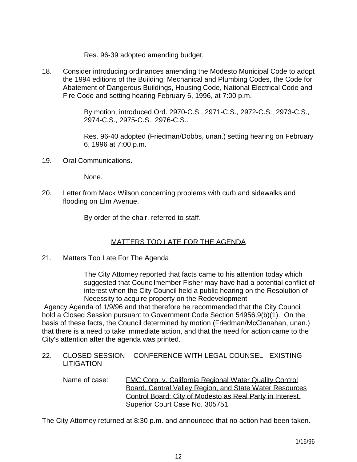Res. 96-39 adopted amending budget.

18. Consider introducing ordinances amending the Modesto Municipal Code to adopt the 1994 editions of the Building, Mechanical and Plumbing Codes, the Code for Abatement of Dangerous Buildings, Housing Code, National Electrical Code and Fire Code and setting hearing February 6, 1996, at 7:00 p.m.

> By motion, introduced Ord. 2970-C.S., 2971-C.S., 2972-C.S., 2973-C.S., 2974-C.S., 2975-C.S., 2976-C.S..

 Res. 96-40 adopted (Friedman/Dobbs, unan.) setting hearing on February 6, 1996 at 7:00 p.m.

19. Oral Communications.

None.

20. Letter from Mack Wilson concerning problems with curb and sidewalks and flooding on Elm Avenue.

By order of the chair, referred to staff.

# MATTERS TOO LATE FOR THE AGENDA

21. Matters Too Late For The Agenda

 The City Attorney reported that facts came to his attention today which suggested that Councilmember Fisher may have had a potential conflict of interest when the City Council held a public hearing on the Resolution of Necessity to acquire property on the Redevelopment

 Agency Agenda of 1/9/96 and that therefore he recommended that the City Council hold a Closed Session pursuant to Government Code Section 54956.9(b)(1). On the basis of these facts, the Council determined by motion (Friedman/McClanahan, unan.) that there is a need to take immediate action, and that the need for action came to the City's attention after the agenda was printed.

22. CLOSED SESSION -- CONFERENCE WITH LEGAL COUNSEL - EXISTING LITIGATION

Name of case: FMC Corp. v. California Regional Water Quality Control Board, Central Valley Region, and State Water Resources Control Board; City of Modesto as Real Party in Interest. Superior Court Case No. 305751

The City Attorney returned at 8:30 p.m. and announced that no action had been taken.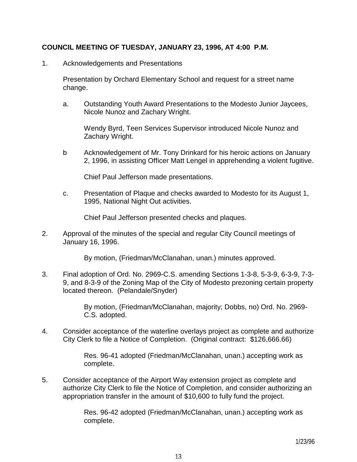#### **COUNCIL MEETING OF TUESDAY, JANUARY 23, 1996, AT 4:00 P.M.**

1. Acknowledgements and Presentations

 Presentation by Orchard Elementary School and request for a street name change.

 a. Outstanding Youth Award Presentations to the Modesto Junior Jaycees, Nicole Nunoz and Zachary Wright.

 Wendy Byrd, Teen Services Supervisor introduced Nicole Nunoz and Zachary Wright.

 b Acknowledgement of Mr. Tony Drinkard for his heroic actions on January 2, 1996, in assisting Officer Matt Lengel in apprehending a violent fugitive.

Chief Paul Jefferson made presentations.

 c. Presentation of Plaque and checks awarded to Modesto for its August 1, 1995, National Night Out activities.

Chief Paul Jefferson presented checks and plaques.

2. Approval of the minutes of the special and regular City Council meetings of January 16, 1996.

By motion, (Friedman/McClanahan, unan.) minutes approved.

3. Final adoption of Ord. No. 2969-C.S. amending Sections 1-3-8, 5-3-9, 6-3-9, 7-3- 9, and 8-3-9 of the Zoning Map of the City of Modesto prezoning certain property located thereon. (Pelandale/Snyder)

> By motion, (Friedman/McClanahan, majority; Dobbs, no) Ord. No. 2969- C.S. adopted.

4. Consider acceptance of the waterline overlays project as complete and authorize City Clerk to file a Notice of Completion. (Original contract: \$126,666.66)

> Res. 96-41 adopted (Friedman/McClanahan, unan.) accepting work as complete.

5. Consider acceptance of the Airport Way extension project as complete and authorize City Clerk to file the Notice of Completion, and consider authorizing an appropriation transfer in the amount of \$10,600 to fully fund the project.

> Res. 96-42 adopted (Friedman/McClanahan, unan.) accepting work as complete.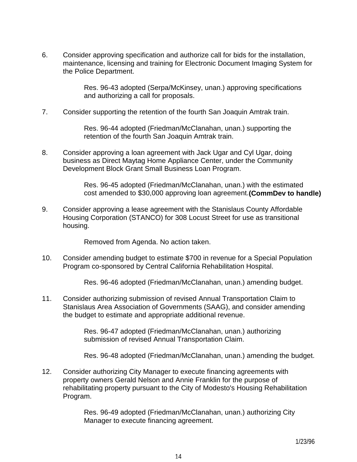6. Consider approving specification and authorize call for bids for the installation, maintenance, licensing and training for Electronic Document Imaging System for the Police Department.

> Res. 96-43 adopted (Serpa/McKinsey, unan.) approving specifications and authorizing a call for proposals.

7. Consider supporting the retention of the fourth San Joaquin Amtrak train.

 Res. 96-44 adopted (Friedman/McClanahan, unan.) supporting the retention of the fourth San Joaquin Amtrak train.

8. Consider approving a loan agreement with Jack Ugar and Cyl Ugar, doing business as Direct Maytag Home Appliance Center, under the Community Development Block Grant Small Business Loan Program.

> Res. 96-45 adopted (Friedman/McClanahan, unan.) with the estimated cost amended to \$30,000 approving loan agreement.**(CommDev to handle)**

9. Consider approving a lease agreement with the Stanislaus County Affordable Housing Corporation (STANCO) for 308 Locust Street for use as transitional housing.

Removed from Agenda. No action taken.

10. Consider amending budget to estimate \$700 in revenue for a Special Population Program co-sponsored by Central California Rehabilitation Hospital.

Res. 96-46 adopted (Friedman/McClanahan, unan.) amending budget.

11. Consider authorizing submission of revised Annual Transportation Claim to Stanislaus Area Association of Governments (SAAG), and consider amending the budget to estimate and appropriate additional revenue.

> Res. 96-47 adopted (Friedman/McClanahan, unan.) authorizing submission of revised Annual Transportation Claim.

Res. 96-48 adopted (Friedman/McClanahan, unan.) amending the budget.

12. Consider authorizing City Manager to execute financing agreements with property owners Gerald Nelson and Annie Franklin for the purpose of rehabilitating property pursuant to the City of Modesto's Housing Rehabilitation Program.

> Res. 96-49 adopted (Friedman/McClanahan, unan.) authorizing City Manager to execute financing agreement.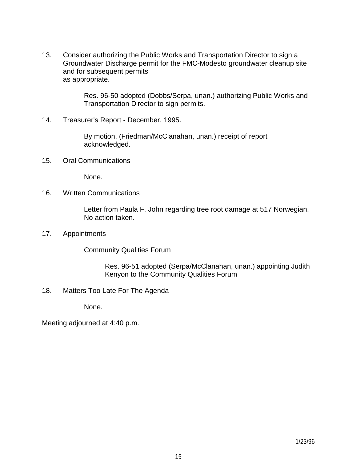13. Consider authorizing the Public Works and Transportation Director to sign a Groundwater Discharge permit for the FMC-Modesto groundwater cleanup site and for subsequent permits as appropriate.

> Res. 96-50 adopted (Dobbs/Serpa, unan.) authorizing Public Works and Transportation Director to sign permits.

14. Treasurer's Report - December, 1995.

 By motion, (Friedman/McClanahan, unan.) receipt of report acknowledged.

15. Oral Communications

None.

16. Written Communications

 Letter from Paula F. John regarding tree root damage at 517 Norwegian. No action taken.

17. Appointments

Community Qualities Forum

 Res. 96-51 adopted (Serpa/McClanahan, unan.) appointing Judith Kenyon to the Community Qualities Forum

18. Matters Too Late For The Agenda

None.

Meeting adjourned at 4:40 p.m.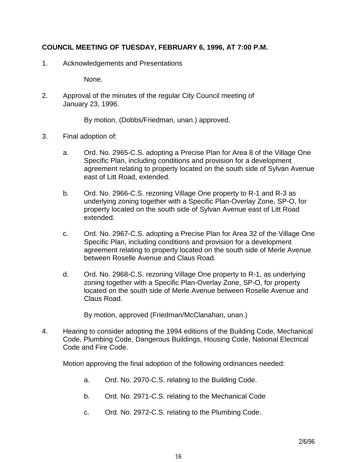## **COUNCIL MEETING OF TUESDAY, FEBRUARY 6, 1996, AT 7:00 P.M.**

1. Acknowledgements and Presentations

None.

2. Approval of the minutes of the regular City Council meeting of January 23, 1996.

By motion, (Dobbs/Friedman, unan.) approved.

- 3. Final adoption of:
	- a. Ord. No. 2965-C.S. adopting a Precise Plan for Area 8 of the Village One Specific Plan, including conditions and provision for a development agreement relating to property located on the south side of Sylvan Avenue east of Litt Road, extended.
	- b. Ord. No. 2966-C.S. rezoning Village One property to R-1 and R-3 as underlying zoning together with a Specific Plan-Overlay Zone, SP-O, for property located on the south side of Sylvan Avenue east of Litt Road extended.
	- c. Ord. No. 2967-C.S. adopting a Precise Plan for Area 32 of the Village One Specific Plan, including conditions and provision for a development agreement relating to property located on the south side of Merle Avenue between Roselle Avenue and Claus Road.
	- d. Ord. No. 2968-C.S. rezoning Village One property to R-1, as underlying zoning together with a Specific Plan-Overlay Zone, SP-O, for property located on the south side of Merle Avenue between Roselle Avenue and Claus Road.

By motion, approved (Friedman/McClanahan, unan.)

4. Hearing to consider adopting the 1994 editions of the Building Code, Mechanical Code, Plumbing Code, Dangerous Buildings, Housing Code, National Electrical Code and Fire Code.

Motion approving the final adoption of the following ordinances needed:

- a. Ord. No. 2970-C.S. relating to the Building Code.
- b. Ord. No. 2971-C.S. relating to the Mechanical Code
- c. Ord. No. 2972-C.S. relating to the Plumbing Code.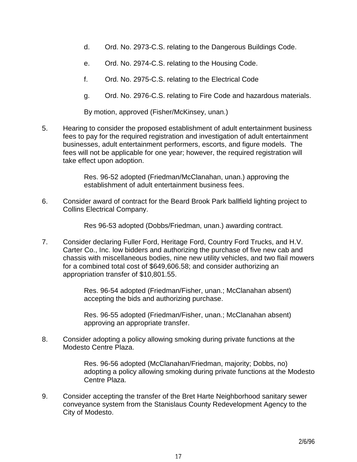- d. Ord. No. 2973-C.S. relating to the Dangerous Buildings Code.
- e. Ord. No. 2974-C.S. relating to the Housing Code.
- f. Ord. No. 2975-C.S. relating to the Electrical Code
- g. Ord. No. 2976-C.S. relating to Fire Code and hazardous materials.

By motion, approved (Fisher/McKinsey, unan.)

5. Hearing to consider the proposed establishment of adult entertainment business fees to pay for the required registration and investigation of adult entertainment businesses, adult entertainment performers, escorts, and figure models. The fees will not be applicable for one year; however, the required registration will take effect upon adoption.

> Res. 96-52 adopted (Friedman/McClanahan, unan.) approving the establishment of adult entertainment business fees.

6. Consider award of contract for the Beard Brook Park ballfield lighting project to Collins Electrical Company.

Res 96-53 adopted (Dobbs/Friedman, unan.) awarding contract.

7. Consider declaring Fuller Ford, Heritage Ford, Country Ford Trucks, and H.V. Carter Co., Inc. low bidders and authorizing the purchase of five new cab and chassis with miscellaneous bodies, nine new utility vehicles, and two flail mowers for a combined total cost of \$649,606.58; and consider authorizing an appropriation transfer of \$10,801.55.

> Res. 96-54 adopted (Friedman/Fisher, unan.; McClanahan absent) accepting the bids and authorizing purchase.

> Res. 96-55 adopted (Friedman/Fisher, unan.; McClanahan absent) approving an appropriate transfer.

8. Consider adopting a policy allowing smoking during private functions at the Modesto Centre Plaza.

> Res. 96-56 adopted (McClanahan/Friedman, majority; Dobbs, no) adopting a policy allowing smoking during private functions at the Modesto Centre Plaza.

9. Consider accepting the transfer of the Bret Harte Neighborhood sanitary sewer conveyance system from the Stanislaus County Redevelopment Agency to the City of Modesto.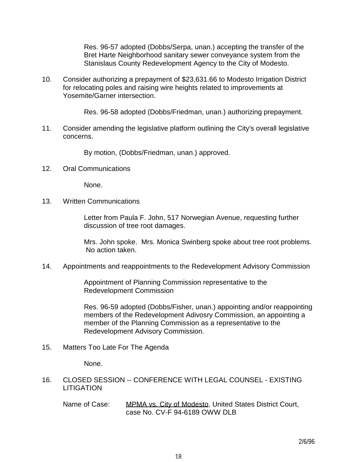Res. 96-57 adopted (Dobbs/Serpa, unan.) accepting the transfer of the Bret Harte Neighborhood sanitary sewer conveyance system from the Stanislaus County Redevelopment Agency to the City of Modesto.

10. Consider authorizing a prepayment of \$23,631.66 to Modesto Irrigation District for relocating poles and raising wire heights related to improvements at Yosemite/Garner intersection.

Res. 96-58 adopted (Dobbs/Friedman, unan.) authorizing prepayment.

11. Consider amending the legislative platform outlining the City's overall legislative concerns.

By motion, (Dobbs/Friedman, unan.) approved.

12. Oral Communications

None.

13. Written Communications

 Letter from Paula F. John, 517 Norwegian Avenue, requesting further discussion of tree root damages.

 Mrs. John spoke. Mrs. Monica Swinberg spoke about tree root problems. No action taken.

14. Appointments and reappointments to the Redevelopment Advisory Commission

 Appointment of Planning Commission representative to the Redevelopment Commission

 Res. 96-59 adopted (Dobbs/Fisher, unan.) appointing and/or reappointing members of the Redevelopment Adivosry Commission, an appointing a member of the Planning Commission as a representative to the Redevelopment Advisory Commission.

15. Matters Too Late For The Agenda

None.

- 16. CLOSED SESSION -- CONFERENCE WITH LEGAL COUNSEL EXISTING LITIGATION
	- Name of Case: MPMA vs. City of Modesto, United States District Court, case No. CV-F 94-6189 OWW DLB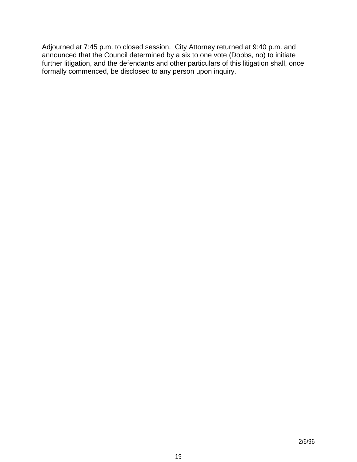Adjourned at 7:45 p.m. to closed session. City Attorney returned at 9:40 p.m. and announced that the Council determined by a six to one vote (Dobbs, no) to initiate further litigation, and the defendants and other particulars of this litigation shall, once formally commenced, be disclosed to any person upon inquiry.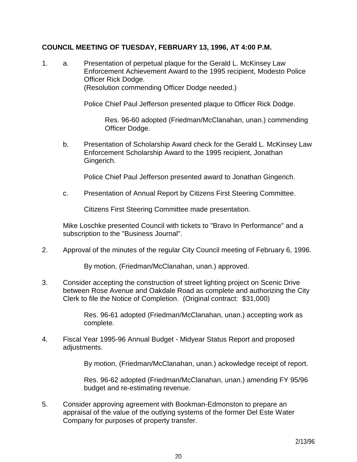#### **COUNCIL MEETING OF TUESDAY, FEBRUARY 13, 1996, AT 4:00 P.M.**

1. a. Presentation of perpetual plaque for the Gerald L. McKinsey Law Enforcement Achievement Award to the 1995 recipient, Modesto Police Officer Rick Dodge. (Resolution commending Officer Dodge needed.)

Police Chief Paul Jefferson presented plaque to Officer Rick Dodge.

 Res. 96-60 adopted (Friedman/McClanahan, unan.) commending Officer Dodge.

 b. Presentation of Scholarship Award check for the Gerald L. McKinsey Law Enforcement Scholarship Award to the 1995 recipient, Jonathan Gingerich.

Police Chief Paul Jefferson presented award to Jonathan Gingerich.

c. Presentation of Annual Report by Citizens First Steering Committee.

Citizens First Steering Committee made presentation.

 Mike Loschke presented Council with tickets to "Bravo In Performance" and a subscription to the "Business Journal".

2. Approval of the minutes of the regular City Council meeting of February 6, 1996.

By motion, (Friedman/McClanahan, unan.) approved.

3. Consider accepting the construction of street lighting project on Scenic Drive between Rose Avenue and Oakdale Road as complete and authorizing the City Clerk to file the Notice of Completion. (Original contract: \$31,000)

> Res. 96-61 adopted (Friedman/McClanahan, unan.) accepting work as complete.

4. Fiscal Year 1995-96 Annual Budget - Midyear Status Report and proposed adjustments.

By motion, (Friedman/McClanahan, unan.) ackowledge receipt of report.

 Res. 96-62 adopted (Friedman/McClanahan, unan.) amending FY 95/96 budget and re-estimating revenue.

5. Consider approving agreement with Bookman-Edmonston to prepare an appraisal of the value of the outlying systems of the former Del Este Water Company for purposes of property transfer.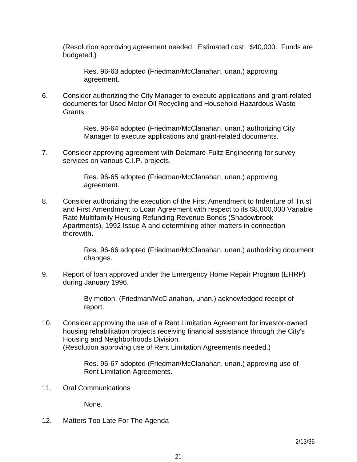(Resolution approving agreement needed. Estimated cost: \$40,000. Funds are budgeted.)

 Res. 96-63 adopted (Friedman/McClanahan, unan.) approving agreement.

6. Consider authorizing the City Manager to execute applications and grant-related documents for Used Motor Oil Recycling and Household Hazardous Waste Grants.

> Res. 96-64 adopted (Friedman/McClanahan, unan.) authorizing City Manager to execute applications and grant-related documents.

7. Consider approving agreement with Delamare-Fultz Engineering for survey services on various C.I.P. projects.

> Res. 96-65 adopted (Friedman/McClanahan, unan.) approving agreement.

8. Consider authorizing the execution of the First Amendment to Indenture of Trust and First Amendment to Loan Agreement with respect to its \$8,800,000 Variable Rate Multifamily Housing Refunding Revenue Bonds (Shadowbrook Apartments), 1992 Issue A and determining other matters in connection therewith.

> Res. 96-66 adopted (Friedman/McClanahan, unan.) authorizing document changes.

9. Report of loan approved under the Emergency Home Repair Program (EHRP) during January 1996.

> By motion, (Friedman/McClanahan, unan.) acknowledged receipt of report.

10. Consider approving the use of a Rent Limitation Agreement for investor-owned housing rehabilitation projects receiving financial assistance through the City's Housing and Neighborhoods Division. (Resolution approving use of Rent Limitation Agreements needed.)

> Res. 96-67 adopted (Friedman/McClanahan, unan.) approving use of Rent Limitation Agreements.

11. Oral Communications

None.

12. Matters Too Late For The Agenda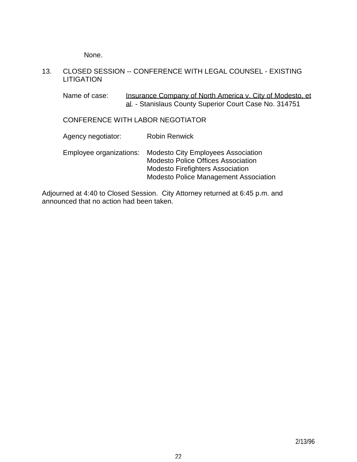None.

#### 13. CLOSED SESSION -- CONFERENCE WITH LEGAL COUNSEL - EXISTING **LITIGATION**

Name of case: Insurance Company of North America v. City of Modesto, et al. - Stanislaus County Superior Court Case No. 314751

## CONFERENCE WITH LABOR NEGOTIATOR

| Agency negotiator: | <b>Robin Renwick</b>                                                                                                                                                                        |
|--------------------|---------------------------------------------------------------------------------------------------------------------------------------------------------------------------------------------|
|                    | Employee organizations: Modesto City Employees Association<br><b>Modesto Police Offices Association</b><br><b>Modesto Firefighters Association</b><br>Modesto Police Management Association |

Adjourned at 4:40 to Closed Session. City Attorney returned at 6:45 p.m. and announced that no action had been taken.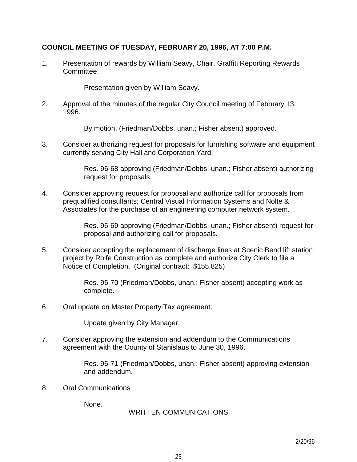## **COUNCIL MEETING OF TUESDAY, FEBRUARY 20, 1996, AT 7:00 P.M.**

1. Presentation of rewards by William Seavy, Chair, Graffiti Reporting Rewards Committee.

Presentation given by William Seavy.

2. Approval of the minutes of the regular City Council meeting of February 13, 1996.

By motion, (Friedman/Dobbs, unan.; Fisher absent) approved.

3. Consider authorizing request for proposals for furnishing software and equipment currently serving City Hall and Corporation Yard.

> Res. 96-68 approving (Friedman/Dobbs, unan.; Fisher absent) authorizing request for proposals.

4. Consider approving request for proposal and authorize call for proposals from prequalified consultants; Central Visual Information Systems and Nolte & Associates for the purchase of an engineering computer network system.

> Res. 96-69 approving (Friedman/Dobbs, unan.; Fisher absent) request for proposal and authorizing call for proposals.

5. Consider accepting the replacement of discharge lines at Scenic Bend lift station project by Rolfe Construction as complete and authorize City Clerk to file a Notice of Completion. (Original contract: \$155,825)

> Res. 96-70 (Friedman/Dobbs, unan.; Fisher absent) accepting work as complete.

6. Oral update on Master Property Tax agreement.

Update given by City Manager.

7. Consider approving the extension and addendum to the Communications agreement with the County of Stanislaus to June 30, 1996.

> Res. 96-71 (Friedman/Dobbs, unan.; Fisher absent) approving extension and addendum.

8. Oral Communications

None.

#### WRITTEN COMMUNICATIONS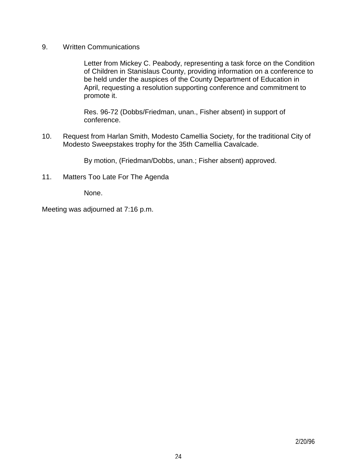9. Written Communications

 Letter from Mickey C. Peabody, representing a task force on the Condition of Children in Stanislaus County, providing information on a conference to be held under the auspices of the County Department of Education in April, requesting a resolution supporting conference and commitment to promote it.

 Res. 96-72 (Dobbs/Friedman, unan., Fisher absent) in support of conference.

10. Request from Harlan Smith, Modesto Camellia Society, for the traditional City of Modesto Sweepstakes trophy for the 35th Camellia Cavalcade.

By motion, (Friedman/Dobbs, unan.; Fisher absent) approved.

11. Matters Too Late For The Agenda

None.

Meeting was adjourned at 7:16 p.m.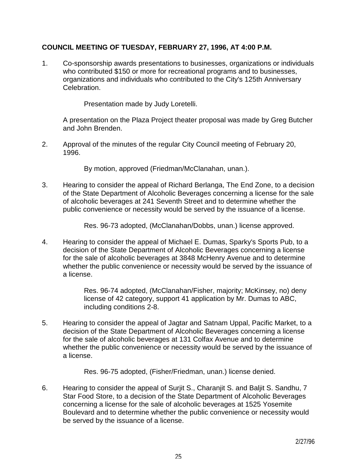## **COUNCIL MEETING OF TUESDAY, FEBRUARY 27, 1996, AT 4:00 P.M.**

1. Co-sponsorship awards presentations to businesses, organizations or individuals who contributed \$150 or more for recreational programs and to businesses, organizations and individuals who contributed to the City's 125th Anniversary Celebration.

Presentation made by Judy Loretelli.

 A presentation on the Plaza Project theater proposal was made by Greg Butcher and John Brenden.

2. Approval of the minutes of the regular City Council meeting of February 20, 1996.

By motion, approved (Friedman/McClanahan, unan.).

3. Hearing to consider the appeal of Richard Berlanga, The End Zone, to a decision of the State Department of Alcoholic Beverages concerning a license for the sale of alcoholic beverages at 241 Seventh Street and to determine whether the public convenience or necessity would be served by the issuance of a license.

Res. 96-73 adopted, (McClanahan/Dobbs, unan.) license approved.

4. Hearing to consider the appeal of Michael E. Dumas, Sparky's Sports Pub, to a decision of the State Department of Alcoholic Beverages concerning a license for the sale of alcoholic beverages at 3848 McHenry Avenue and to determine whether the public convenience or necessity would be served by the issuance of a license.

> Res. 96-74 adopted, (McClanahan/Fisher, majority; McKinsey, no) deny license of 42 category, support 41 application by Mr. Dumas to ABC, including conditions 2-8.

5. Hearing to consider the appeal of Jagtar and Satnam Uppal, Pacific Market, to a decision of the State Department of Alcoholic Beverages concerning a license for the sale of alcoholic beverages at 131 Colfax Avenue and to determine whether the public convenience or necessity would be served by the issuance of a license.

Res. 96-75 adopted, (Fisher/Friedman, unan.) license denied.

6. Hearing to consider the appeal of Surjit S., Charanjit S. and Baljit S. Sandhu, 7 Star Food Store, to a decision of the State Department of Alcoholic Beverages concerning a license for the sale of alcoholic beverages at 1525 Yosemite Boulevard and to determine whether the public convenience or necessity would be served by the issuance of a license.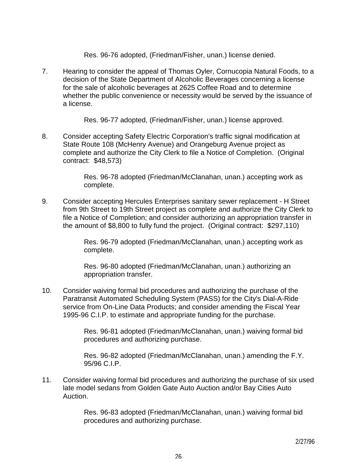Res. 96-76 adopted, (Friedman/Fisher, unan.) license denied.

7. Hearing to consider the appeal of Thomas Oyler, Cornucopia Natural Foods, to a decision of the State Department of Alcoholic Beverages concerning a license for the sale of alcoholic beverages at 2625 Coffee Road and to determine whether the public convenience or necessity would be served by the issuance of a license.

Res. 96-77 adopted, (Friedman/Fisher, unan.) license approved.

8. Consider accepting Safety Electric Corporation's traffic signal modification at State Route 108 (McHenry Avenue) and Orangeburg Avenue project as complete and authorize the City Clerk to file a Notice of Completion. (Original contract: \$48,573)

> Res. 96-78 adopted (Friedman/McClanahan, unan.) accepting work as complete.

9. Consider accepting Hercules Enterprises sanitary sewer replacement - H Street from 9th Street to 19th Street project as complete and authorize the City Clerk to file a Notice of Completion; and consider authorizing an appropriation transfer in the amount of \$8,800 to fully fund the project. (Original contract: \$297,110)

> Res. 96-79 adopted (Friedman/McClanahan, unan.) accepting work as complete.

 Res. 96-80 adopted (Friedman/McClanahan, unan.) authorizing an appropriation transfer.

10. Consider waiving formal bid procedures and authorizing the purchase of the Paratransit Automated Scheduling System (PASS) for the City's Dial-A-Ride service from On-Line Data Products; and consider amending the Fiscal Year 1995-96 C.I.P. to estimate and appropriate funding for the purchase.

> Res. 96-81 adopted (Friedman/McClanahan, unan.) waiving formal bid procedures and authorizing purchase.

> Res. 96-82 adopted (Friedman/McClanahan, unan.) amending the F.Y. 95/96 C.I.P.

11. Consider waiving formal bid procedures and authorizing the purchase of six used late model sedans from Golden Gate Auto Auction and/or Bay Cities Auto Auction.

> Res. 96-83 adopted (Friedman/McClanahan, unan.) waiving formal bid procedures and authorizing purchase.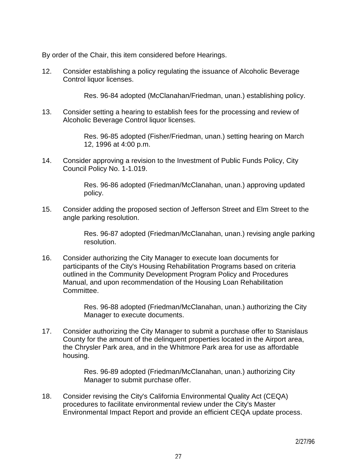By order of the Chair, this item considered before Hearings.

12. Consider establishing a policy regulating the issuance of Alcoholic Beverage Control liquor licenses.

Res. 96-84 adopted (McClanahan/Friedman, unan.) establishing policy.

13. Consider setting a hearing to establish fees for the processing and review of Alcoholic Beverage Control liquor licenses.

> Res. 96-85 adopted (Fisher/Friedman, unan.) setting hearing on March 12, 1996 at 4:00 p.m.

14. Consider approving a revision to the Investment of Public Funds Policy, City Council Policy No. 1-1.019.

> Res. 96-86 adopted (Friedman/McClanahan, unan.) approving updated policy.

15. Consider adding the proposed section of Jefferson Street and Elm Street to the angle parking resolution.

> Res. 96-87 adopted (Friedman/McClanahan, unan.) revising angle parking resolution.

16. Consider authorizing the City Manager to execute loan documents for participants of the City's Housing Rehabilitation Programs based on criteria outlined in the Community Development Program Policy and Procedures Manual, and upon recommendation of the Housing Loan Rehabilitation Committee.

> Res. 96-88 adopted (Friedman/McClanahan, unan.) authorizing the City Manager to execute documents.

17. Consider authorizing the City Manager to submit a purchase offer to Stanislaus County for the amount of the delinquent properties located in the Airport area, the Chrysler Park area, and in the Whitmore Park area for use as affordable housing.

> Res. 96-89 adopted (Friedman/McClanahan, unan.) authorizing City Manager to submit purchase offer.

18. Consider revising the City's California Environmental Quality Act (CEQA) procedures to facilitate environmental review under the City's Master Environmental Impact Report and provide an efficient CEQA update process.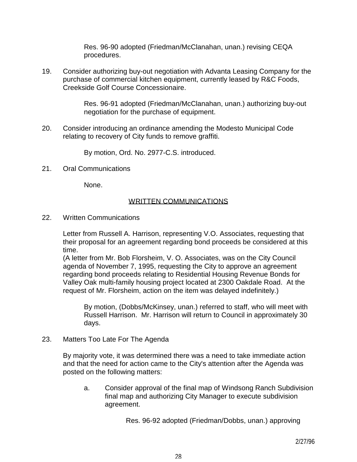Res. 96-90 adopted (Friedman/McClanahan, unan.) revising CEQA procedures.

19. Consider authorizing buy-out negotiation with Advanta Leasing Company for the purchase of commercial kitchen equipment, currently leased by R&C Foods, Creekside Golf Course Concessionaire.

> Res. 96-91 adopted (Friedman/McClanahan, unan.) authorizing buy-out negotiation for the purchase of equipment.

20. Consider introducing an ordinance amending the Modesto Municipal Code relating to recovery of City funds to remove graffiti.

By motion, Ord. No. 2977-C.S. introduced.

21. Oral Communications

None.

#### WRITTEN COMMUNICATIONS

22. Written Communications

 Letter from Russell A. Harrison, representing V.O. Associates, requesting that their proposal for an agreement regarding bond proceeds be considered at this time.

 (A letter from Mr. Bob Florsheim, V. O. Associates, was on the City Council agenda of November 7, 1995, requesting the City to approve an agreement regarding bond proceeds relating to Residential Housing Revenue Bonds for Valley Oak multi-family housing project located at 2300 Oakdale Road. At the request of Mr. Florsheim, action on the item was delayed indefinitely.)

 By motion, (Dobbs/McKinsey, unan.) referred to staff, who will meet with Russell Harrison. Mr. Harrison will return to Council in approximately 30 days.

23. Matters Too Late For The Agenda

 By majority vote, it was determined there was a need to take immediate action and that the need for action came to the City's attention after the Agenda was posted on the following matters:

 a. Consider approval of the final map of Windsong Ranch Subdivision final map and authorizing City Manager to execute subdivision agreement.

Res. 96-92 adopted (Friedman/Dobbs, unan.) approving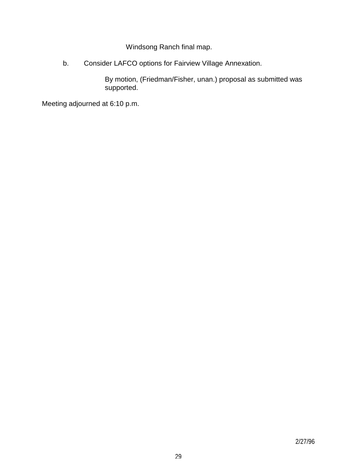Windsong Ranch final map.

b. Consider LAFCO options for Fairview Village Annexation.

 By motion, (Friedman/Fisher, unan.) proposal as submitted was supported.

Meeting adjourned at 6:10 p.m.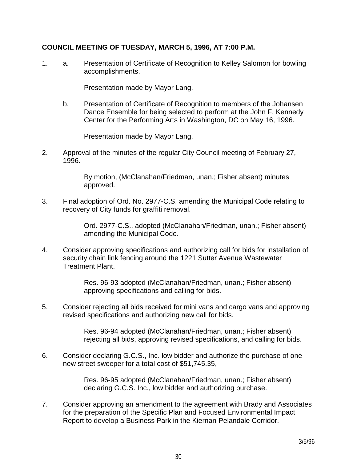## **COUNCIL MEETING OF TUESDAY, MARCH 5, 1996, AT 7:00 P.M.**

1. a. Presentation of Certificate of Recognition to Kelley Salomon for bowling accomplishments.

Presentation made by Mayor Lang.

 b. Presentation of Certificate of Recognition to members of the Johansen Dance Ensemble for being selected to perform at the John F. Kennedy Center for the Performing Arts in Washington, DC on May 16, 1996.

Presentation made by Mayor Lang.

2. Approval of the minutes of the regular City Council meeting of February 27, 1996.

> By motion, (McClanahan/Friedman, unan.; Fisher absent) minutes approved.

3. Final adoption of Ord. No. 2977-C.S. amending the Municipal Code relating to recovery of City funds for graffiti removal.

> Ord. 2977-C.S., adopted (McClanahan/Friedman, unan.; Fisher absent) amending the Municipal Code.

4. Consider approving specifications and authorizing call for bids for installation of security chain link fencing around the 1221 Sutter Avenue Wastewater Treatment Plant.

> Res. 96-93 adopted (McClanahan/Friedman, unan.; Fisher absent) approving specifications and calling for bids.

5. Consider rejecting all bids received for mini vans and cargo vans and approving revised specifications and authorizing new call for bids.

> Res. 96-94 adopted (McClanahan/Friedman, unan.; Fisher absent) rejecting all bids, approving revised specifications, and calling for bids.

6. Consider declaring G.C.S., Inc. low bidder and authorize the purchase of one new street sweeper for a total cost of \$51,745.35,

> Res. 96-95 adopted (McClanahan/Friedman, unan.; Fisher absent) declaring G.C.S. Inc., low bidder and authorizing purchase.

7. Consider approving an amendment to the agreement with Brady and Associates for the preparation of the Specific Plan and Focused Environmental Impact Report to develop a Business Park in the Kiernan-Pelandale Corridor.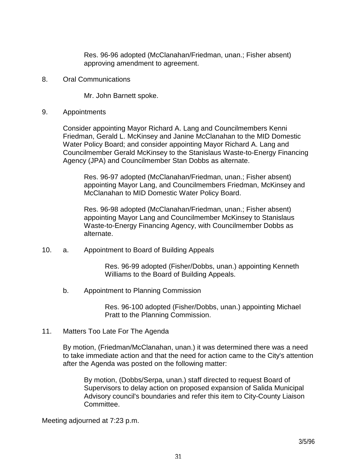Res. 96-96 adopted (McClanahan/Friedman, unan.; Fisher absent) approving amendment to agreement.

8. Oral Communications

Mr. John Barnett spoke.

9. Appointments

 Consider appointing Mayor Richard A. Lang and Councilmembers Kenni Friedman, Gerald L. McKinsey and Janine McClanahan to the MID Domestic Water Policy Board; and consider appointing Mayor Richard A. Lang and Councilmember Gerald McKinsey to the Stanislaus Waste-to-Energy Financing Agency (JPA) and Councilmember Stan Dobbs as alternate.

 Res. 96-97 adopted (McClanahan/Friedman, unan.; Fisher absent) appointing Mayor Lang, and Councilmembers Friedman, McKinsey and McClanahan to MID Domestic Water Policy Board.

 Res. 96-98 adopted (McClanahan/Friedman, unan.; Fisher absent) appointing Mayor Lang and Councilmember McKinsey to Stanislaus Waste-to-Energy Financing Agency, with Councilmember Dobbs as alternate.

10. a. Appointment to Board of Building Appeals

 Res. 96-99 adopted (Fisher/Dobbs, unan.) appointing Kenneth Williams to the Board of Building Appeals.

b. Appointment to Planning Commission

 Res. 96-100 adopted (Fisher/Dobbs, unan.) appointing Michael Pratt to the Planning Commission.

11. Matters Too Late For The Agenda

 By motion, (Friedman/McClanahan, unan.) it was determined there was a need to take immediate action and that the need for action came to the City's attention after the Agenda was posted on the following matter:

 By motion, (Dobbs/Serpa, unan.) staff directed to request Board of Supervisors to delay action on proposed expansion of Salida Municipal Advisory council's boundaries and refer this item to City-County Liaison Committee.

Meeting adjourned at 7:23 p.m.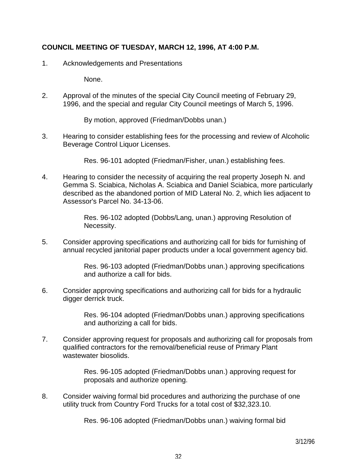## **COUNCIL MEETING OF TUESDAY, MARCH 12, 1996, AT 4:00 P.M.**

1. Acknowledgements and Presentations

None.

2. Approval of the minutes of the special City Council meeting of February 29, 1996, and the special and regular City Council meetings of March 5, 1996.

By motion, approved (Friedman/Dobbs unan.)

3. Hearing to consider establishing fees for the processing and review of Alcoholic Beverage Control Liquor Licenses.

Res. 96-101 adopted (Friedman/Fisher, unan.) establishing fees.

4. Hearing to consider the necessity of acquiring the real property Joseph N. and Gemma S. Sciabica, Nicholas A. Sciabica and Daniel Sciabica, more particularly described as the abandoned portion of MID Lateral No. 2, which lies adjacent to Assessor's Parcel No. 34-13-06.

> Res. 96-102 adopted (Dobbs/Lang, unan.) approving Resolution of Necessity.

5. Consider approving specifications and authorizing call for bids for furnishing of annual recycled janitorial paper products under a local government agency bid.

> Res. 96-103 adopted (Friedman/Dobbs unan.) approving specifications and authorize a call for bids.

6. Consider approving specifications and authorizing call for bids for a hydraulic digger derrick truck.

> Res. 96-104 adopted (Friedman/Dobbs unan.) approving specifications and authorizing a call for bids.

7. Consider approving request for proposals and authorizing call for proposals from qualified contractors for the removal/beneficial reuse of Primary Plant wastewater biosolids.

> Res. 96-105 adopted (Friedman/Dobbs unan.) approving request for proposals and authorize opening.

8. Consider waiving formal bid procedures and authorizing the purchase of one utility truck from Country Ford Trucks for a total cost of \$32,323.10.

Res. 96-106 adopted (Friedman/Dobbs unan.) waiving formal bid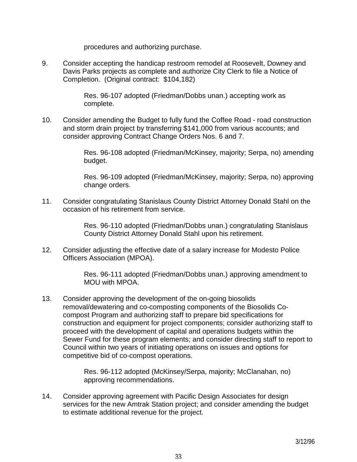procedures and authorizing purchase.

9. Consider accepting the handicap restroom remodel at Roosevelt, Downey and Davis Parks projects as complete and authorize City Clerk to file a Notice of Completion. (Original contract: \$104,182)

> Res. 96-107 adopted (Friedman/Dobbs unan.) accepting work as complete.

10. Consider amending the Budget to fully fund the Coffee Road - road construction and storm drain project by transferring \$141,000 from various accounts; and consider approving Contract Change Orders Nos. 6 and 7.

> Res. 96-108 adopted (Friedman/McKinsey, majority; Serpa, no) amending budget.

> Res. 96-109 adopted (Friedman/McKinsey, majority; Serpa, no) approving change orders.

11. Consider congratulating Stanislaus County District Attorney Donald Stahl on the occasion of his retirement from service.

> Res. 96-110 adopted (Friedman/Dobbs unan.) congratulating Stanislaus County District Attorney Donald Stahl upon his retirement.

12. Consider adjusting the effective date of a salary increase for Modesto Police Officers Association (MPOA).

> Res. 96-111 adopted (Friedman/Dobbs unan.) approving amendment to MOU with MPOA.

13. Consider approving the development of the on-going biosolids removal/dewatering and co-composting components of the Biosolids Cocompost Program and authorizing staff to prepare bid specifications for construction and equipment for project components; consider authorizing staff to proceed with the development of capital and operations budgets within the Sewer Fund for these program elements; and consider directing staff to report to Council within two years of initiating operations on issues and options for competitive bid of co-compost operations.

> Res. 96-112 adopted (McKinsey/Serpa, majority; McClanahan, no) approving recommendations.

14. Consider approving agreement with Pacific Design Associates for design services for the new Amtrak Station project; and consider amending the budget to estimate additional revenue for the project.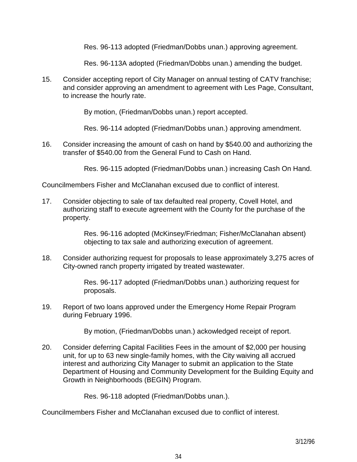Res. 96-113 adopted (Friedman/Dobbs unan.) approving agreement.

Res. 96-113A adopted (Friedman/Dobbs unan.) amending the budget.

15. Consider accepting report of City Manager on annual testing of CATV franchise; and consider approving an amendment to agreement with Les Page, Consultant, to increase the hourly rate.

By motion, (Friedman/Dobbs unan.) report accepted.

Res. 96-114 adopted (Friedman/Dobbs unan.) approving amendment.

16. Consider increasing the amount of cash on hand by \$540.00 and authorizing the transfer of \$540.00 from the General Fund to Cash on Hand.

Res. 96-115 adopted (Friedman/Dobbs unan.) increasing Cash On Hand.

Councilmembers Fisher and McClanahan excused due to conflict of interest.

17. Consider objecting to sale of tax defaulted real property, Covell Hotel, and authorizing staff to execute agreement with the County for the purchase of the property.

> Res. 96-116 adopted (McKinsey/Friedman; Fisher/McClanahan absent) objecting to tax sale and authorizing execution of agreement.

18. Consider authorizing request for proposals to lease approximately 3,275 acres of City-owned ranch property irrigated by treated wastewater.

> Res. 96-117 adopted (Friedman/Dobbs unan.) authorizing request for proposals.

19. Report of two loans approved under the Emergency Home Repair Program during February 1996.

By motion, (Friedman/Dobbs unan.) ackowledged receipt of report.

20. Consider deferring Capital Facilities Fees in the amount of \$2,000 per housing unit, for up to 63 new single-family homes, with the City waiving all accrued interest and authorizing City Manager to submit an application to the State Department of Housing and Community Development for the Building Equity and Growth in Neighborhoods (BEGIN) Program.

Res. 96-118 adopted (Friedman/Dobbs unan.).

Councilmembers Fisher and McClanahan excused due to conflict of interest.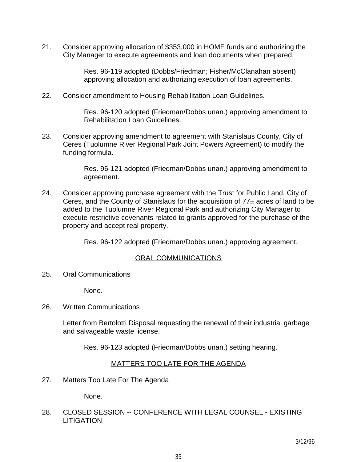21. Consider approving allocation of \$353,000 in HOME funds and authorizing the City Manager to execute agreements and loan documents when prepared.

> Res. 96-119 adopted (Dobbs/Friedman; Fisher/McClanahan absent) approving allocation and authorizing execution of loan agreements.

22. Consider amendment to Housing Rehabilitation Loan Guidelines.

 Res. 96-120 adopted (Friedman/Dobbs unan.) approving amendment to Rehabilitation Loan Guidelines.

23. Consider approving amendment to agreement with Stanislaus County, City of Ceres (Tuolumne River Regional Park Joint Powers Agreement) to modify the funding formula.

> Res. 96-121 adopted (Friedman/Dobbs unan.) approving amendment to agreement.

24. Consider approving purchase agreement with the Trust for Public Land, City of Ceres, and the County of Stanislaus for the acquisition of  $77<sub>±</sub>$  acres of land to be added to the Tuolumne River Regional Park and authorizing City Manager to execute restrictive covenants related to grants approved for the purchase of the property and accept real property.

Res. 96-122 adopted (Friedman/Dobbs unan.) approving agreement.

#### ORAL COMMUNICATIONS

25. Oral Communications

None.

26. Written Communications

 Letter from Bertolotti Disposal requesting the renewal of their industrial garbage and salvageable waste license.

Res. 96-123 adopted (Friedman/Dobbs unan.) setting hearing.

#### MATTERS TOO LATE FOR THE AGENDA

27. Matters Too Late For The Agenda

None.

28. CLOSED SESSION -- CONFERENCE WITH LEGAL COUNSEL - EXISTING **LITIGATION**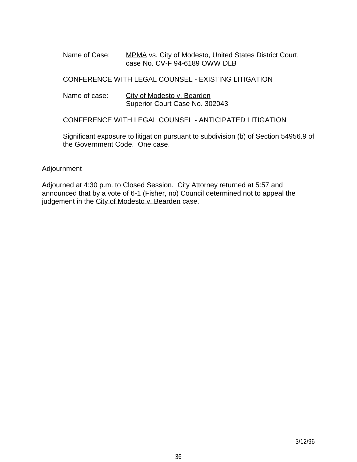Name of Case: MPMA vs. City of Modesto, United States District Court, case No. CV-F 94-6189 OWW DLB

CONFERENCE WITH LEGAL COUNSEL - EXISTING LITIGATION

Name of case: City of Modesto v. Bearden Superior Court Case No. 302043

CONFERENCE WITH LEGAL COUNSEL - ANTICIPATED LITIGATION

 Significant exposure to litigation pursuant to subdivision (b) of Section 54956.9 of the Government Code. One case.

#### Adjournment

Adjourned at 4:30 p.m. to Closed Session. City Attorney returned at 5:57 and announced that by a vote of 6-1 (Fisher, no) Council determined not to appeal the judgement in the City of Modesto v. Bearden case.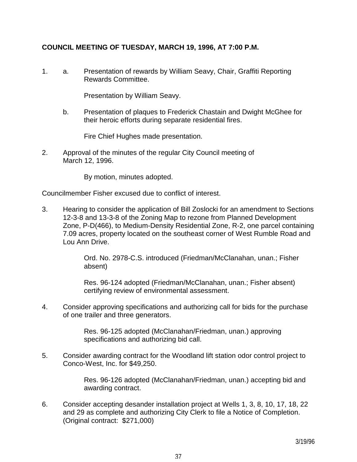# **COUNCIL MEETING OF TUESDAY, MARCH 19, 1996, AT 7:00 P.M.**

1. a. Presentation of rewards by William Seavy, Chair, Graffiti Reporting Rewards Committee.

Presentation by William Seavy.

 b. Presentation of plaques to Frederick Chastain and Dwight McGhee for their heroic efforts during separate residential fires.

Fire Chief Hughes made presentation.

2. Approval of the minutes of the regular City Council meeting of March 12, 1996.

By motion, minutes adopted.

Councilmember Fisher excused due to conflict of interest.

3. Hearing to consider the application of Bill Zoslocki for an amendment to Sections 12-3-8 and 13-3-8 of the Zoning Map to rezone from Planned Development Zone, P-D(466), to Medium-Density Residential Zone, R-2, one parcel containing 7.09 acres, property located on the southeast corner of West Rumble Road and Lou Ann Drive.

> Ord. No. 2978-C.S. introduced (Friedman/McClanahan, unan.; Fisher absent)

 Res. 96-124 adopted (Friedman/McClanahan, unan.; Fisher absent) certifying review of environmental assessment.

4. Consider approving specifications and authorizing call for bids for the purchase of one trailer and three generators.

> Res. 96-125 adopted (McClanahan/Friedman, unan.) approving specifications and authorizing bid call.

5. Consider awarding contract for the Woodland lift station odor control project to Conco-West, Inc. for \$49,250.

> Res. 96-126 adopted (McClanahan/Friedman, unan.) accepting bid and awarding contract.

6. Consider accepting desander installation project at Wells 1, 3, 8, 10, 17, 18, 22 and 29 as complete and authorizing City Clerk to file a Notice of Completion. (Original contract: \$271,000)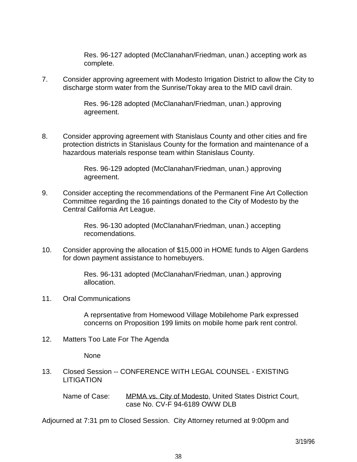Res. 96-127 adopted (McClanahan/Friedman, unan.) accepting work as complete.

7. Consider approving agreement with Modesto Irrigation District to allow the City to discharge storm water from the Sunrise/Tokay area to the MID cavil drain.

> Res. 96-128 adopted (McClanahan/Friedman, unan.) approving agreement.

8. Consider approving agreement with Stanislaus County and other cities and fire protection districts in Stanislaus County for the formation and maintenance of a hazardous materials response team within Stanislaus County.

> Res. 96-129 adopted (McClanahan/Friedman, unan.) approving agreement.

9. Consider accepting the recommendations of the Permanent Fine Art Collection Committee regarding the 16 paintings donated to the City of Modesto by the Central California Art League.

> Res. 96-130 adopted (McClanahan/Friedman, unan.) accepting recomendations.

10. Consider approving the allocation of \$15,000 in HOME funds to Algen Gardens for down payment assistance to homebuyers.

> Res. 96-131 adopted (McClanahan/Friedman, unan.) approving allocation.

11. Oral Communications

 A reprsentative from Homewood Village Mobilehome Park expressed concerns on Proposition 199 limits on mobile home park rent control.

12. Matters Too Late For The Agenda

None

13. Closed Session -- CONFERENCE WITH LEGAL COUNSEL - EXISTING LITIGATION

Name of Case: MPMA vs. City of Modesto, United States District Court, case No. CV-F 94-6189 OWW DLB

Adjourned at 7:31 pm to Closed Session. City Attorney returned at 9:00pm and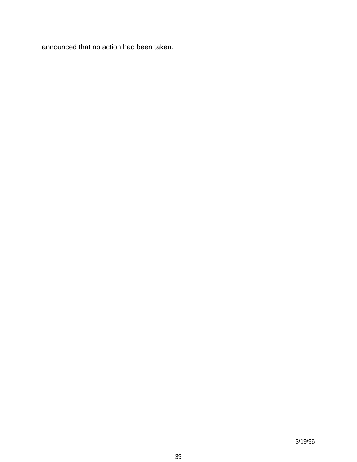announced that no action had been taken.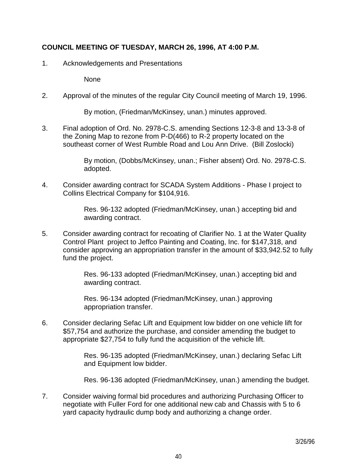# **COUNCIL MEETING OF TUESDAY, MARCH 26, 1996, AT 4:00 P.M.**

1. Acknowledgements and Presentations

None

2. Approval of the minutes of the regular City Council meeting of March 19, 1996.

By motion, (Friedman/McKinsey, unan.) minutes approved.

3. Final adoption of Ord. No. 2978-C.S. amending Sections 12-3-8 and 13-3-8 of the Zoning Map to rezone from P-D(466) to R-2 property located on the southeast corner of West Rumble Road and Lou Ann Drive. (Bill Zoslocki)

> By motion, (Dobbs/McKinsey, unan.; Fisher absent) Ord. No. 2978-C.S. adopted.

4. Consider awarding contract for SCADA System Additions - Phase I project to Collins Electrical Company for \$104,916.

> Res. 96-132 adopted (Friedman/McKinsey, unan.) accepting bid and awarding contract.

5. Consider awarding contract for recoating of Clarifier No. 1 at the Water Quality Control Plant project to Jeffco Painting and Coating, Inc. for \$147,318, and consider approving an appropriation transfer in the amount of \$33,942.52 to fully fund the project.

> Res. 96-133 adopted (Friedman/McKinsey, unan.) accepting bid and awarding contract.

 Res. 96-134 adopted (Friedman/McKinsey, unan.) approving appropriation transfer.

6. Consider declaring Sefac Lift and Equipment low bidder on one vehicle lift for \$57,754 and authorize the purchase, and consider amending the budget to appropriate \$27,754 to fully fund the acquisition of the vehicle lift.

> Res. 96-135 adopted (Friedman/McKinsey, unan.) declaring Sefac Lift and Equipment low bidder.

Res. 96-136 adopted (Friedman/McKinsey, unan.) amending the budget.

7. Consider waiving formal bid procedures and authorizing Purchasing Officer to negotiate with Fuller Ford for one additional new cab and Chassis with 5 to 6 yard capacity hydraulic dump body and authorizing a change order.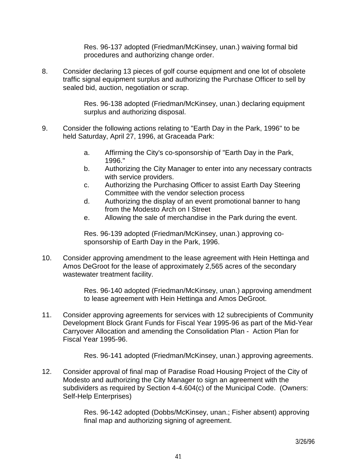Res. 96-137 adopted (Friedman/McKinsey, unan.) waiving formal bid procedures and authorizing change order.

8. Consider declaring 13 pieces of golf course equipment and one lot of obsolete traffic signal equipment surplus and authorizing the Purchase Officer to sell by sealed bid, auction, negotiation or scrap.

> Res. 96-138 adopted (Friedman/McKinsey, unan.) declaring equipment surplus and authorizing disposal.

- 9. Consider the following actions relating to "Earth Day in the Park, 1996" to be held Saturday, April 27, 1996, at Graceada Park:
	- a. Affirming the City's co-sponsorship of "Earth Day in the Park, 1996."
	- b. Authorizing the City Manager to enter into any necessary contracts with service providers.
	- c. Authorizing the Purchasing Officer to assist Earth Day Steering Committee with the vendor selection process
	- d. Authorizing the display of an event promotional banner to hang from the Modesto Arch on I Street
	- e. Allowing the sale of merchandise in the Park during the event.

 Res. 96-139 adopted (Friedman/McKinsey, unan.) approving cosponsorship of Earth Day in the Park, 1996.

10. Consider approving amendment to the lease agreement with Hein Hettinga and Amos DeGroot for the lease of approximately 2,565 acres of the secondary wastewater treatment facility.

> Res. 96-140 adopted (Friedman/McKinsey, unan.) approving amendment to lease agreement with Hein Hettinga and Amos DeGroot.

11. Consider approving agreements for services with 12 subrecipients of Community Development Block Grant Funds for Fiscal Year 1995-96 as part of the Mid-Year Carryover Allocation and amending the Consolidation Plan - Action Plan for Fiscal Year 1995-96.

Res. 96-141 adopted (Friedman/McKinsey, unan.) approving agreements.

12. Consider approval of final map of Paradise Road Housing Project of the City of Modesto and authorizing the City Manager to sign an agreement with the subdividers as required by Section 4-4.604(c) of the Municipal Code. (Owners: Self-Help Enterprises)

> Res. 96-142 adopted (Dobbs/McKinsey, unan.; Fisher absent) approving final map and authorizing signing of agreement.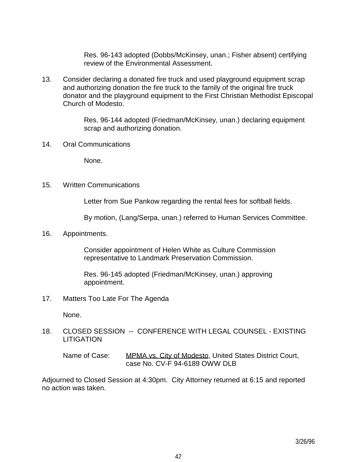Res. 96-143 adopted (Dobbs/McKinsey, unan.; Fisher absent) certifying review of the Environmental Assessment.

13. Consider declaring a donated fire truck and used playground equipment scrap and authorizing donation the fire truck to the family of the original fire truck donator and the playground equipment to the First Christian Methodist Episcopal Church of Modesto.

> Res. 96-144 adopted (Friedman/McKinsey, unan.) declaring equipment scrap and authorizing donation.

14. Oral Communications

None.

15. Written Communications

Letter from Sue Pankow regarding the rental fees for softball fields.

By motion, (Lang/Serpa, unan.) referred to Human Services Committee.

16. Appointments.

 Consider appointment of Helen White as Culture Commission representative to Landmark Preservation Commission.

 Res. 96-145 adopted (Friedman/McKinsey, unan.) approving appointment.

17. Matters Too Late For The Agenda

None.

18. CLOSED SESSION -- CONFERENCE WITH LEGAL COUNSEL - EXISTING **LITIGATION** 

Name of Case: MPMA vs. City of Modesto, United States District Court, case No. CV-F 94-6189 OWW DLB

Adjourned to Closed Session at 4:30pm. City Attorney returned at 6:15 and reported no action was taken.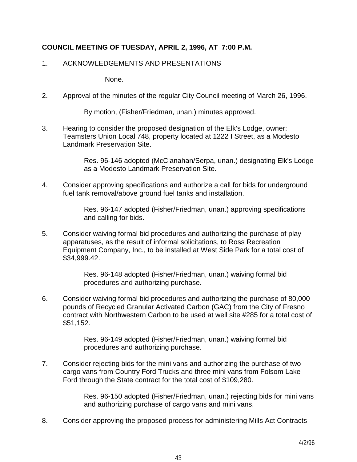# **COUNCIL MEETING OF TUESDAY, APRIL 2, 1996, AT 7:00 P.M.**

### 1. ACKNOWLEDGEMENTS AND PRESENTATIONS

None.

2. Approval of the minutes of the regular City Council meeting of March 26, 1996.

By motion, (Fisher/Friedman, unan.) minutes approved.

3. Hearing to consider the proposed designation of the Elk's Lodge, owner: Teamsters Union Local 748, property located at 1222 I Street, as a Modesto Landmark Preservation Site.

> Res. 96-146 adopted (McClanahan/Serpa, unan.) designating Elk's Lodge as a Modesto Landmark Preservation Site.

4. Consider approving specifications and authorize a call for bids for underground fuel tank removal/above ground fuel tanks and installation.

> Res. 96-147 adopted (Fisher/Friedman, unan.) approving specifications and calling for bids.

5. Consider waiving formal bid procedures and authorizing the purchase of play apparatuses, as the result of informal solicitations, to Ross Recreation Equipment Company, Inc., to be installed at West Side Park for a total cost of \$34,999.42.

> Res. 96-148 adopted (Fisher/Friedman, unan.) waiving formal bid procedures and authorizing purchase.

6. Consider waiving formal bid procedures and authorizing the purchase of 80,000 pounds of Recycled Granular Activated Carbon (GAC) from the City of Fresno contract with Northwestern Carbon to be used at well site #285 for a total cost of \$51,152.

> Res. 96-149 adopted (Fisher/Friedman, unan.) waiving formal bid procedures and authorizing purchase.

7. Consider rejecting bids for the mini vans and authorizing the purchase of two cargo vans from Country Ford Trucks and three mini vans from Folsom Lake Ford through the State contract for the total cost of \$109,280.

> Res. 96-150 adopted (Fisher/Friedman, unan.) rejecting bids for mini vans and authorizing purchase of cargo vans and mini vans.

8. Consider approving the proposed process for administering Mills Act Contracts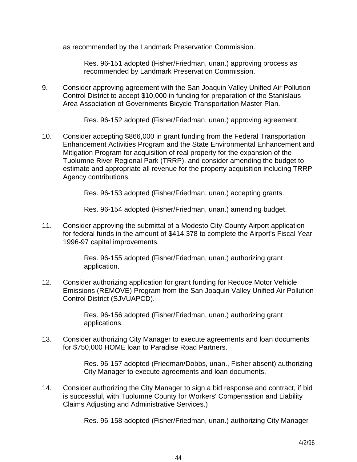as recommended by the Landmark Preservation Commission.

 Res. 96-151 adopted (Fisher/Friedman, unan.) approving process as recommended by Landmark Preservation Commission.

9. Consider approving agreement with the San Joaquin Valley Unified Air Pollution Control District to accept \$10,000 in funding for preparation of the Stanislaus Area Association of Governments Bicycle Transportation Master Plan.

Res. 96-152 adopted (Fisher/Friedman, unan.) approving agreement.

10. Consider accepting \$866,000 in grant funding from the Federal Transportation Enhancement Activities Program and the State Environmental Enhancement and Mitigation Program for acquisition of real property for the expansion of the Tuolumne River Regional Park (TRRP), and consider amending the budget to estimate and appropriate all revenue for the property acquisition including TRRP Agency contributions.

Res. 96-153 adopted (Fisher/Friedman, unan.) accepting grants.

Res. 96-154 adopted (Fisher/Friedman, unan.) amending budget.

11. Consider approving the submittal of a Modesto City-County Airport application for federal funds in the amount of \$414,378 to complete the Airport's Fiscal Year 1996-97 capital improvements.

> Res. 96-155 adopted (Fisher/Friedman, unan.) authorizing grant application.

12. Consider authorizing application for grant funding for Reduce Motor Vehicle Emissions (REMOVE) Program from the San Joaquin Valley Unified Air Pollution Control District (SJVUAPCD).

> Res. 96-156 adopted (Fisher/Friedman, unan.) authorizing grant applications.

13. Consider authorizing City Manager to execute agreements and loan documents for \$750,000 HOME loan to Paradise Road Partners.

> Res. 96-157 adopted (Friedman/Dobbs, unan., Fisher absent) authorizing City Manager to execute agreements and loan documents.

14. Consider authorizing the City Manager to sign a bid response and contract, if bid is successful, with Tuolumne County for Workers' Compensation and Liability Claims Adjusting and Administrative Services.)

Res. 96-158 adopted (Fisher/Friedman, unan.) authorizing City Manager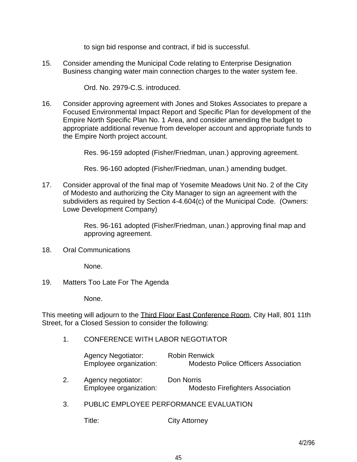to sign bid response and contract, if bid is successful.

15. Consider amending the Municipal Code relating to Enterprise Designation Business changing water main connection charges to the water system fee.

Ord. No. 2979-C.S. introduced.

16. Consider approving agreement with Jones and Stokes Associates to prepare a Focused Environmental Impact Report and Specific Plan for development of the Empire North Specific Plan No. 1 Area, and consider amending the budget to appropriate additional revenue from developer account and appropriate funds to the Empire North project account.

Res. 96-159 adopted (Fisher/Friedman, unan.) approving agreement.

Res. 96-160 adopted (Fisher/Friedman, unan.) amending budget.

17. Consider approval of the final map of Yosemite Meadows Unit No. 2 of the City of Modesto and authorizing the City Manager to sign an agreement with the subdividers as required by Section 4-4.604(c) of the Municipal Code. (Owners: Lowe Development Company)

> Res. 96-161 adopted (Fisher/Friedman, unan.) approving final map and approving agreement.

18. Oral Communications

None.

19. Matters Too Late For The Agenda

None.

This meeting will adjourn to the Third Floor East Conference Room, City Hall, 801 11th Street, for a Closed Session to consider the following:

1. CONFERENCE WITH LABOR NEGOTIATOR

| <b>Agency Negotiator:</b> | <b>Robin Renwick</b>                       |
|---------------------------|--------------------------------------------|
| Employee organization:    | <b>Modesto Police Officers Association</b> |

- 2. Agency negotiator: Don Norris Employee organization: Modesto Firefighters Association
- 3. PUBLIC EMPLOYEE PERFORMANCE EVALUATION

Title: City Attorney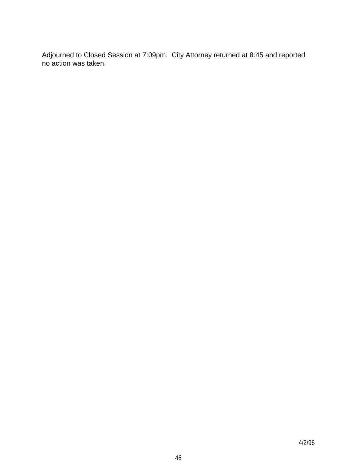Adjourned to Closed Session at 7:09pm. City Attorney returned at 8:45 and reported no action was taken.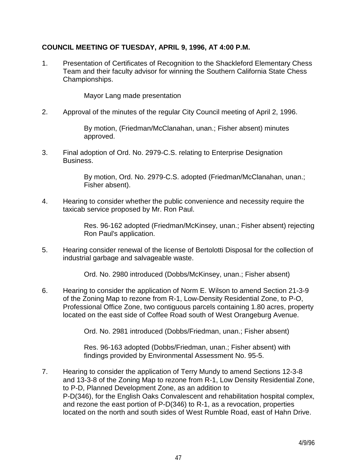# **COUNCIL MEETING OF TUESDAY, APRIL 9, 1996, AT 4:00 P.M.**

1. Presentation of Certificates of Recognition to the Shackleford Elementary Chess Team and their faculty advisor for winning the Southern California State Chess Championships.

Mayor Lang made presentation

2. Approval of the minutes of the regular City Council meeting of April 2, 1996.

 By motion, (Friedman/McClanahan, unan.; Fisher absent) minutes approved.

3. Final adoption of Ord. No. 2979-C.S. relating to Enterprise Designation Business.

> By motion, Ord. No. 2979-C.S. adopted (Friedman/McClanahan, unan.; Fisher absent).

4. Hearing to consider whether the public convenience and necessity require the taxicab service proposed by Mr. Ron Paul.

> Res. 96-162 adopted (Friedman/McKinsey, unan.; Fisher absent) rejecting Ron Paul's application.

5. Hearing consider renewal of the license of Bertolotti Disposal for the collection of industrial garbage and salvageable waste.

Ord. No. 2980 introduced (Dobbs/McKinsey, unan.; Fisher absent)

6. Hearing to consider the application of Norm E. Wilson to amend Section 21-3-9 of the Zoning Map to rezone from R-1, Low-Density Residential Zone, to P-O, Professional Office Zone, two contiguous parcels containing 1.80 acres, property located on the east side of Coffee Road south of West Orangeburg Avenue.

Ord. No. 2981 introduced (Dobbs/Friedman, unan.; Fisher absent)

 Res. 96-163 adopted (Dobbs/Friedman, unan.; Fisher absent) with findings provided by Environmental Assessment No. 95-5.

7. Hearing to consider the application of Terry Mundy to amend Sections 12-3-8 and 13-3-8 of the Zoning Map to rezone from R-1, Low Density Residential Zone, to P-D, Planned Development Zone, as an addition to P-D(346), for the English Oaks Convalescent and rehabilitation hospital complex, and rezone the east portion of P-D(346) to R-1, as a revocation, properties located on the north and south sides of West Rumble Road, east of Hahn Drive.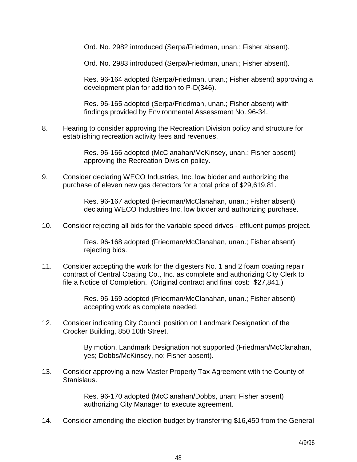Ord. No. 2982 introduced (Serpa/Friedman, unan.; Fisher absent).

Ord. No. 2983 introduced (Serpa/Friedman, unan.; Fisher absent).

 Res. 96-164 adopted (Serpa/Friedman, unan.; Fisher absent) approving a development plan for addition to P-D(346).

 Res. 96-165 adopted (Serpa/Friedman, unan.; Fisher absent) with findings provided by Environmental Assessment No. 96-34.

8. Hearing to consider approving the Recreation Division policy and structure for establishing recreation activity fees and revenues.

> Res. 96-166 adopted (McClanahan/McKinsey, unan.; Fisher absent) approving the Recreation Division policy.

9. Consider declaring WECO Industries, Inc. low bidder and authorizing the purchase of eleven new gas detectors for a total price of \$29,619.81.

> Res. 96-167 adopted (Friedman/McClanahan, unan.; Fisher absent) declaring WECO Industries Inc. low bidder and authorizing purchase.

10. Consider rejecting all bids for the variable speed drives - effluent pumps project.

 Res. 96-168 adopted (Friedman/McClanahan, unan.; Fisher absent) rejecting bids.

11. Consider accepting the work for the digesters No. 1 and 2 foam coating repair contract of Central Coating Co., Inc. as complete and authorizing City Clerk to file a Notice of Completion. (Original contract and final cost: \$27,841.)

> Res. 96-169 adopted (Friedman/McClanahan, unan.; Fisher absent) accepting work as complete needed.

12. Consider indicating City Council position on Landmark Designation of the Crocker Building, 850 10th Street.

> By motion, Landmark Designation not supported (Friedman/McClanahan, yes; Dobbs/McKinsey, no; Fisher absent).

13. Consider approving a new Master Property Tax Agreement with the County of Stanislaus.

> Res. 96-170 adopted (McClanahan/Dobbs, unan; Fisher absent) authorizing City Manager to execute agreement.

14. Consider amending the election budget by transferring \$16,450 from the General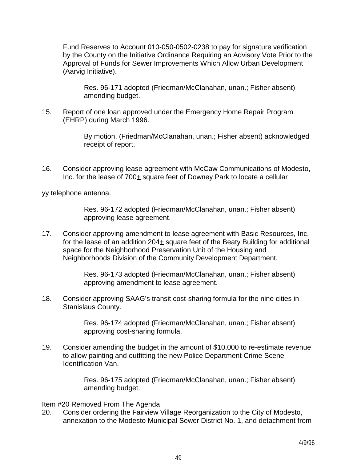Fund Reserves to Account 010-050-0502-0238 to pay for signature verification by the County on the Initiative Ordinance Requiring an Advisory Vote Prior to the Approval of Funds for Sewer Improvements Which Allow Urban Development (Aarvig Initiative).

 Res. 96-171 adopted (Friedman/McClanahan, unan.; Fisher absent) amending budget.

15. Report of one loan approved under the Emergency Home Repair Program (EHRP) during March 1996.

> By motion, (Friedman/McClanahan, unan.; Fisher absent) acknowledged receipt of report.

16. Consider approving lease agreement with McCaw Communications of Modesto, Inc. for the lease of 700± square feet of Downey Park to locate a cellular

yy telephone antenna.

 Res. 96-172 adopted (Friedman/McClanahan, unan.; Fisher absent) approving lease agreement.

17. Consider approving amendment to lease agreement with Basic Resources, Inc. for the lease of an addition  $204<sub>±</sub>$  square feet of the Beaty Building for additional space for the Neighborhood Preservation Unit of the Housing and Neighborhoods Division of the Community Development Department.

> Res. 96-173 adopted (Friedman/McClanahan, unan.; Fisher absent) approving amendment to lease agreement.

18. Consider approving SAAG's transit cost-sharing formula for the nine cities in Stanislaus County.

> Res. 96-174 adopted (Friedman/McClanahan, unan.; Fisher absent) approving cost-sharing formula.

19. Consider amending the budget in the amount of \$10,000 to re-estimate revenue to allow painting and outfitting the new Police Department Crime Scene Identification Van.

> Res. 96-175 adopted (Friedman/McClanahan, unan.; Fisher absent) amending budget.

Item #20 Removed From The Agenda

20. Consider ordering the Fairview Village Reorganization to the City of Modesto, annexation to the Modesto Municipal Sewer District No. 1, and detachment from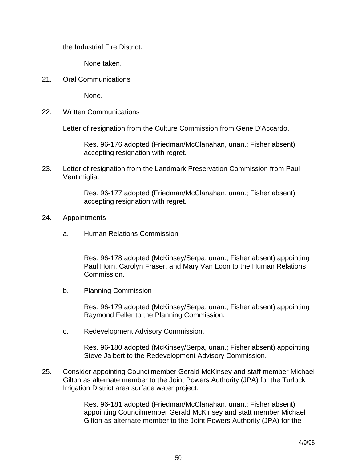the Industrial Fire District.

None taken.

21. Oral Communications

None.

22. Written Communications

Letter of resignation from the Culture Commission from Gene D'Accardo.

 Res. 96-176 adopted (Friedman/McClanahan, unan.; Fisher absent) accepting resignation with regret.

23. Letter of resignation from the Landmark Preservation Commission from Paul Ventimiglia.

> Res. 96-177 adopted (Friedman/McClanahan, unan.; Fisher absent) accepting resignation with regret.

- 24. Appointments
	- a. Human Relations Commission

 Res. 96-178 adopted (McKinsey/Serpa, unan.; Fisher absent) appointing Paul Horn, Carolyn Fraser, and Mary Van Loon to the Human Relations Commission.

b. Planning Commission

 Res. 96-179 adopted (McKinsey/Serpa, unan.; Fisher absent) appointing Raymond Feller to the Planning Commission.

c. Redevelopment Advisory Commission.

 Res. 96-180 adopted (McKinsey/Serpa, unan.; Fisher absent) appointing Steve Jalbert to the Redevelopment Advisory Commission.

25. Consider appointing Councilmember Gerald McKinsey and staff member Michael Gilton as alternate member to the Joint Powers Authority (JPA) for the Turlock Irrigation District area surface water project.

> Res. 96-181 adopted (Friedman/McClanahan, unan.; Fisher absent) appointing Councilmember Gerald McKinsey and statt member Michael Gilton as alternate member to the Joint Powers Authority (JPA) for the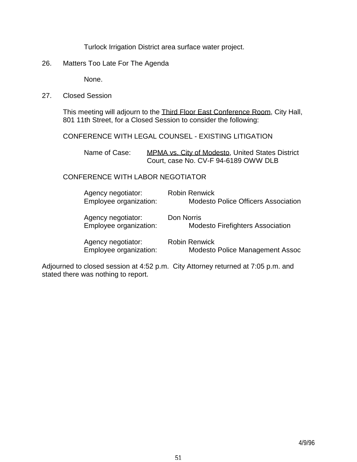Turlock Irrigation District area surface water project.

26. Matters Too Late For The Agenda

None.

27. Closed Session

 This meeting will adjourn to the Third Floor East Conference Room, City Hall, 801 11th Street, for a Closed Session to consider the following:

### CONFERENCE WITH LEGAL COUNSEL - EXISTING LITIGATION

Name of Case: MPMA vs. City of Modesto, United States District Court, case No. CV-F 94-6189 OWW DLB

# CONFERENCE WITH LABOR NEGOTIATOR

| Agency negotiator:<br>Employee organization: | <b>Robin Renwick</b><br><b>Modesto Police Officers Association</b> |
|----------------------------------------------|--------------------------------------------------------------------|
| Agency negotiator:<br>Employee organization: | Don Norris<br><b>Modesto Firefighters Association</b>              |
| Agency negotiator:<br>Employee organization: | <b>Robin Renwick</b><br>Modesto Police Management Assoc            |

Adjourned to closed session at 4:52 p.m. City Attorney returned at 7:05 p.m. and stated there was nothing to report.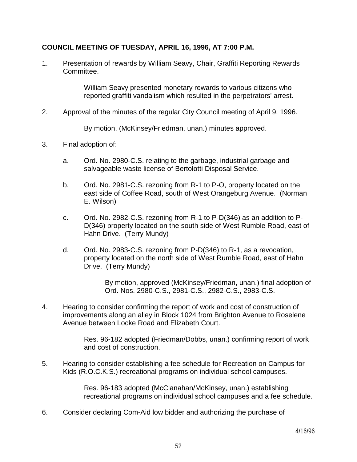## **COUNCIL MEETING OF TUESDAY, APRIL 16, 1996, AT 7:00 P.M.**

1. Presentation of rewards by William Seavy, Chair, Graffiti Reporting Rewards Committee.

> William Seavy presented monetary rewards to various citizens who reported graffiti vandalism which resulted in the perpetrators' arrest.

2. Approval of the minutes of the regular City Council meeting of April 9, 1996.

By motion, (McKinsey/Friedman, unan.) minutes approved.

- 3. Final adoption of:
	- a. Ord. No. 2980-C.S. relating to the garbage, industrial garbage and salvageable waste license of Bertolotti Disposal Service.
	- b. Ord. No. 2981-C.S. rezoning from R-1 to P-O, property located on the east side of Coffee Road, south of West Orangeburg Avenue. (Norman E. Wilson)
	- c. Ord. No. 2982-C.S. rezoning from R-1 to P-D(346) as an addition to P-D(346) property located on the south side of West Rumble Road, east of Hahn Drive. (Terry Mundy)
	- d. Ord. No. 2983-C.S. rezoning from P-D(346) to R-1, as a revocation, property located on the north side of West Rumble Road, east of Hahn Drive. (Terry Mundy)

 By motion, approved (McKinsey/Friedman, unan.) final adoption of Ord. Nos. 2980-C.S., 2981-C.S., 2982-C.S., 2983-C.S.

4. Hearing to consider confirming the report of work and cost of construction of improvements along an alley in Block 1024 from Brighton Avenue to Roselene Avenue between Locke Road and Elizabeth Court.

> Res. 96-182 adopted (Friedman/Dobbs, unan.) confirming report of work and cost of construction.

5. Hearing to consider establishing a fee schedule for Recreation on Campus for Kids (R.O.C.K.S.) recreational programs on individual school campuses.

> Res. 96-183 adopted (McClanahan/McKinsey, unan.) establishing recreational programs on individual school campuses and a fee schedule.

6. Consider declaring Com-Aid low bidder and authorizing the purchase of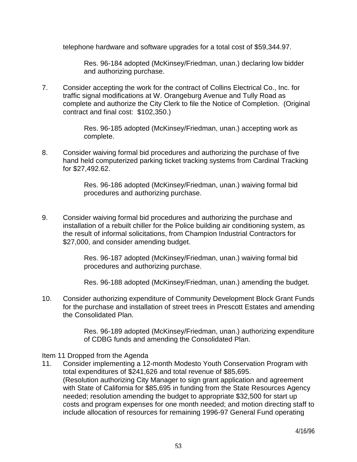telephone hardware and software upgrades for a total cost of \$59,344.97.

 Res. 96-184 adopted (McKinsey/Friedman, unan.) declaring low bidder and authorizing purchase.

7. Consider accepting the work for the contract of Collins Electrical Co., Inc. for traffic signal modifications at W. Orangeburg Avenue and Tully Road as complete and authorize the City Clerk to file the Notice of Completion. (Original contract and final cost: \$102,350.)

> Res. 96-185 adopted (McKinsey/Friedman, unan.) accepting work as complete.

8. Consider waiving formal bid procedures and authorizing the purchase of five hand held computerized parking ticket tracking systems from Cardinal Tracking for \$27,492.62.

> Res. 96-186 adopted (McKinsey/Friedman, unan.) waiving formal bid procedures and authorizing purchase.

9. Consider waiving formal bid procedures and authorizing the purchase and installation of a rebuilt chiller for the Police building air conditioning system, as the result of informal solicitations, from Champion Industrial Contractors for \$27,000, and consider amending budget.

> Res. 96-187 adopted (McKinsey/Friedman, unan.) waiving formal bid procedures and authorizing purchase.

Res. 96-188 adopted (McKinsey/Friedman, unan.) amending the budget.

10. Consider authorizing expenditure of Community Development Block Grant Funds for the purchase and installation of street trees in Prescott Estates and amending the Consolidated Plan.

> Res. 96-189 adopted (McKinsey/Friedman, unan.) authorizing expenditure of CDBG funds and amending the Consolidated Plan.

#### Item 11 Dropped from the Agenda

11. Consider implementing a 12-month Modesto Youth Conservation Program with total expenditures of \$241,626 and total revenue of \$85,695. (Resolution authorizing City Manager to sign grant application and agreement with State of California for \$85,695 in funding from the State Resources Agency needed; resolution amending the budget to appropriate \$32,500 for start up costs and program expenses for one month needed; and motion directing staff to include allocation of resources for remaining 1996-97 General Fund operating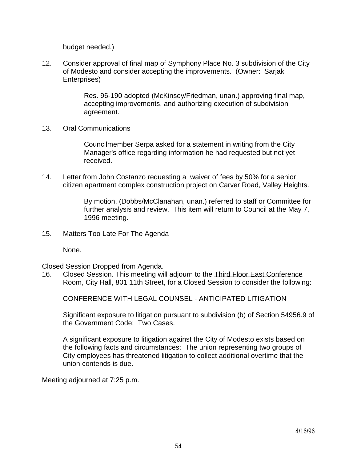budget needed.)

12. Consider approval of final map of Symphony Place No. 3 subdivision of the City of Modesto and consider accepting the improvements. (Owner: Sarjak Enterprises)

> Res. 96-190 adopted (McKinsey/Friedman, unan.) approving final map, accepting improvements, and authorizing execution of subdivision agreement.

13. Oral Communications

 Councilmember Serpa asked for a statement in writing from the City Manager's office regarding information he had requested but not yet received.

14. Letter from John Costanzo requesting a waiver of fees by 50% for a senior citizen apartment complex construction project on Carver Road, Valley Heights.

> By motion, (Dobbs/McClanahan, unan.) referred to staff or Committee for further analysis and review. This item will return to Council at the May 7, 1996 meeting.

15. Matters Too Late For The Agenda

None.

Closed Session Dropped from Agenda.

16. Closed Session. This meeting will adjourn to the Third Floor East Conference Room, City Hall, 801 11th Street, for a Closed Session to consider the following:

CONFERENCE WITH LEGAL COUNSEL - ANTICIPATED LITIGATION

 Significant exposure to litigation pursuant to subdivision (b) of Section 54956.9 of the Government Code: Two Cases.

 A significant exposure to litigation against the City of Modesto exists based on the following facts and circumstances: The union representing two groups of City employees has threatened litigation to collect additional overtime that the union contends is due.

Meeting adjourned at 7:25 p.m.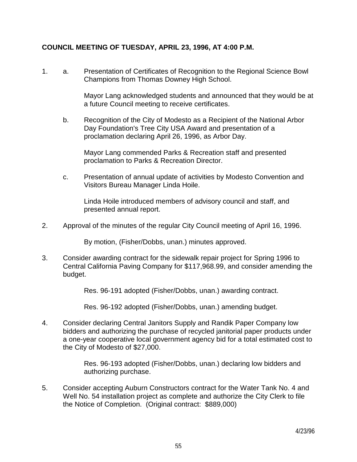# **COUNCIL MEETING OF TUESDAY, APRIL 23, 1996, AT 4:00 P.M.**

1. a. Presentation of Certificates of Recognition to the Regional Science Bowl Champions from Thomas Downey High School.

> Mayor Lang acknowledged students and announced that they would be at a future Council meeting to receive certificates.

 b. Recognition of the City of Modesto as a Recipient of the National Arbor Day Foundation's Tree City USA Award and presentation of a proclamation declaring April 26, 1996, as Arbor Day.

 Mayor Lang commended Parks & Recreation staff and presented proclamation to Parks & Recreation Director.

 c. Presentation of annual update of activities by Modesto Convention and Visitors Bureau Manager Linda Hoile.

 Linda Hoile introduced members of advisory council and staff, and presented annual report.

2. Approval of the minutes of the regular City Council meeting of April 16, 1996.

By motion, (Fisher/Dobbs, unan.) minutes approved.

3. Consider awarding contract for the sidewalk repair project for Spring 1996 to Central California Paving Company for \$117,968.99, and consider amending the budget.

Res. 96-191 adopted (Fisher/Dobbs, unan.) awarding contract.

Res. 96-192 adopted (Fisher/Dobbs, unan.) amending budget.

4. Consider declaring Central Janitors Supply and Randik Paper Company low bidders and authorizing the purchase of recycled janitorial paper products under a one-year cooperative local government agency bid for a total estimated cost to the City of Modesto of \$27,000.

> Res. 96-193 adopted (Fisher/Dobbs, unan.) declaring low bidders and authorizing purchase.

5. Consider accepting Auburn Constructors contract for the Water Tank No. 4 and Well No. 54 installation project as complete and authorize the City Clerk to file the Notice of Completion. (Original contract: \$889,000)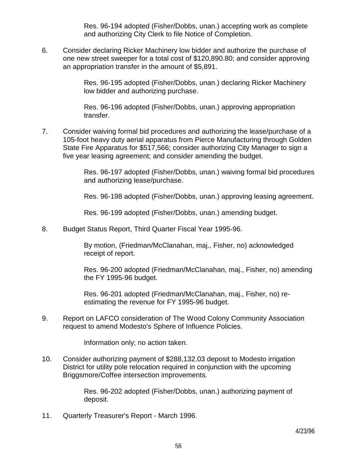Res. 96-194 adopted (Fisher/Dobbs, unan.) accepting work as complete and authorizing City Clerk to file Notice of Completion.

6. Consider declaring Ricker Machinery low bidder and authorize the purchase of one new street sweeper for a total cost of \$120,890.80; and consider approving an appropriation transfer in the amount of \$5,891.

> Res. 96-195 adopted (Fisher/Dobbs, unan.) declaring Ricker Machinery low bidder and authorizing purchase.

 Res. 96-196 adopted (Fisher/Dobbs, unan.) approving appropriation transfer.

7. Consider waiving formal bid procedures and authorizing the lease/purchase of a 105-foot heavy duty aerial apparatus from Pierce Manufacturing through Golden State Fire Apparatus for \$517,566; consider authorizing City Manager to sign a five year leasing agreement; and consider amending the budget.

> Res. 96-197 adopted (Fisher/Dobbs, unan.) waiving formal bid procedures and authorizing lease/purchase.

> Res. 96-198 adopted (Fisher/Dobbs, unan.) approving leasing agreement.

Res. 96-199 adopted (Fisher/Dobbs, unan.) amending budget.

8. Budget Status Report, Third Quarter Fiscal Year 1995-96.

 By motion, (Friedman/McClanahan, maj., Fisher, no) acknowledged receipt of report.

 Res. 96-200 adopted (Friedman/McClanahan, maj., Fisher, no) amending the FY 1995-96 budget.

 Res. 96-201 adopted (Friedman/McClanahan, maj., Fisher, no) reestimating the revenue for FY 1995-96 budget.

9. Report on LAFCO consideration of The Wood Colony Community Association request to amend Modesto's Sphere of Influence Policies.

Information only; no action taken.

10. Consider authorizing payment of \$288,132.03 deposit to Modesto irrigation District for utility pole relocation required in conjunction with the upcoming Briggsmore/Coffee intersection improvements.

> Res. 96-202 adopted (Fisher/Dobbs, unan.) authorizing payment of deposit.

11. Quarterly Treasurer's Report - March 1996.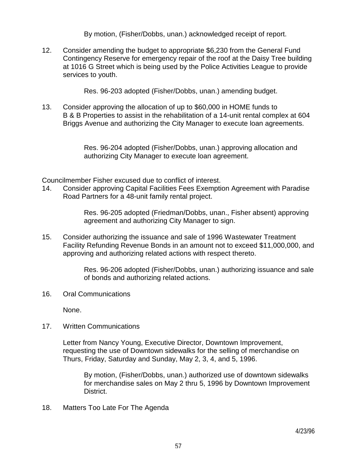By motion, (Fisher/Dobbs, unan.) acknowledged receipt of report.

12. Consider amending the budget to appropriate \$6,230 from the General Fund Contingency Reserve for emergency repair of the roof at the Daisy Tree building at 1016 G Street which is being used by the Police Activities League to provide services to youth.

Res. 96-203 adopted (Fisher/Dobbs, unan.) amending budget.

13. Consider approving the allocation of up to \$60,000 in HOME funds to B & B Properties to assist in the rehabilitation of a 14-unit rental complex at 604 Briggs Avenue and authorizing the City Manager to execute loan agreements.

> Res. 96-204 adopted (Fisher/Dobbs, unan.) approving allocation and authorizing City Manager to execute loan agreement.

Councilmember Fisher excused due to conflict of interest.

14. Consider approving Capital Facilities Fees Exemption Agreement with Paradise Road Partners for a 48-unit family rental project.

> Res. 96-205 adopted (Friedman/Dobbs, unan., Fisher absent) approving agreement and authorizing City Manager to sign.

15. Consider authorizing the issuance and sale of 1996 Wastewater Treatment Facility Refunding Revenue Bonds in an amount not to exceed \$11,000,000, and approving and authorizing related actions with respect thereto.

> Res. 96-206 adopted (Fisher/Dobbs, unan.) authorizing issuance and sale of bonds and authorizing related actions.

16. Oral Communications

None.

17. Written Communications

 Letter from Nancy Young, Executive Director, Downtown Improvement, requesting the use of Downtown sidewalks for the selling of merchandise on Thurs, Friday, Saturday and Sunday, May 2, 3, 4, and 5, 1996.

 By motion, (Fisher/Dobbs, unan.) authorized use of downtown sidewalks for merchandise sales on May 2 thru 5, 1996 by Downtown Improvement District.

18. Matters Too Late For The Agenda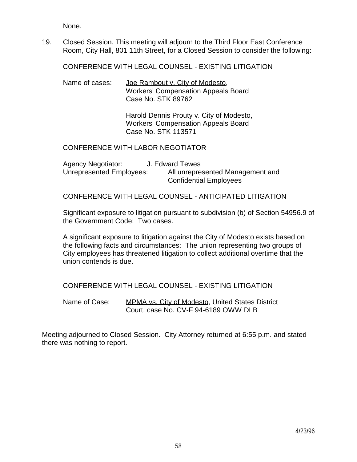None.

19. Closed Session. This meeting will adjourn to the Third Floor East Conference Room, City Hall, 801 11th Street, for a Closed Session to consider the following:

CONFERENCE WITH LEGAL COUNSEL - EXISTING LITIGATION

Name of cases: Joe Rambout v. City of Modesto, Workers' Compensation Appeals Board Case No. STK 89762

> Harold Dennis Prouty v. City of Modesto, Workers' Compensation Appeals Board Case No. STK 113571

#### CONFERENCE WITH LABOR NEGOTIATOR

| <b>Agency Negotiator:</b> | J. Edward Tewes                  |
|---------------------------|----------------------------------|
| Unrepresented Employees:  | All unrepresented Management and |
|                           | <b>Confidential Employees</b>    |

CONFERENCE WITH LEGAL COUNSEL - ANTICIPATED LITIGATION

 Significant exposure to litigation pursuant to subdivision (b) of Section 54956.9 of the Government Code: Two cases.

 A significant exposure to litigation against the City of Modesto exists based on the following facts and circumstances: The union representing two groups of City employees has threatened litigation to collect additional overtime that the union contends is due.

CONFERENCE WITH LEGAL COUNSEL - EXISTING LITIGATION

Name of Case: MPMA vs. City of Modesto, United States District Court, case No. CV-F 94-6189 OWW DLB

Meeting adjourned to Closed Session. City Attorney returned at 6:55 p.m. and stated there was nothing to report.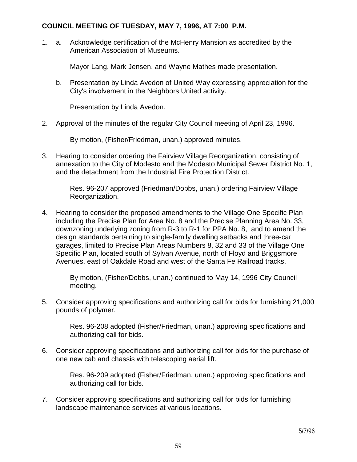## **COUNCIL MEETING OF TUESDAY, MAY 7, 1996, AT 7:00 P.M.**

1. a. Acknowledge certification of the McHenry Mansion as accredited by the American Association of Museums.

Mayor Lang, Mark Jensen, and Wayne Mathes made presentation.

 b. Presentation by Linda Avedon of United Way expressing appreciation for the City's involvement in the Neighbors United activity.

Presentation by Linda Avedon.

2. Approval of the minutes of the regular City Council meeting of April 23, 1996.

By motion, (Fisher/Friedman, unan.) approved minutes.

3. Hearing to consider ordering the Fairview Village Reorganization, consisting of annexation to the City of Modesto and the Modesto Municipal Sewer District No. 1, and the detachment from the Industrial Fire Protection District.

> Res. 96-207 approved (Friedman/Dobbs, unan.) ordering Fairview Village Reorganization.

4. Hearing to consider the proposed amendments to the Village One Specific Plan including the Precise Plan for Area No. 8 and the Precise Planning Area No. 33, downzoning underlying zoning from R-3 to R-1 for PPA No. 8, and to amend the design standards pertaining to single-family dwelling setbacks and three-car garages, limited to Precise Plan Areas Numbers 8, 32 and 33 of the Village One Specific Plan, located south of Sylvan Avenue, north of Floyd and Briggsmore Avenues, east of Oakdale Road and west of the Santa Fe Railroad tracks.

> By motion, (Fisher/Dobbs, unan.) continued to May 14, 1996 City Council meeting.

5. Consider approving specifications and authorizing call for bids for furnishing 21,000 pounds of polymer.

> Res. 96-208 adopted (Fisher/Friedman, unan.) approving specifications and authorizing call for bids.

6. Consider approving specifications and authorizing call for bids for the purchase of one new cab and chassis with telescoping aerial lift.

> Res. 96-209 adopted (Fisher/Friedman, unan.) approving specifications and authorizing call for bids.

7. Consider approving specifications and authorizing call for bids for furnishing landscape maintenance services at various locations.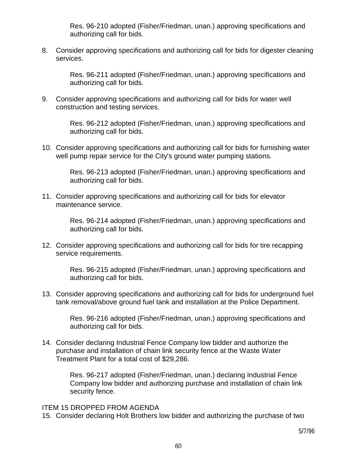Res. 96-210 adopted (Fisher/Friedman, unan.) approving specifications and authorizing call for bids.

8. Consider approving specifications and authorizing call for bids for digester cleaning services.

> Res. 96-211 adopted (Fisher/Friedman, unan.) approving specifications and authorizing call for bids.

9. Consider approving specifications and authorizing call for bids for water well construction and testing services.

> Res. 96-212 adopted (Fisher/Friedman, unan.) approving specifications and authorizing call for bids.

10. Consider approving specifications and authorizing call for bids for furnishing water well pump repair service for the City's ground water pumping stations.

> Res. 96-213 adopted (Fisher/Friedman, unan.) approving specifications and authorizing call for bids.

11. Consider approving specifications and authorizing call for bids for elevator maintenance service.

> Res. 96-214 adopted (Fisher/Friedman, unan.) approving specifications and authorizing call for bids.

12. Consider approving specifications and authorizing call for bids for tire recapping service requirements.

> Res. 96-215 adopted (Fisher/Friedman, unan.) approving specifications and authorizing call for bids.

13. Consider approving specifications and authorizing call for bids for underground fuel tank removal/above ground fuel tank and installation at the Police Department.

 Res. 96-216 adopted (Fisher/Friedman, unan.) approving specifications and authorizing call for bids.

14. Consider declaring Industrial Fence Company low bidder and authorize the purchase and installation of chain link security fence at the Waste Water Treatment Plant for a total cost of \$29,286.

> Res. 96-217 adopted (Fisher/Friedman, unan.) declaring Industrial Fence Company low bidder and authorizing purchase and installation of chain link security fence.

### ITEM 15 DROPPED FROM AGENDA

15. Consider declaring Holt Brothers low bidder and authorizing the purchase of two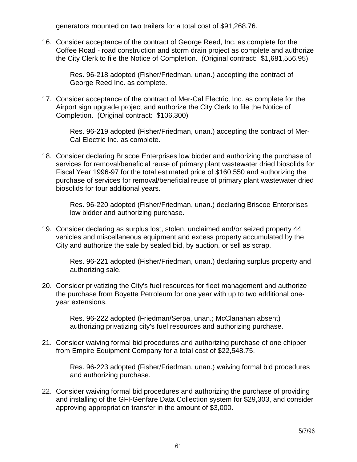generators mounted on two trailers for a total cost of \$91,268.76.

16. Consider acceptance of the contract of George Reed, Inc. as complete for the Coffee Road - road construction and storm drain project as complete and authorize the City Clerk to file the Notice of Completion. (Original contract: \$1,681,556.95)

> Res. 96-218 adopted (Fisher/Friedman, unan.) accepting the contract of George Reed Inc. as complete.

17. Consider acceptance of the contract of Mer-Cal Electric, Inc. as complete for the Airport sign upgrade project and authorize the City Clerk to file the Notice of Completion. (Original contract: \$106,300)

> Res. 96-219 adopted (Fisher/Friedman, unan.) accepting the contract of Mer-Cal Electric Inc. as complete.

18. Consider declaring Briscoe Enterprises low bidder and authorizing the purchase of services for removal/beneficial reuse of primary plant wastewater dried biosolids for Fiscal Year 1996-97 for the total estimated price of \$160,550 and authorizing the purchase of services for removal/beneficial reuse of primary plant wastewater dried biosolids for four additional years.

> Res. 96-220 adopted (Fisher/Friedman, unan.) declaring Briscoe Enterprises low bidder and authorizing purchase.

19. Consider declaring as surplus lost, stolen, unclaimed and/or seized property 44 vehicles and miscellaneous equipment and excess property accumulated by the City and authorize the sale by sealed bid, by auction, or sell as scrap.

> Res. 96-221 adopted (Fisher/Friedman, unan.) declaring surplus property and authorizing sale.

20. Consider privatizing the City's fuel resources for fleet management and authorize the purchase from Boyette Petroleum for one year with up to two additional oneyear extensions.

> Res. 96-222 adopted (Friedman/Serpa, unan.; McClanahan absent) authorizing privatizing city's fuel resources and authorizing purchase.

21. Consider waiving formal bid procedures and authorizing purchase of one chipper from Empire Equipment Company for a total cost of \$22,548.75.

> Res. 96-223 adopted (Fisher/Friedman, unan.) waiving formal bid procedures and authorizing purchase.

22. Consider waiving formal bid procedures and authorizing the purchase of providing and installing of the GFI-Genfare Data Collection system for \$29,303, and consider approving appropriation transfer in the amount of \$3,000.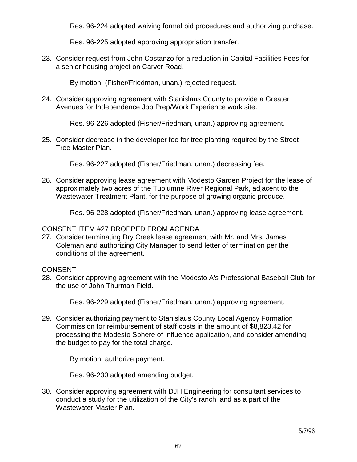Res. 96-224 adopted waiving formal bid procedures and authorizing purchase.

Res. 96-225 adopted approving appropriation transfer.

23. Consider request from John Costanzo for a reduction in Capital Facilities Fees for a senior housing project on Carver Road.

By motion, (Fisher/Friedman, unan.) rejected request.

24. Consider approving agreement with Stanislaus County to provide a Greater Avenues for Independence Job Prep/Work Experience work site.

Res. 96-226 adopted (Fisher/Friedman, unan.) approving agreement.

25. Consider decrease in the developer fee for tree planting required by the Street Tree Master Plan.

Res. 96-227 adopted (Fisher/Friedman, unan.) decreasing fee.

26. Consider approving lease agreement with Modesto Garden Project for the lease of approximately two acres of the Tuolumne River Regional Park, adjacent to the Wastewater Treatment Plant, for the purpose of growing organic produce.

Res. 96-228 adopted (Fisher/Friedman, unan.) approving lease agreement.

# CONSENT ITEM #27 DROPPED FROM AGENDA

27. Consider terminating Dry Creek lease agreement with Mr. and Mrs. James Coleman and authorizing City Manager to send letter of termination per the conditions of the agreement.

# **CONSENT**

28. Consider approving agreement with the Modesto A's Professional Baseball Club for the use of John Thurman Field.

Res. 96-229 adopted (Fisher/Friedman, unan.) approving agreement.

29. Consider authorizing payment to Stanislaus County Local Agency Formation Commission for reimbursement of staff costs in the amount of \$8,823.42 for processing the Modesto Sphere of Influence application, and consider amending the budget to pay for the total charge.

By motion, authorize payment.

Res. 96-230 adopted amending budget.

30. Consider approving agreement with DJH Engineering for consultant services to conduct a study for the utilization of the City's ranch land as a part of the Wastewater Master Plan.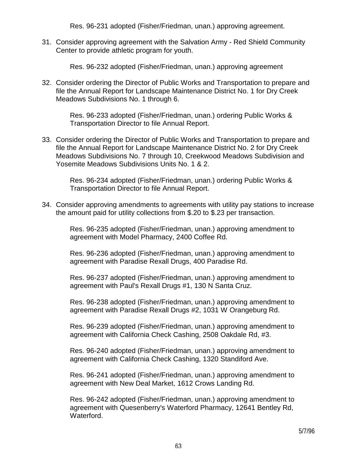Res. 96-231 adopted (Fisher/Friedman, unan.) approving agreement.

31. Consider approving agreement with the Salvation Army - Red Shield Community Center to provide athletic program for youth.

Res. 96-232 adopted (Fisher/Friedman, unan.) approving agreement

32. Consider ordering the Director of Public Works and Transportation to prepare and file the Annual Report for Landscape Maintenance District No. 1 for Dry Creek Meadows Subdivisions No. 1 through 6.

> Res. 96-233 adopted (Fisher/Friedman, unan.) ordering Public Works & Transportation Director to file Annual Report.

33. Consider ordering the Director of Public Works and Transportation to prepare and file the Annual Report for Landscape Maintenance District No. 2 for Dry Creek Meadows Subdivisions No. 7 through 10, Creekwood Meadows Subdivision and Yosemite Meadows Subdivisions Units No. 1 & 2.

> Res. 96-234 adopted (Fisher/Friedman, unan.) ordering Public Works & Transportation Director to file Annual Report.

34. Consider approving amendments to agreements with utility pay stations to increase the amount paid for utility collections from \$.20 to \$.23 per transaction.

> Res. 96-235 adopted (Fisher/Friedman, unan.) approving amendment to agreement with Model Pharmacy, 2400 Coffee Rd.

> Res. 96-236 adopted (Fisher/Friedman, unan.) approving amendment to agreement with Paradise Rexall Drugs, 400 Paradise Rd.

> Res. 96-237 adopted (Fisher/Friedman, unan.) approving amendment to agreement with Paul's Rexall Drugs #1, 130 N Santa Cruz.

> Res. 96-238 adopted (Fisher/Friedman, unan.) approving amendment to agreement with Paradise Rexall Drugs #2, 1031 W Orangeburg Rd.

> Res. 96-239 adopted (Fisher/Friedman, unan.) approving amendment to agreement with California Check Cashing, 2508 Oakdale Rd, #3.

> Res. 96-240 adopted (Fisher/Friedman, unan.) approving amendment to agreement with California Check Cashing, 1320 Standiford Ave.

> Res. 96-241 adopted (Fisher/Friedman, unan.) approving amendment to agreement with New Deal Market, 1612 Crows Landing Rd.

> Res. 96-242 adopted (Fisher/Friedman, unan.) approving amendment to agreement with Quesenberry's Waterford Pharmacy, 12641 Bentley Rd, Waterford.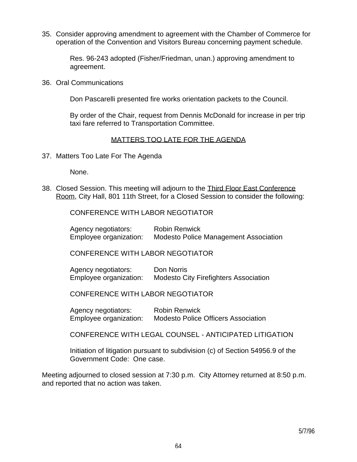35. Consider approving amendment to agreement with the Chamber of Commerce for operation of the Convention and Visitors Bureau concerning payment schedule.

> Res. 96-243 adopted (Fisher/Friedman, unan.) approving amendment to agreement.

36. Oral Communications

Don Pascarelli presented fire works orientation packets to the Council.

 By order of the Chair, request from Dennis McDonald for increase in per trip taxi fare referred to Transportation Committee.

### MATTERS TOO LATE FOR THE AGENDA

37. Matters Too Late For The Agenda

None.

38. Closed Session. This meeting will adjourn to the Third Floor East Conference Room, City Hall, 801 11th Street, for a Closed Session to consider the following:

CONFERENCE WITH LABOR NEGOTIATOR

 Agency negotiators: Robin Renwick Employee organization: Modesto Police Management Association

CONFERENCE WITH LABOR NEGOTIATOR

 Agency negotiators: Don Norris Employee organization: Modesto City Firefighters Association

CONFERENCE WITH LABOR NEGOTIATOR

 Agency negotiators: Robin Renwick Employee organization: Modesto Police Officers Association

CONFERENCE WITH LEGAL COUNSEL - ANTICIPATED LITIGATION

 Initiation of litigation pursuant to subdivision (c) of Section 54956.9 of the Government Code: One case.

Meeting adjourned to closed session at 7:30 p.m. City Attorney returned at 8:50 p.m. and reported that no action was taken.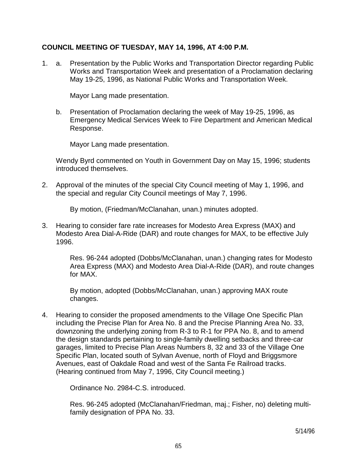## **COUNCIL MEETING OF TUESDAY, MAY 14, 1996, AT 4:00 P.M.**

1. a. Presentation by the Public Works and Transportation Director regarding Public Works and Transportation Week and presentation of a Proclamation declaring May 19-25, 1996, as National Public Works and Transportation Week.

Mayor Lang made presentation.

 b. Presentation of Proclamation declaring the week of May 19-25, 1996, as Emergency Medical Services Week to Fire Department and American Medical Response.

Mayor Lang made presentation.

 Wendy Byrd commented on Youth in Government Day on May 15, 1996; students introduced themselves.

2. Approval of the minutes of the special City Council meeting of May 1, 1996, and the special and regular City Council meetings of May 7, 1996.

By motion, (Friedman/McClanahan, unan.) minutes adopted.

3. Hearing to consider fare rate increases for Modesto Area Express (MAX) and Modesto Area Dial-A-Ride (DAR) and route changes for MAX, to be effective July 1996.

> Res. 96-244 adopted (Dobbs/McClanahan, unan.) changing rates for Modesto Area Express (MAX) and Modesto Area Dial-A-Ride (DAR), and route changes for MAX.

 By motion, adopted (Dobbs/McClanahan, unan.) approving MAX route changes.

4. Hearing to consider the proposed amendments to the Village One Specific Plan including the Precise Plan for Area No. 8 and the Precise Planning Area No. 33, downzoning the underlying zoning from R-3 to R-1 for PPA No. 8, and to amend the design standards pertaining to single-family dwelling setbacks and three-car garages, limited to Precise Plan Areas Numbers 8, 32 and 33 of the Village One Specific Plan, located south of Sylvan Avenue, north of Floyd and Briggsmore Avenues, east of Oakdale Road and west of the Santa Fe Railroad tracks. (Hearing continued from May 7, 1996, City Council meeting.)

Ordinance No. 2984-C.S. introduced.

 Res. 96-245 adopted (McClanahan/Friedman, maj.; Fisher, no) deleting multifamily designation of PPA No. 33.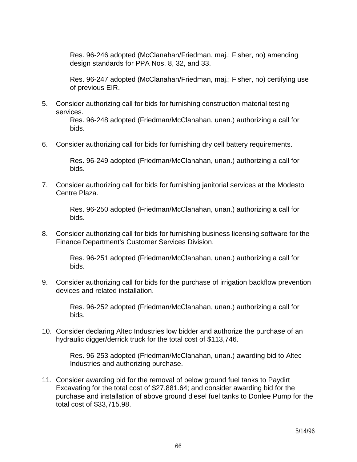Res. 96-246 adopted (McClanahan/Friedman, maj.; Fisher, no) amending design standards for PPA Nos. 8, 32, and 33.

 Res. 96-247 adopted (McClanahan/Friedman, maj.; Fisher, no) certifying use of previous EIR.

5. Consider authorizing call for bids for furnishing construction material testing services.

> Res. 96-248 adopted (Friedman/McClanahan, unan.) authorizing a call for bids.

6. Consider authorizing call for bids for furnishing dry cell battery requirements.

 Res. 96-249 adopted (Friedman/McClanahan, unan.) authorizing a call for bids.

7. Consider authorizing call for bids for furnishing janitorial services at the Modesto Centre Plaza.

> Res. 96-250 adopted (Friedman/McClanahan, unan.) authorizing a call for bids.

8. Consider authorizing call for bids for furnishing business licensing software for the Finance Department's Customer Services Division.

> Res. 96-251 adopted (Friedman/McClanahan, unan.) authorizing a call for bids.

9. Consider authorizing call for bids for the purchase of irrigation backflow prevention devices and related installation.

> Res. 96-252 adopted (Friedman/McClanahan, unan.) authorizing a call for bids.

10. Consider declaring Altec Industries low bidder and authorize the purchase of an hydraulic digger/derrick truck for the total cost of \$113,746.

> Res. 96-253 adopted (Friedman/McClanahan, unan.) awarding bid to Altec Industries and authorizing purchase.

11. Consider awarding bid for the removal of below ground fuel tanks to Paydirt Excavating for the total cost of \$27,881.64; and consider awarding bid for the purchase and installation of above ground diesel fuel tanks to Donlee Pump for the total cost of \$33,715.98.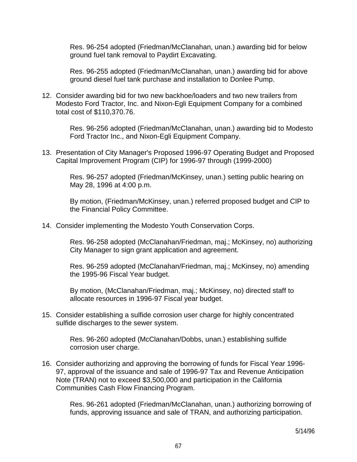Res. 96-254 adopted (Friedman/McClanahan, unan.) awarding bid for below ground fuel tank removal to Paydirt Excavating.

 Res. 96-255 adopted (Friedman/McClanahan, unan.) awarding bid for above ground diesel fuel tank purchase and installation to Donlee Pump.

12. Consider awarding bid for two new backhoe/loaders and two new trailers from Modesto Ford Tractor, Inc. and Nixon-Egli Equipment Company for a combined total cost of \$110,370.76.

> Res. 96-256 adopted (Friedman/McClanahan, unan.) awarding bid to Modesto Ford Tractor Inc., and Nixon-Egli Equipment Company.

13. Presentation of City Manager's Proposed 1996-97 Operating Budget and Proposed Capital Improvement Program (CIP) for 1996-97 through (1999-2000)

 Res. 96-257 adopted (Friedman/McKinsey, unan.) setting public hearing on May 28, 1996 at 4:00 p.m.

 By motion, (Friedman/McKinsey, unan.) referred proposed budget and CIP to the Financial Policy Committee.

14. Consider implementing the Modesto Youth Conservation Corps.

 Res. 96-258 adopted (McClanahan/Friedman, maj.; McKinsey, no) authorizing City Manager to sign grant application and agreement.

 Res. 96-259 adopted (McClanahan/Friedman, maj.; McKinsey, no) amending the 1995-96 Fiscal Year budget.

 By motion, (McClanahan/Friedman, maj.; McKinsey, no) directed staff to allocate resources in 1996-97 Fiscal year budget.

15. Consider establishing a sulfide corrosion user charge for highly concentrated sulfide discharges to the sewer system.

> Res. 96-260 adopted (McClanahan/Dobbs, unan.) establishing sulfide corrosion user charge.

16. Consider authorizing and approving the borrowing of funds for Fiscal Year 1996- 97, approval of the issuance and sale of 1996-97 Tax and Revenue Anticipation Note (TRAN) not to exceed \$3,500,000 and participation in the California Communities Cash Flow Financing Program.

> Res. 96-261 adopted (Friedman/McClanahan, unan.) authorizing borrowing of funds, approving issuance and sale of TRAN, and authorizing participation.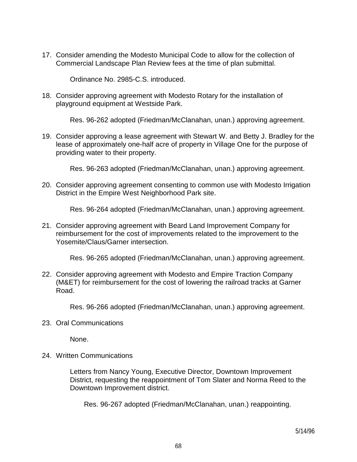17. Consider amending the Modesto Municipal Code to allow for the collection of Commercial Landscape Plan Review fees at the time of plan submittal.

Ordinance No. 2985-C.S. introduced.

18. Consider approving agreement with Modesto Rotary for the installation of playground equipment at Westside Park.

Res. 96-262 adopted (Friedman/McClanahan, unan.) approving agreement.

19. Consider approving a lease agreement with Stewart W. and Betty J. Bradley for the lease of approximately one-half acre of property in Village One for the purpose of providing water to their property.

Res. 96-263 adopted (Friedman/McClanahan, unan.) approving agreement.

20. Consider approving agreement consenting to common use with Modesto Irrigation District in the Empire West Neighborhood Park site.

Res. 96-264 adopted (Friedman/McClanahan, unan.) approving agreement.

21. Consider approving agreement with Beard Land Improvement Company for reimbursement for the cost of improvements related to the improvement to the Yosemite/Claus/Garner intersection.

Res. 96-265 adopted (Friedman/McClanahan, unan.) approving agreement.

22. Consider approving agreement with Modesto and Empire Traction Company (M&ET) for reimbursement for the cost of lowering the railroad tracks at Garner Road.

Res. 96-266 adopted (Friedman/McClanahan, unan.) approving agreement.

23. Oral Communications

None.

24. Written Communications

 Letters from Nancy Young, Executive Director, Downtown Improvement District, requesting the reappointment of Tom Slater and Norma Reed to the Downtown Improvement district.

Res. 96-267 adopted (Friedman/McClanahan, unan.) reappointing.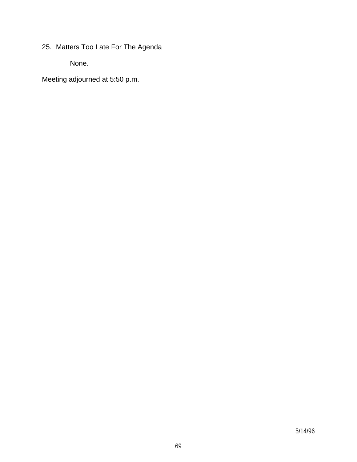25. Matters Too Late For The Agenda

None.

Meeting adjourned at 5:50 p.m.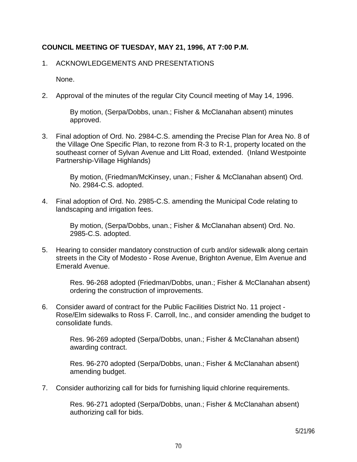# **COUNCIL MEETING OF TUESDAY, MAY 21, 1996, AT 7:00 P.M.**

### 1. ACKNOWLEDGEMENTS AND PRESENTATIONS

None.

2. Approval of the minutes of the regular City Council meeting of May 14, 1996.

 By motion, (Serpa/Dobbs, unan.; Fisher & McClanahan absent) minutes approved.

3. Final adoption of Ord. No. 2984-C.S. amending the Precise Plan for Area No. 8 of the Village One Specific Plan, to rezone from R-3 to R-1, property located on the southeast corner of Sylvan Avenue and Litt Road, extended. (Inland Westpointe Partnership-Village Highlands)

> By motion, (Friedman/McKinsey, unan.; Fisher & McClanahan absent) Ord. No. 2984-C.S. adopted.

4. Final adoption of Ord. No. 2985-C.S. amending the Municipal Code relating to landscaping and irrigation fees.

> By motion, (Serpa/Dobbs, unan.; Fisher & McClanahan absent) Ord. No. 2985-C.S. adopted.

5. Hearing to consider mandatory construction of curb and/or sidewalk along certain streets in the City of Modesto - Rose Avenue, Brighton Avenue, Elm Avenue and Emerald Avenue.

> Res. 96-268 adopted (Friedman/Dobbs, unan.; Fisher & McClanahan absent) ordering the construction of improvements.

6. Consider award of contract for the Public Facilities District No. 11 project - Rose/Elm sidewalks to Ross F. Carroll, Inc., and consider amending the budget to consolidate funds.

> Res. 96-269 adopted (Serpa/Dobbs, unan.; Fisher & McClanahan absent) awarding contract.

> Res. 96-270 adopted (Serpa/Dobbs, unan.; Fisher & McClanahan absent) amending budget.

7. Consider authorizing call for bids for furnishing liquid chlorine requirements.

 Res. 96-271 adopted (Serpa/Dobbs, unan.; Fisher & McClanahan absent) authorizing call for bids.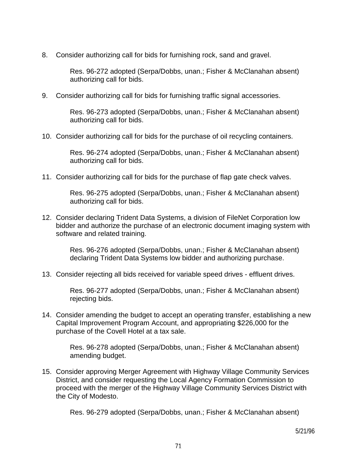8. Consider authorizing call for bids for furnishing rock, sand and gravel.

 Res. 96-272 adopted (Serpa/Dobbs, unan.; Fisher & McClanahan absent) authorizing call for bids.

9. Consider authorizing call for bids for furnishing traffic signal accessories.

 Res. 96-273 adopted (Serpa/Dobbs, unan.; Fisher & McClanahan absent) authorizing call for bids.

10. Consider authorizing call for bids for the purchase of oil recycling containers.

 Res. 96-274 adopted (Serpa/Dobbs, unan.; Fisher & McClanahan absent) authorizing call for bids.

11. Consider authorizing call for bids for the purchase of flap gate check valves.

 Res. 96-275 adopted (Serpa/Dobbs, unan.; Fisher & McClanahan absent) authorizing call for bids.

12. Consider declaring Trident Data Systems, a division of FileNet Corporation low bidder and authorize the purchase of an electronic document imaging system with software and related training.

 Res. 96-276 adopted (Serpa/Dobbs, unan.; Fisher & McClanahan absent) declaring Trident Data Systems low bidder and authorizing purchase.

13. Consider rejecting all bids received for variable speed drives - effluent drives.

 Res. 96-277 adopted (Serpa/Dobbs, unan.; Fisher & McClanahan absent) rejecting bids.

14. Consider amending the budget to accept an operating transfer, establishing a new Capital Improvement Program Account, and appropriating \$226,000 for the purchase of the Covell Hotel at a tax sale.

 Res. 96-278 adopted (Serpa/Dobbs, unan.; Fisher & McClanahan absent) amending budget.

15. Consider approving Merger Agreement with Highway Village Community Services District, and consider requesting the Local Agency Formation Commission to proceed with the merger of the Highway Village Community Services District with the City of Modesto.

Res. 96-279 adopted (Serpa/Dobbs, unan.; Fisher & McClanahan absent)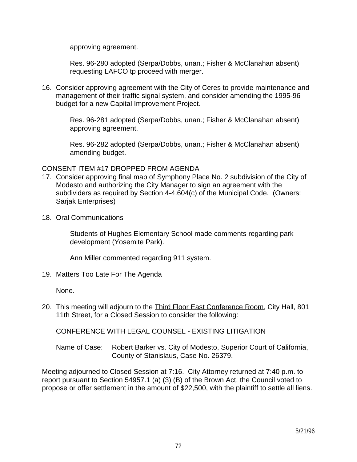approving agreement.

 Res. 96-280 adopted (Serpa/Dobbs, unan.; Fisher & McClanahan absent) requesting LAFCO tp proceed with merger.

16. Consider approving agreement with the City of Ceres to provide maintenance and management of their traffic signal system, and consider amending the 1995-96 budget for a new Capital Improvement Project.

> Res. 96-281 adopted (Serpa/Dobbs, unan.; Fisher & McClanahan absent) approving agreement.

> Res. 96-282 adopted (Serpa/Dobbs, unan.; Fisher & McClanahan absent) amending budget.

### CONSENT ITEM #17 DROPPED FROM AGENDA

- 17. Consider approving final map of Symphony Place No. 2 subdivision of the City of Modesto and authorizing the City Manager to sign an agreement with the subdividers as required by Section 4-4.604(c) of the Municipal Code. (Owners: Sarjak Enterprises)
- 18. Oral Communications

 Students of Hughes Elementary School made comments regarding park development (Yosemite Park).

Ann Miller commented regarding 911 system.

19. Matters Too Late For The Agenda

None.

20. This meeting will adjourn to the Third Floor East Conference Room, City Hall, 801 11th Street, for a Closed Session to consider the following:

CONFERENCE WITH LEGAL COUNSEL - EXISTING LITIGATION

Name of Case: Robert Barker vs. City of Modesto, Superior Court of California, County of Stanislaus, Case No. 26379.

Meeting adjourned to Closed Session at 7:16. City Attorney returned at 7:40 p.m. to report pursuant to Section 54957.1 (a) (3) (B) of the Brown Act, the Council voted to propose or offer settlement in the amount of \$22,500, with the plaintiff to settle all liens.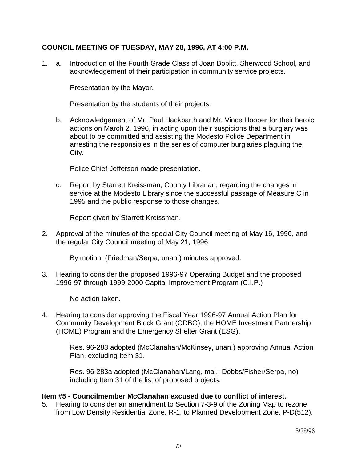### **COUNCIL MEETING OF TUESDAY, MAY 28, 1996, AT 4:00 P.M.**

1. a. Introduction of the Fourth Grade Class of Joan Boblitt, Sherwood School, and acknowledgement of their participation in community service projects.

Presentation by the Mayor.

Presentation by the students of their projects.

 b. Acknowledgement of Mr. Paul Hackbarth and Mr. Vince Hooper for their heroic actions on March 2, 1996, in acting upon their suspicions that a burglary was about to be committed and assisting the Modesto Police Department in arresting the responsibles in the series of computer burglaries plaguing the City.

Police Chief Jefferson made presentation.

 c. Report by Starrett Kreissman, County Librarian, regarding the changes in service at the Modesto Library since the successful passage of Measure C in 1995 and the public response to those changes.

Report given by Starrett Kreissman.

2. Approval of the minutes of the special City Council meeting of May 16, 1996, and the regular City Council meeting of May 21, 1996.

By motion, (Friedman/Serpa, unan.) minutes approved.

3. Hearing to consider the proposed 1996-97 Operating Budget and the proposed 1996-97 through 1999-2000 Capital Improvement Program (C.I.P.)

No action taken.

4. Hearing to consider approving the Fiscal Year 1996-97 Annual Action Plan for Community Development Block Grant (CDBG), the HOME Investment Partnership (HOME) Program and the Emergency Shelter Grant (ESG).

> Res. 96-283 adopted (McClanahan/McKinsey, unan.) approving Annual Action Plan, excluding Item 31.

 Res. 96-283a adopted (McClanahan/Lang, maj.; Dobbs/Fisher/Serpa, no) including Item 31 of the list of proposed projects.

#### **Item #5 - Councilmember McClanahan excused due to conflict of interest.**

5. Hearing to consider an amendment to Section 7-3-9 of the Zoning Map to rezone from Low Density Residential Zone, R-1, to Planned Development Zone, P-D(512),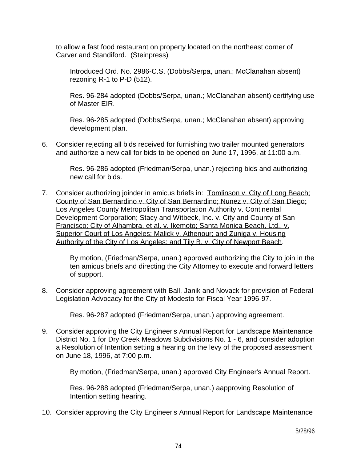to allow a fast food restaurant on property located on the northeast corner of Carver and Standiford. (Steinpress)

 Introduced Ord. No. 2986-C.S. (Dobbs/Serpa, unan.; McClanahan absent) rezoning R-1 to P-D (512).

 Res. 96-284 adopted (Dobbs/Serpa, unan.; McClanahan absent) certifying use of Master EIR.

 Res. 96-285 adopted (Dobbs/Serpa, unan.; McClanahan absent) approving development plan.

6. Consider rejecting all bids received for furnishing two trailer mounted generators and authorize a new call for bids to be opened on June 17, 1996, at 11:00 a.m.

> Res. 96-286 adopted (Friedman/Serpa, unan.) rejecting bids and authorizing new call for bids.

7. Consider authorizing joinder in amicus briefs in: Tomlinson v. City of Long Beach; County of San Bernardino v. City of San Bernardino; Nunez v. City of San Diego; Los Angeles County Metropolitan Transportation Authority v. Continental Development Corporation; Stacy and Witbeck, Inc. v. City and County of San Francisco; City of Alhambra, et al. v. Ikemoto; Santa Monica Beach, Ltd., v. Superior Court of Los Angeles; Malick v. Athenour; and Zuniga v. Housing Authority of the City of Los Angeles; and Tily B. v. City of Newport Beach.

> By motion, (Friedman/Serpa, unan.) approved authorizing the City to join in the ten amicus briefs and directing the City Attorney to execute and forward letters of support.

8. Consider approving agreement with Ball, Janik and Novack for provision of Federal Legislation Advocacy for the City of Modesto for Fiscal Year 1996-97.

Res. 96-287 adopted (Friedman/Serpa, unan.) approving agreement.

9. Consider approving the City Engineer's Annual Report for Landscape Maintenance District No. 1 for Dry Creek Meadows Subdivisions No. 1 - 6, and consider adoption a Resolution of Intention setting a hearing on the levy of the proposed assessment on June 18, 1996, at 7:00 p.m.

By motion, (Friedman/Serpa, unan.) approved City Engineer's Annual Report.

 Res. 96-288 adopted (Friedman/Serpa, unan.) aapproving Resolution of Intention setting hearing.

10. Consider approving the City Engineer's Annual Report for Landscape Maintenance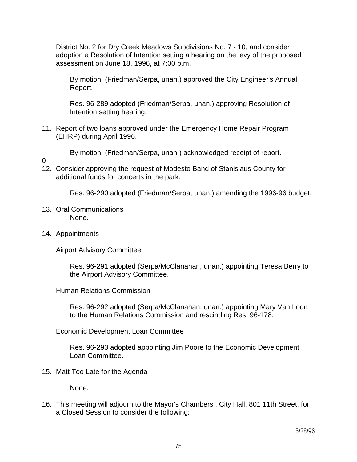District No. 2 for Dry Creek Meadows Subdivisions No. 7 - 10, and consider adoption a Resolution of Intention setting a hearing on the levy of the proposed assessment on June 18, 1996, at 7:00 p.m.

 By motion, (Friedman/Serpa, unan.) approved the City Engineer's Annual Report.

 Res. 96-289 adopted (Friedman/Serpa, unan.) approving Resolution of Intention setting hearing.

11. Report of two loans approved under the Emergency Home Repair Program (EHRP) during April 1996.

By motion, (Friedman/Serpa, unan.) acknowledged receipt of report.

- $\Omega$
- 12. Consider approving the request of Modesto Band of Stanislaus County for additional funds for concerts in the park.

Res. 96-290 adopted (Friedman/Serpa, unan.) amending the 1996-96 budget.

- 13. Oral Communications None.
- 14. Appointments

Airport Advisory Committee

 Res. 96-291 adopted (Serpa/McClanahan, unan.) appointing Teresa Berry to the Airport Advisory Committee.

Human Relations Commission

 Res. 96-292 adopted (Serpa/McClanahan, unan.) appointing Mary Van Loon to the Human Relations Commission and rescinding Res. 96-178.

Economic Development Loan Committee

 Res. 96-293 adopted appointing Jim Poore to the Economic Development Loan Committee.

15. Matt Too Late for the Agenda

None.

16. This meeting will adjourn to the Mayor's Chambers , City Hall, 801 11th Street, for a Closed Session to consider the following: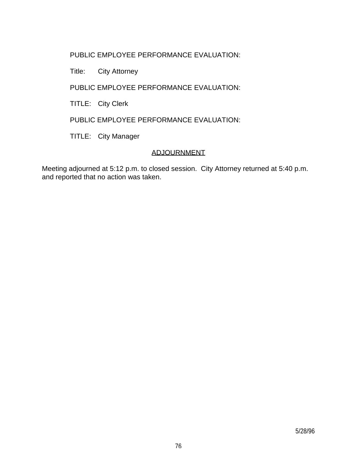## PUBLIC EMPLOYEE PERFORMANCE EVALUATION:

Title: City Attorney

PUBLIC EMPLOYEE PERFORMANCE EVALUATION:

TITLE: City Clerk

PUBLIC EMPLOYEE PERFORMANCE EVALUATION:

TITLE: City Manager

# ADJOURNMENT

Meeting adjourned at 5:12 p.m. to closed session. City Attorney returned at 5:40 p.m. and reported that no action was taken.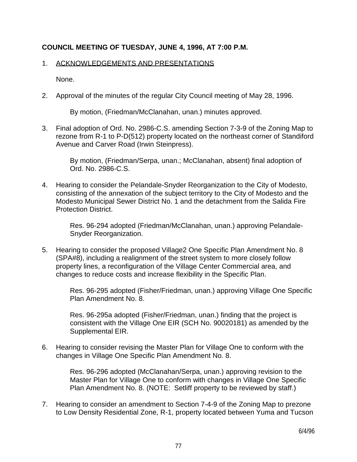## **COUNCIL MEETING OF TUESDAY, JUNE 4, 1996, AT 7:00 P.M.**

#### 1. ACKNOWLEDGEMENTS AND PRESENTATIONS

None.

2. Approval of the minutes of the regular City Council meeting of May 28, 1996.

By motion, (Friedman/McClanahan, unan.) minutes approved.

3. Final adoption of Ord. No. 2986-C.S. amending Section 7-3-9 of the Zoning Map to rezone from R-1 to P-D(512) property located on the northeast corner of Standiford Avenue and Carver Road (Irwin Steinpress).

> By motion, (Friedman/Serpa, unan.; McClanahan, absent) final adoption of Ord. No. 2986-C.S.

4. Hearing to consider the Pelandale-Snyder Reorganization to the City of Modesto, consisting of the annexation of the subject territory to the City of Modesto and the Modesto Municipal Sewer District No. 1 and the detachment from the Salida Fire Protection District.

> Res. 96-294 adopted (Friedman/McClanahan, unan.) approving Pelandale-Snyder Reorganization.

5. Hearing to consider the proposed Village2 One Specific Plan Amendment No. 8 (SPA#8), including a realignment of the street system to more closely follow property lines, a reconfiguration of the Village Center Commercial area, and changes to reduce costs and increase flexibility in the Specific Plan.

> Res. 96-295 adopted (Fisher/Friedman, unan.) approving Village One Specific Plan Amendment No. 8.

 Res. 96-295a adopted (Fisher/Friedman, unan.) finding that the project is consistent with the Village One EIR (SCH No. 90020181) as amended by the Supplemental EIR.

6. Hearing to consider revising the Master Plan for Village One to conform with the changes in Village One Specific Plan Amendment No. 8.

> Res. 96-296 adopted (McClanahan/Serpa, unan.) approving revision to the Master Plan for Village One to conform with changes in Village One Specific Plan Amendment No. 8. (NOTE: Setliff property to be reviewed by staff.)

7. Hearing to consider an amendment to Section 7-4-9 of the Zoning Map to prezone to Low Density Residential Zone, R-1, property located between Yuma and Tucson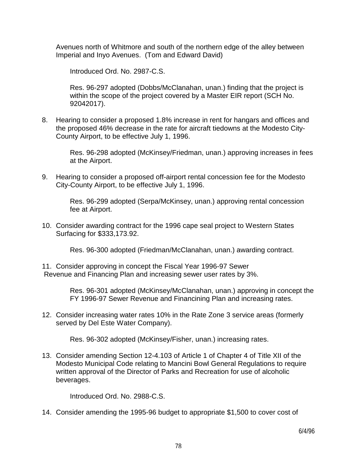Avenues north of Whitmore and south of the northern edge of the alley between Imperial and Inyo Avenues. (Tom and Edward David)

Introduced Ord. No. 2987-C.S.

 Res. 96-297 adopted (Dobbs/McClanahan, unan.) finding that the project is within the scope of the project covered by a Master EIR report (SCH No. 92042017).

8. Hearing to consider a proposed 1.8% increase in rent for hangars and offices and the proposed 46% decrease in the rate for aircraft tiedowns at the Modesto City-County Airport, to be effective July 1, 1996.

> Res. 96-298 adopted (McKinsey/Friedman, unan.) approving increases in fees at the Airport.

9. Hearing to consider a proposed off-airport rental concession fee for the Modesto City-County Airport, to be effective July 1, 1996.

> Res. 96-299 adopted (Serpa/McKinsey, unan.) approving rental concession fee at Airport.

10. Consider awarding contract for the 1996 cape seal project to Western States Surfacing for \$333,173.92.

Res. 96-300 adopted (Friedman/McClanahan, unan.) awarding contract.

11. Consider approving in concept the Fiscal Year 1996-97 Sewer Revenue and Financing Plan and increasing sewer user rates by 3%.

> Res. 96-301 adopted (McKinsey/McClanahan, unan.) approving in concept the FY 1996-97 Sewer Revenue and Financining Plan and increasing rates.

12. Consider increasing water rates 10% in the Rate Zone 3 service areas (formerly served by Del Este Water Company).

Res. 96-302 adopted (McKinsey/Fisher, unan.) increasing rates.

13. Consider amending Section 12-4.103 of Article 1 of Chapter 4 of Title XII of the Modesto Municipal Code relating to Mancini Bowl General Regulations to require written approval of the Director of Parks and Recreation for use of alcoholic beverages.

Introduced Ord. No. 2988-C.S.

14. Consider amending the 1995-96 budget to appropriate \$1,500 to cover cost of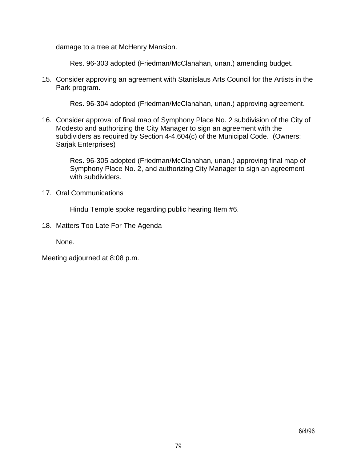damage to a tree at McHenry Mansion.

Res. 96-303 adopted (Friedman/McClanahan, unan.) amending budget.

15. Consider approving an agreement with Stanislaus Arts Council for the Artists in the Park program.

Res. 96-304 adopted (Friedman/McClanahan, unan.) approving agreement.

16. Consider approval of final map of Symphony Place No. 2 subdivision of the City of Modesto and authorizing the City Manager to sign an agreement with the subdividers as required by Section 4-4.604(c) of the Municipal Code. (Owners: Sarjak Enterprises)

> Res. 96-305 adopted (Friedman/McClanahan, unan.) approving final map of Symphony Place No. 2, and authorizing City Manager to sign an agreement with subdividers.

17. Oral Communications

Hindu Temple spoke regarding public hearing Item #6.

18. Matters Too Late For The Agenda

None.

Meeting adjourned at 8:08 p.m.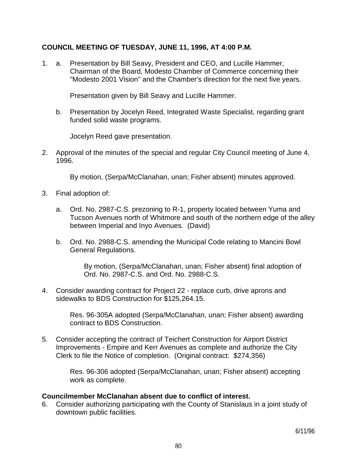#### **COUNCIL MEETING OF TUESDAY, JUNE 11, 1996, AT 4:00 P.M.**

1. a. Presentation by Bill Seavy, President and CEO, and Lucille Hammer, Chairman of the Board, Modesto Chamber of Commerce concerning their "Modesto 2001 Vision" and the Chamber's direction for the next five years.

Presentation given by Bill Seavy and Lucille Hammer.

 b. Presentation by Jocelyn Reed, Integrated Waste Specialist, regarding grant funded solid waste programs.

Jocelyn Reed gave presentation.

2. Approval of the minutes of the special and regular City Council meeting of June 4, 1996.

By motion, (Serpa/McClanahan, unan; Fisher absent) minutes approved.

- 3. Final adoption of:
	- a. Ord. No. 2987-C.S. prezoning to R-1, property located between Yuma and Tucson Avenues north of Whitmore and south of the northern edge of the alley between Imperial and Inyo Avenues. (David)
	- b. Ord. No. 2988-C.S. amending the Municipal Code relating to Mancini Bowl General Regulations.

 By motion, (Serpa/McClanahan, unan; Fisher absent) final adoption of Ord. No. 2987-C.S. and Ord. No. 2988-C.S.

4. Consider awarding contract for Project 22 - replace curb, drive aprons and sidewalks to BDS Construction for \$125,264.15.

> Res. 96-305A adopted (Serpa/McClanahan, unan; Fisher absent) awarding contract to BDS Construction.

5. Consider accepting the contract of Teichert Construction for Airport District Improvements - Empire and Kerr Avenues as complete and authorize the City Clerk to file the Notice of completion. (Original contract: \$274,356)

> Res. 96-306 adopted (Serpa/McClanahan, unan; Fisher absent) accepting work as complete.

#### **Councilmember McClanahan absent due to conflict of interest.**

6. Consider authorizing participating with the County of Stanislaus in a joint study of downtown public facilities.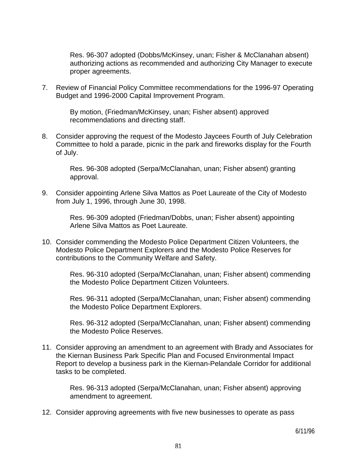Res. 96-307 adopted (Dobbs/McKinsey, unan; Fisher & McClanahan absent) authorizing actions as recommended and authorizing City Manager to execute proper agreements.

7. Review of Financial Policy Committee recommendations for the 1996-97 Operating Budget and 1996-2000 Capital Improvement Program.

> By motion, (Friedman/McKinsey, unan; Fisher absent) approved recommendations and directing staff.

8. Consider approving the request of the Modesto Jaycees Fourth of July Celebration Committee to hold a parade, picnic in the park and fireworks display for the Fourth of July.

 Res. 96-308 adopted (Serpa/McClanahan, unan; Fisher absent) granting approval.

9. Consider appointing Arlene Silva Mattos as Poet Laureate of the City of Modesto from July 1, 1996, through June 30, 1998.

> Res. 96-309 adopted (Friedman/Dobbs, unan; Fisher absent) appointing Arlene Silva Mattos as Poet Laureate.

10. Consider commending the Modesto Police Department Citizen Volunteers, the Modesto Police Department Explorers and the Modesto Police Reserves for contributions to the Community Welfare and Safety.

> Res. 96-310 adopted (Serpa/McClanahan, unan; Fisher absent) commending the Modesto Police Department Citizen Volunteers.

> Res. 96-311 adopted (Serpa/McClanahan, unan; Fisher absent) commending the Modesto Police Department Explorers.

> Res. 96-312 adopted (Serpa/McClanahan, unan; Fisher absent) commending the Modesto Police Reserves.

11. Consider approving an amendment to an agreement with Brady and Associates for the Kiernan Business Park Specific Plan and Focused Environmental Impact Report to develop a business park in the Kiernan-Pelandale Corridor for additional tasks to be completed.

 Res. 96-313 adopted (Serpa/McClanahan, unan; Fisher absent) approving amendment to agreement.

12. Consider approving agreements with five new businesses to operate as pass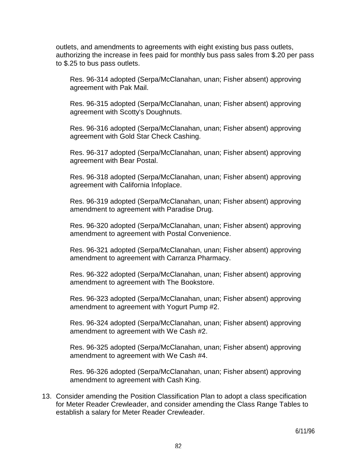outlets, and amendments to agreements with eight existing bus pass outlets, authorizing the increase in fees paid for monthly bus pass sales from \$.20 per pass to \$.25 to bus pass outlets.

 Res. 96-314 adopted (Serpa/McClanahan, unan; Fisher absent) approving agreement with Pak Mail.

 Res. 96-315 adopted (Serpa/McClanahan, unan; Fisher absent) approving agreement with Scotty's Doughnuts.

 Res. 96-316 adopted (Serpa/McClanahan, unan; Fisher absent) approving agreement with Gold Star Check Cashing.

 Res. 96-317 adopted (Serpa/McClanahan, unan; Fisher absent) approving agreement with Bear Postal.

 Res. 96-318 adopted (Serpa/McClanahan, unan; Fisher absent) approving agreement with California Infoplace.

 Res. 96-319 adopted (Serpa/McClanahan, unan; Fisher absent) approving amendment to agreement with Paradise Drug.

 Res. 96-320 adopted (Serpa/McClanahan, unan; Fisher absent) approving amendment to agreement with Postal Convenience.

 Res. 96-321 adopted (Serpa/McClanahan, unan; Fisher absent) approving amendment to agreement with Carranza Pharmacy.

 Res. 96-322 adopted (Serpa/McClanahan, unan; Fisher absent) approving amendment to agreement with The Bookstore.

 Res. 96-323 adopted (Serpa/McClanahan, unan; Fisher absent) approving amendment to agreement with Yogurt Pump #2.

 Res. 96-324 adopted (Serpa/McClanahan, unan; Fisher absent) approving amendment to agreement with We Cash #2.

 Res. 96-325 adopted (Serpa/McClanahan, unan; Fisher absent) approving amendment to agreement with We Cash #4.

 Res. 96-326 adopted (Serpa/McClanahan, unan; Fisher absent) approving amendment to agreement with Cash King.

13. Consider amending the Position Classification Plan to adopt a class specification for Meter Reader Crewleader, and consider amending the Class Range Tables to establish a salary for Meter Reader Crewleader.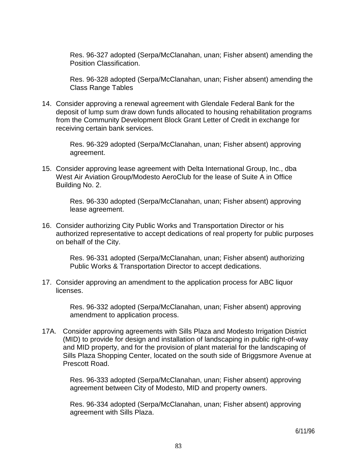Res. 96-327 adopted (Serpa/McClanahan, unan; Fisher absent) amending the Position Classification.

 Res. 96-328 adopted (Serpa/McClanahan, unan; Fisher absent) amending the Class Range Tables

14. Consider approving a renewal agreement with Glendale Federal Bank for the deposit of lump sum draw down funds allocated to housing rehabilitation programs from the Community Development Block Grant Letter of Credit in exchange for receiving certain bank services.

> Res. 96-329 adopted (Serpa/McClanahan, unan; Fisher absent) approving agreement.

15. Consider approving lease agreement with Delta International Group, Inc., dba West Air Aviation Group/Modesto AeroClub for the lease of Suite A in Office Building No. 2.

> Res. 96-330 adopted (Serpa/McClanahan, unan; Fisher absent) approving lease agreement.

16. Consider authorizing City Public Works and Transportation Director or his authorized representative to accept dedications of real property for public purposes on behalf of the City.

> Res. 96-331 adopted (Serpa/McClanahan, unan; Fisher absent) authorizing Public Works & Transportation Director to accept dedications.

17. Consider approving an amendment to the application process for ABC liquor licenses.

> Res. 96-332 adopted (Serpa/McClanahan, unan; Fisher absent) approving amendment to application process.

17A. Consider approving agreements with Sills Plaza and Modesto Irrigation District (MID) to provide for design and installation of landscaping in public right-of-way and MID property, and for the provision of plant material for the landscaping of Sills Plaza Shopping Center, located on the south side of Briggsmore Avenue at Prescott Road.

> Res. 96-333 adopted (Serpa/McClanahan, unan; Fisher absent) approving agreement between City of Modesto, MID and property owners.

> Res. 96-334 adopted (Serpa/McClanahan, unan; Fisher absent) approving agreement with Sills Plaza.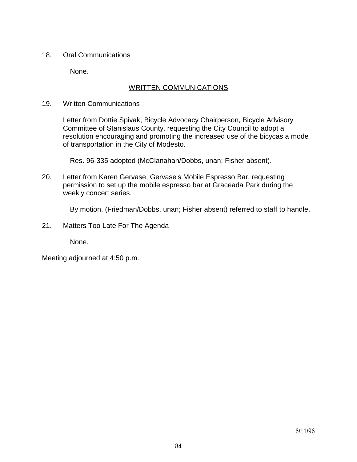18. Oral Communications

None.

#### WRITTEN COMMUNICATIONS

19. Written Communications

 Letter from Dottie Spivak, Bicycle Advocacy Chairperson, Bicycle Advisory Committee of Stanislaus County, requesting the City Council to adopt a resolution encouraging and promoting the increased use of the bicycas a mode of transportation in the City of Modesto.

Res. 96-335 adopted (McClanahan/Dobbs, unan; Fisher absent).

20. Letter from Karen Gervase, Gervase's Mobile Espresso Bar, requesting permission to set up the mobile espresso bar at Graceada Park during the weekly concert series.

By motion, (Friedman/Dobbs, unan; Fisher absent) referred to staff to handle.

21. Matters Too Late For The Agenda

None.

Meeting adjourned at 4:50 p.m.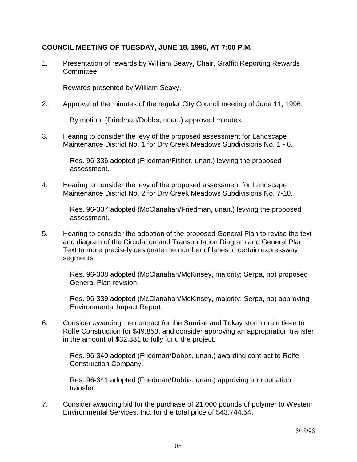### **COUNCIL MEETING OF TUESDAY, JUNE 18, 1996, AT 7:00 P.M.**

1. Presentation of rewards by William Seavy, Chair, Graffiti Reporting Rewards Committee.

Rewards presented by William Seavy.

2. Approval of the minutes of the regular City Council meeting of June 11, 1996.

By motion, (Friedman/Dobbs, unan.) approved minutes.

3. Hearing to consider the levy of the proposed assessment for Landscape Maintenance District No. 1 for Dry Creek Meadows Subdivisions No. 1 - 6.

> Res. 96-336 adopted (Friedman/Fisher, unan.) levying the proposed assessment.

4. Hearing to consider the levy of the proposed assessment for Landscape Maintenance District No. 2 for Dry Creek Meadows Subdivisions No. 7-10.

> Res. 96-337 adopted (McClanahan/Friedman, unan.) levying the proposed assessment.

5. Hearing to consider the adoption of the proposed General Plan to revise the text and diagram of the Circulation and Transportation Diagram and General Plan Text to more precisely designate the number of lanes in certain expressway segments.

> Res. 96-338 adopted (McClanahan/McKinsey, majority; Serpa, no) proposed General Plan revision.

> Res. 96-339 adopted (McClanahan/McKinsey, majority; Serpa, no) approving Environmental Impact Report.

6. Consider awarding the contract for the Sunrise and Tokay storm drain tie-in to Rolfe Construction for \$49,853, and consider approving an appropriation transfer in the amount of \$32,331 to fully fund the project.

> Res. 96-340 adopted (Friedman/Dobbs, unan.) awarding contract to Rolfe Construction Company.

 Res. 96-341 adopted (Friedman/Dobbs, unan.) approving appropriation transfer.

7. Consider awarding bid for the purchase of 21,000 pounds of polymer to Western Environmental Services, Inc. for the total price of \$43,744.54.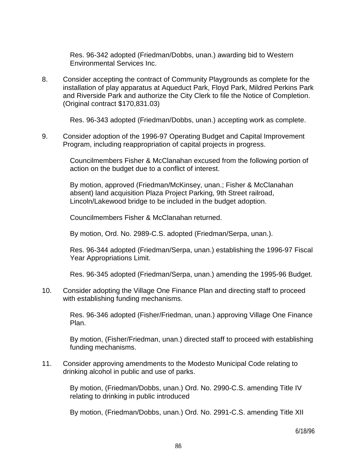Res. 96-342 adopted (Friedman/Dobbs, unan.) awarding bid to Western Environmental Services Inc.

8. Consider accepting the contract of Community Playgrounds as complete for the installation of play apparatus at Aqueduct Park, Floyd Park, Mildred Perkins Park and Riverside Park and authorize the City Clerk to file the Notice of Completion. (Original contract \$170,831.03)

Res. 96-343 adopted (Friedman/Dobbs, unan.) accepting work as complete.

9. Consider adoption of the 1996-97 Operating Budget and Capital Improvement Program, including reappropriation of capital projects in progress.

> Councilmembers Fisher & McClanahan excused from the following portion of action on the budget due to a conflict of interest.

 By motion, approved (Friedman/McKinsey, unan.; Fisher & McClanahan absent) land acquisition Plaza Project Parking, 9th Street railroad, Lincoln/Lakewood bridge to be included in the budget adoption.

Councilmembers Fisher & McClanahan returned.

By motion, Ord. No. 2989-C.S. adopted (Friedman/Serpa, unan.).

 Res. 96-344 adopted (Friedman/Serpa, unan.) establishing the 1996-97 Fiscal Year Appropriations Limit.

Res. 96-345 adopted (Friedman/Serpa, unan.) amending the 1995-96 Budget.

10. Consider adopting the Village One Finance Plan and directing staff to proceed with establishing funding mechanisms.

> Res. 96-346 adopted (Fisher/Friedman, unan.) approving Village One Finance Plan.

> By motion, (Fisher/Friedman, unan.) directed staff to proceed with establishing funding mechanisms.

11. Consider approving amendments to the Modesto Municipal Code relating to drinking alcohol in public and use of parks.

> By motion, (Friedman/Dobbs, unan.) Ord. No. 2990-C.S. amending Title IV relating to drinking in public introduced

> By motion, (Friedman/Dobbs, unan.) Ord. No. 2991-C.S. amending Title XII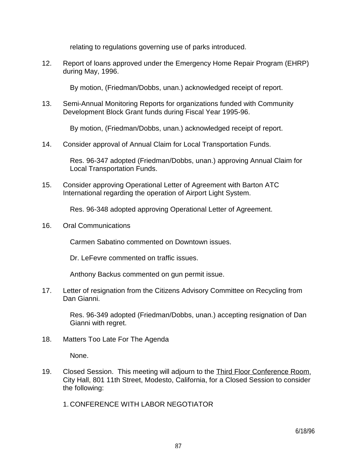relating to regulations governing use of parks introduced.

12. Report of loans approved under the Emergency Home Repair Program (EHRP) during May, 1996.

By motion, (Friedman/Dobbs, unan.) acknowledged receipt of report.

13. Semi-Annual Monitoring Reports for organizations funded with Community Development Block Grant funds during Fiscal Year 1995-96.

By motion, (Friedman/Dobbs, unan.) acknowledged receipt of report.

14. Consider approval of Annual Claim for Local Transportation Funds.

 Res. 96-347 adopted (Friedman/Dobbs, unan.) approving Annual Claim for Local Transportation Funds.

15. Consider approving Operational Letter of Agreement with Barton ATC International regarding the operation of Airport Light System.

Res. 96-348 adopted approving Operational Letter of Agreement.

16. Oral Communications

Carmen Sabatino commented on Downtown issues.

Dr. LeFevre commented on traffic issues.

Anthony Backus commented on gun permit issue.

17. Letter of resignation from the Citizens Advisory Committee on Recycling from Dan Gianni.

> Res. 96-349 adopted (Friedman/Dobbs, unan.) accepting resignation of Dan Gianni with regret.

18. Matters Too Late For The Agenda

None.

19. Closed Session. This meeting will adjourn to the Third Floor Conference Room, City Hall, 801 11th Street, Modesto, California, for a Closed Session to consider the following:

1. CONFERENCE WITH LABOR NEGOTIATOR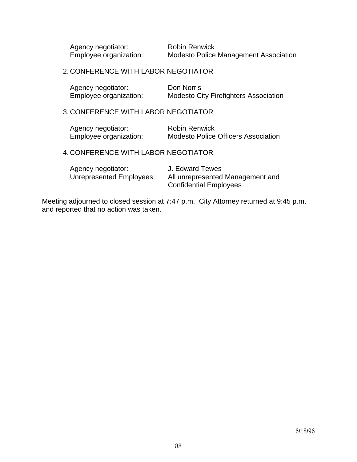Agency negotiator: Robin Renwick

Employee organization: Modesto Police Management Association

2. CONFERENCE WITH LABOR NEGOTIATOR

| Agency negotiator:     | Don Norris                                   |
|------------------------|----------------------------------------------|
| Employee organization: | <b>Modesto City Firefighters Association</b> |

#### 3. CONFERENCE WITH LABOR NEGOTIATOR

| Agency negotiator:     | <b>Robin Renwick</b>                       |
|------------------------|--------------------------------------------|
| Employee organization: | <b>Modesto Police Officers Association</b> |

4. CONFERENCE WITH LABOR NEGOTIATOR

| Agency negotiator:       | J. Edward Tewes                  |
|--------------------------|----------------------------------|
| Unrepresented Employees: | All unrepresented Management and |
|                          | <b>Confidential Employees</b>    |

Meeting adjourned to closed session at 7:47 p.m. City Attorney returned at 9:45 p.m. and reported that no action was taken.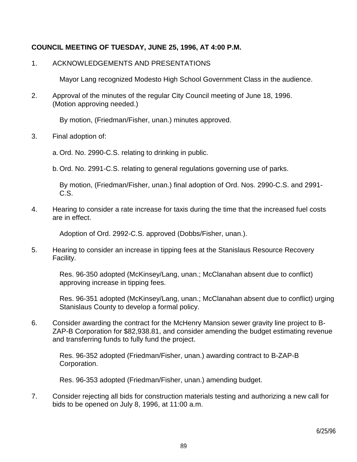## **COUNCIL MEETING OF TUESDAY, JUNE 25, 1996, AT 4:00 P.M.**

#### 1. ACKNOWLEDGEMENTS AND PRESENTATIONS

Mayor Lang recognized Modesto High School Government Class in the audience.

2. Approval of the minutes of the regular City Council meeting of June 18, 1996. (Motion approving needed.)

By motion, (Friedman/Fisher, unan.) minutes approved.

3. Final adoption of:

a. Ord. No. 2990-C.S. relating to drinking in public.

b. Ord. No. 2991-C.S. relating to general regulations governing use of parks.

 By motion, (Friedman/Fisher, unan.) final adoption of Ord. Nos. 2990-C.S. and 2991- C.S.

4. Hearing to consider a rate increase for taxis during the time that the increased fuel costs are in effect.

Adoption of Ord. 2992-C.S. approved (Dobbs/Fisher, unan.).

5. Hearing to consider an increase in tipping fees at the Stanislaus Resource Recovery Facility.

 Res. 96-350 adopted (McKinsey/Lang, unan.; McClanahan absent due to conflict) approving increase in tipping fees.

 Res. 96-351 adopted (McKinsey/Lang, unan.; McClanahan absent due to conflict) urging Stanislaus County to develop a formal policy.

6. Consider awarding the contract for the McHenry Mansion sewer gravity line project to B-ZAP-B Corporation for \$82,938.81, and consider amending the budget estimating revenue and transferring funds to fully fund the project.

 Res. 96-352 adopted (Friedman/Fisher, unan.) awarding contract to B-ZAP-B Corporation.

Res. 96-353 adopted (Friedman/Fisher, unan.) amending budget.

7. Consider rejecting all bids for construction materials testing and authorizing a new call for bids to be opened on July 8, 1996, at 11:00 a.m.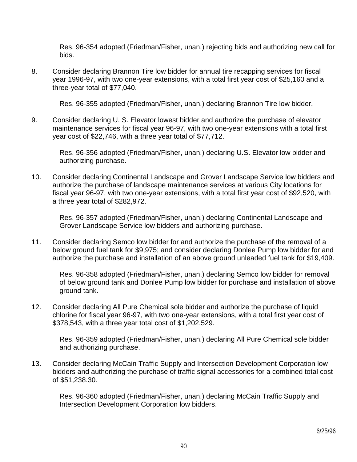Res. 96-354 adopted (Friedman/Fisher, unan.) rejecting bids and authorizing new call for bids.

8. Consider declaring Brannon Tire low bidder for annual tire recapping services for fiscal year 1996-97, with two one-year extensions, with a total first year cost of \$25,160 and a three-year total of \$77,040.

Res. 96-355 adopted (Friedman/Fisher, unan.) declaring Brannon Tire low bidder.

9. Consider declaring U. S. Elevator lowest bidder and authorize the purchase of elevator maintenance services for fiscal year 96-97, with two one-year extensions with a total first year cost of \$22,746, with a three year total of \$77,712.

 Res. 96-356 adopted (Friedman/Fisher, unan.) declaring U.S. Elevator low bidder and authorizing purchase.

10. Consider declaring Continental Landscape and Grover Landscape Service low bidders and authorize the purchase of landscape maintenance services at various City locations for fiscal year 96-97, with two one-year extensions, with a total first year cost of \$92,520, with a three year total of \$282,972.

 Res. 96-357 adopted (Friedman/Fisher, unan.) declaring Continental Landscape and Grover Landscape Service low bidders and authorizing purchase.

11. Consider declaring Semco low bidder for and authorize the purchase of the removal of a below ground fuel tank for \$9,975; and consider declaring Donlee Pump low bidder for and authorize the purchase and installation of an above ground unleaded fuel tank for \$19,409.

 Res. 96-358 adopted (Friedman/Fisher, unan.) declaring Semco low bidder for removal of below ground tank and Donlee Pump low bidder for purchase and installation of above ground tank.

12. Consider declaring All Pure Chemical sole bidder and authorize the purchase of liquid chlorine for fiscal year 96-97, with two one-year extensions, with a total first year cost of \$378,543, with a three year total cost of \$1,202,529.

 Res. 96-359 adopted (Friedman/Fisher, unan.) declaring All Pure Chemical sole bidder and authorizing purchase.

13. Consider declaring McCain Traffic Supply and Intersection Development Corporation low bidders and authorizing the purchase of traffic signal accessories for a combined total cost of \$51,238.30.

 Res. 96-360 adopted (Friedman/Fisher, unan.) declaring McCain Traffic Supply and Intersection Development Corporation low bidders.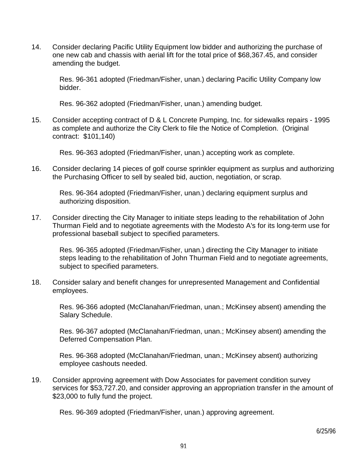14. Consider declaring Pacific Utility Equipment low bidder and authorizing the purchase of one new cab and chassis with aerial lift for the total price of \$68,367.45, and consider amending the budget.

 Res. 96-361 adopted (Friedman/Fisher, unan.) declaring Pacific Utility Company low bidder.

Res. 96-362 adopted (Friedman/Fisher, unan.) amending budget.

15. Consider accepting contract of D & L Concrete Pumping, Inc. for sidewalks repairs - 1995 as complete and authorize the City Clerk to file the Notice of Completion. (Original contract: \$101,140)

Res. 96-363 adopted (Friedman/Fisher, unan.) accepting work as complete.

16. Consider declaring 14 pieces of golf course sprinkler equipment as surplus and authorizing the Purchasing Officer to sell by sealed bid, auction, negotiation, or scrap.

 Res. 96-364 adopted (Friedman/Fisher, unan.) declaring equipment surplus and authorizing disposition.

17. Consider directing the City Manager to initiate steps leading to the rehabilitation of John Thurman Field and to negotiate agreements with the Modesto A's for its long-term use for professional baseball subject to specified parameters.

 Res. 96-365 adopted (Friedman/Fisher, unan.) directing the City Manager to initiate steps leading to the rehabilitation of John Thurman Field and to negotiate agreements, subject to specified parameters.

18. Consider salary and benefit changes for unrepresented Management and Confidential employees.

 Res. 96-366 adopted (McClanahan/Friedman, unan.; McKinsey absent) amending the Salary Schedule.

 Res. 96-367 adopted (McClanahan/Friedman, unan.; McKinsey absent) amending the Deferred Compensation Plan.

 Res. 96-368 adopted (McClanahan/Friedman, unan.; McKinsey absent) authorizing employee cashouts needed.

19. Consider approving agreement with Dow Associates for pavement condition survey services for \$53,727.20, and consider approving an appropriation transfer in the amount of \$23,000 to fully fund the project.

Res. 96-369 adopted (Friedman/Fisher, unan.) approving agreement.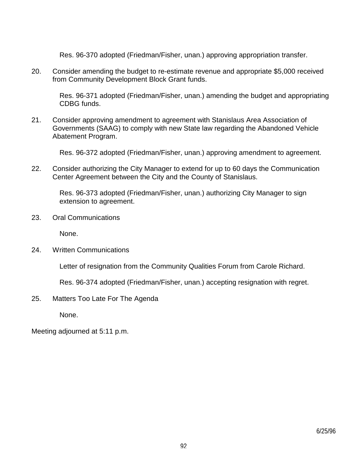Res. 96-370 adopted (Friedman/Fisher, unan.) approving appropriation transfer.

20. Consider amending the budget to re-estimate revenue and appropriate \$5,000 received from Community Development Block Grant funds.

 Res. 96-371 adopted (Friedman/Fisher, unan.) amending the budget and appropriating CDBG funds.

21. Consider approving amendment to agreement with Stanislaus Area Association of Governments (SAAG) to comply with new State law regarding the Abandoned Vehicle Abatement Program.

Res. 96-372 adopted (Friedman/Fisher, unan.) approving amendment to agreement.

22. Consider authorizing the City Manager to extend for up to 60 days the Communication Center Agreement between the City and the County of Stanislaus.

 Res. 96-373 adopted (Friedman/Fisher, unan.) authorizing City Manager to sign extension to agreement.

23. Oral Communications

None.

24. Written Communications

Letter of resignation from the Community Qualities Forum from Carole Richard.

Res. 96-374 adopted (Friedman/Fisher, unan.) accepting resignation with regret.

25. Matters Too Late For The Agenda

None.

Meeting adjourned at 5:11 p.m.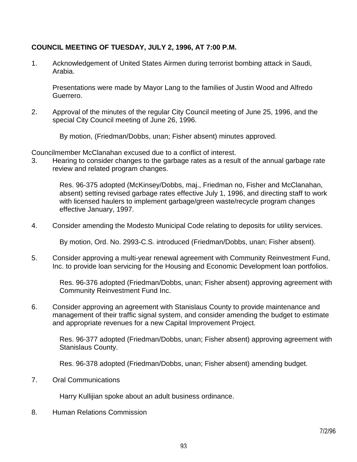## **COUNCIL MEETING OF TUESDAY, JULY 2, 1996, AT 7:00 P.M.**

1. Acknowledgement of United States Airmen during terrorist bombing attack in Saudi, Arabia.

 Presentations were made by Mayor Lang to the families of Justin Wood and Alfredo Guerrero.

2. Approval of the minutes of the regular City Council meeting of June 25, 1996, and the special City Council meeting of June 26, 1996.

By motion, (Friedman/Dobbs, unan; Fisher absent) minutes approved.

Councilmember McClanahan excused due to a conflict of interest.

3. Hearing to consider changes to the garbage rates as a result of the annual garbage rate review and related program changes.

 Res. 96-375 adopted (McKinsey/Dobbs, maj., Friedman no, Fisher and McClanahan, absent) setting revised garbage rates effective July 1, 1996, and directing staff to work with licensed haulers to implement garbage/green waste/recycle program changes effective January, 1997.

4. Consider amending the Modesto Municipal Code relating to deposits for utility services.

By motion, Ord. No. 2993-C.S. introduced (Friedman/Dobbs, unan; Fisher absent).

5. Consider approving a multi-year renewal agreement with Community Reinvestment Fund, Inc. to provide loan servicing for the Housing and Economic Development loan portfolios.

 Res. 96-376 adopted (Friedman/Dobbs, unan; Fisher absent) approving agreement with Community Reinvestment Fund Inc.

6. Consider approving an agreement with Stanislaus County to provide maintenance and management of their traffic signal system, and consider amending the budget to estimate and appropriate revenues for a new Capital Improvement Project.

 Res. 96-377 adopted (Friedman/Dobbs, unan; Fisher absent) approving agreement with Stanislaus County.

Res. 96-378 adopted (Friedman/Dobbs, unan; Fisher absent) amending budget.

7. Oral Communications

Harry Kullijian spoke about an adult business ordinance.

8. Human Relations Commission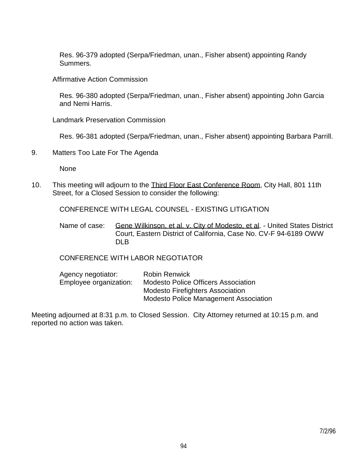Res. 96-379 adopted (Serpa/Friedman, unan., Fisher absent) appointing Randy Summers.

Affirmative Action Commission

 Res. 96-380 adopted (Serpa/Friedman, unan., Fisher absent) appointing John Garcia and Nemi Harris.

Landmark Preservation Commission

Res. 96-381 adopted (Serpa/Friedman, unan., Fisher absent) appointing Barbara Parrill.

9. Matters Too Late For The Agenda

None

10. This meeting will adjourn to the Third Floor East Conference Room, City Hall, 801 11th Street, for a Closed Session to consider the following:

CONFERENCE WITH LEGAL COUNSEL - EXISTING LITIGATION

Name of case: Gene Wilkinson, et al. v. City of Modesto, et al. - United States District Court, Eastern District of California, Case No. CV-F 94-6189 OWW DLB

# CONFERENCE WITH LABOR NEGOTIATOR

| Agency negotiator:     | <b>Robin Renwick</b>                         |
|------------------------|----------------------------------------------|
| Employee organization: | <b>Modesto Police Officers Association</b>   |
|                        | <b>Modesto Firefighters Association</b>      |
|                        | <b>Modesto Police Management Association</b> |

Meeting adjourned at 8:31 p.m. to Closed Session. City Attorney returned at 10:15 p.m. and reported no action was taken.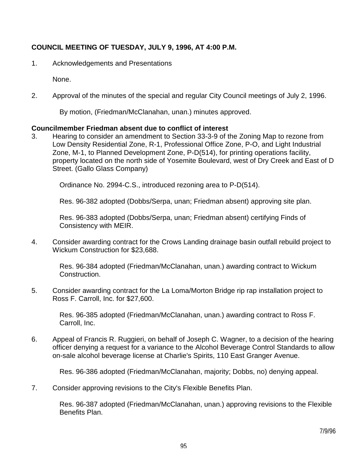# **COUNCIL MEETING OF TUESDAY, JULY 9, 1996, AT 4:00 P.M.**

1. Acknowledgements and Presentations

None.

2. Approval of the minutes of the special and regular City Council meetings of July 2, 1996.

By motion, (Friedman/McClanahan, unan.) minutes approved.

#### **Councilmember Friedman absent due to conflict of interest**

3. Hearing to consider an amendment to Section 33-3-9 of the Zoning Map to rezone from Low Density Residential Zone, R-1, Professional Office Zone, P-O, and Light Industrial Zone, M-1, to Planned Development Zone, P-D(514), for printing operations facility, property located on the north side of Yosemite Boulevard, west of Dry Creek and East of D Street. (Gallo Glass Company)

Ordinance No. 2994-C.S., introduced rezoning area to P-D(514).

Res. 96-382 adopted (Dobbs/Serpa, unan; Friedman absent) approving site plan.

 Res. 96-383 adopted (Dobbs/Serpa, unan; Friedman absent) certifying Finds of Consistency with MEIR.

4. Consider awarding contract for the Crows Landing drainage basin outfall rebuild project to Wickum Construction for \$23,688.

 Res. 96-384 adopted (Friedman/McClanahan, unan.) awarding contract to Wickum Construction.

5. Consider awarding contract for the La Loma/Morton Bridge rip rap installation project to Ross F. Carroll, Inc. for \$27,600.

 Res. 96-385 adopted (Friedman/McClanahan, unan.) awarding contract to Ross F. Carroll, Inc.

6. Appeal of Francis R. Ruggieri, on behalf of Joseph C. Wagner, to a decision of the hearing officer denying a request for a variance to the Alcohol Beverage Control Standards to allow on-sale alcohol beverage license at Charlie's Spirits, 110 East Granger Avenue.

Res. 96-386 adopted (Friedman/McClanahan, majority; Dobbs, no) denying appeal.

7. Consider approving revisions to the City's Flexible Benefits Plan.

 Res. 96-387 adopted (Friedman/McClanahan, unan.) approving revisions to the Flexible Benefits Plan.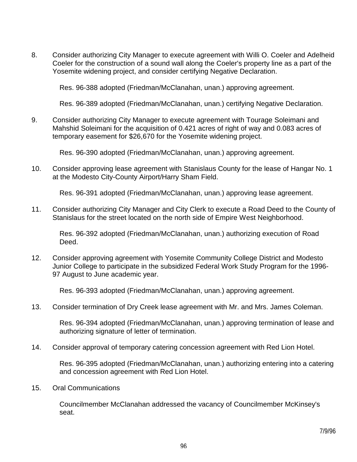8. Consider authorizing City Manager to execute agreement with Willi O. Coeler and Adelheid Coeler for the construction of a sound wall along the Coeler's property line as a part of the Yosemite widening project, and consider certifying Negative Declaration.

Res. 96-388 adopted (Friedman/McClanahan, unan.) approving agreement.

Res. 96-389 adopted (Friedman/McClanahan, unan.) certifying Negative Declaration.

9. Consider authorizing City Manager to execute agreement with Tourage Soleimani and Mahshid Soleimani for the acquisition of 0.421 acres of right of way and 0.083 acres of temporary easement for \$26,670 for the Yosemite widening project.

Res. 96-390 adopted (Friedman/McClanahan, unan.) approving agreement.

10. Consider approving lease agreement with Stanislaus County for the lease of Hangar No. 1 at the Modesto City-County Airport/Harry Sham Field.

Res. 96-391 adopted (Friedman/McClanahan, unan.) approving lease agreement.

11. Consider authorizing City Manager and City Clerk to execute a Road Deed to the County of Stanislaus for the street located on the north side of Empire West Neighborhood.

 Res. 96-392 adopted (Friedman/McClanahan, unan.) authorizing execution of Road Deed.

12. Consider approving agreement with Yosemite Community College District and Modesto Junior College to participate in the subsidized Federal Work Study Program for the 1996- 97 August to June academic year.

Res. 96-393 adopted (Friedman/McClanahan, unan.) approving agreement.

13. Consider termination of Dry Creek lease agreement with Mr. and Mrs. James Coleman.

 Res. 96-394 adopted (Friedman/McClanahan, unan.) approving termination of lease and authorizing signature of letter of termination.

14. Consider approval of temporary catering concession agreement with Red Lion Hotel.

 Res. 96-395 adopted (Friedman/McClanahan, unan.) authorizing entering into a catering and concession agreement with Red Lion Hotel.

15. Oral Communications

 Councilmember McClanahan addressed the vacancy of Councilmember McKinsey's seat.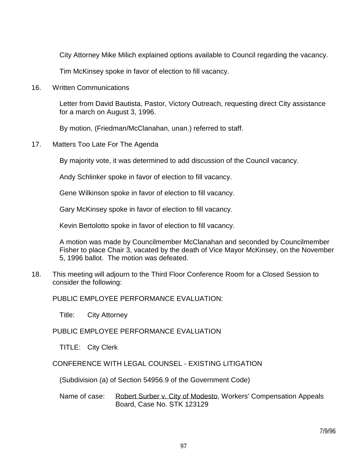City Attorney Mike Milich explained options available to Council regarding the vacancy.

Tim McKinsey spoke in favor of election to fill vacancy.

16. Written Communications

 Letter from David Bautista, Pastor, Victory Outreach, requesting direct City assistance for a march on August 3, 1996.

By motion, (Friedman/McClanahan, unan.) referred to staff.

17. Matters Too Late For The Agenda

By majority vote, it was determined to add discussion of the Council vacancy.

Andy Schlinker spoke in favor of election to fill vacancy.

Gene Wilkinson spoke in favor of election to fill vacancy.

Gary McKinsey spoke in favor of election to fill vacancy.

Kevin Bertolotto spoke in favor of election to fill vacancy.

 A motion was made by Councilmember McClanahan and seconded by Councilmember Fisher to place Chair 3, vacated by the death of Vice Mayor McKinsey, on the November 5, 1996 ballot. The motion was defeated.

18. This meeting will adjourn to the Third Floor Conference Room for a Closed Session to consider the following:

PUBLIC EMPLOYEE PERFORMANCE EVALUATION:

Title: City Attorney

PUBLIC EMPLOYEE PERFORMANCE EVALUATION

TITLE: City Clerk

CONFERENCE WITH LEGAL COUNSEL - EXISTING LITIGATION

(Subdivision (a) of Section 54956.9 of the Government Code)

Name of case: Robert Surber v. City of Modesto, Workers' Compensation Appeals Board, Case No. STK 123129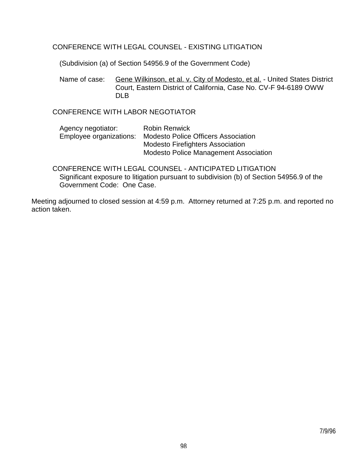### CONFERENCE WITH LEGAL COUNSEL - EXISTING LITIGATION

(Subdivision (a) of Section 54956.9 of the Government Code)

Name of case: Gene Wilkinson, et al. v. City of Modesto, et al. - United States District Court, Eastern District of California, Case No. CV-F 94-6189 OWW DLB.

CONFERENCE WITH LABOR NEGOTIATOR

| <b>Robin Renwick</b>                                        |
|-------------------------------------------------------------|
| Employee organizations: Modesto Police Officers Association |
| <b>Modesto Firefighters Association</b>                     |
| <b>Modesto Police Management Association</b>                |
|                                                             |

 CONFERENCE WITH LEGAL COUNSEL - ANTICIPATED LITIGATION Significant exposure to litigation pursuant to subdivision (b) of Section 54956.9 of the Government Code: One Case.

Meeting adjourned to closed session at 4:59 p.m. Attorney returned at 7:25 p.m. and reported no action taken.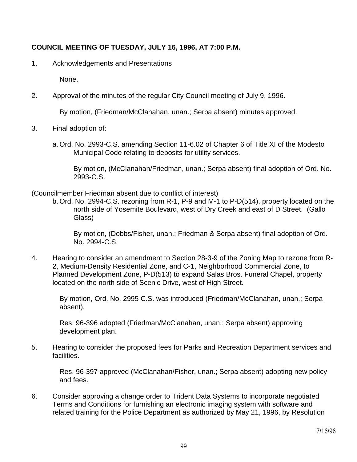## **COUNCIL MEETING OF TUESDAY, JULY 16, 1996, AT 7:00 P.M.**

1. Acknowledgements and Presentations

None.

2. Approval of the minutes of the regular City Council meeting of July 9, 1996.

By motion, (Friedman/McClanahan, unan.; Serpa absent) minutes approved.

- 3. Final adoption of:
	- a. Ord. No. 2993-C.S. amending Section 11-6.02 of Chapter 6 of Title XI of the Modesto Municipal Code relating to deposits for utility services.

 By motion, (McClanahan/Friedman, unan.; Serpa absent) final adoption of Ord. No. 2993-C.S.

(Councilmember Friedman absent due to conflict of interest)

 b. Ord. No. 2994-C.S. rezoning from R-1, P-9 and M-1 to P-D(514), property located on the north side of Yosemite Boulevard, west of Dry Creek and east of D Street. (Gallo Glass)

 By motion, (Dobbs/Fisher, unan.; Friedman & Serpa absent) final adoption of Ord. No. 2994-C.S.

4. Hearing to consider an amendment to Section 28-3-9 of the Zoning Map to rezone from R-2, Medium-Density Residential Zone, and C-1, Neighborhood Commercial Zone, to Planned Development Zone, P-D(513) to expand Salas Bros. Funeral Chapel, property located on the north side of Scenic Drive, west of High Street.

 By motion, Ord. No. 2995 C.S. was introduced (Friedman/McClanahan, unan.; Serpa absent).

 Res. 96-396 adopted (Friedman/McClanahan, unan.; Serpa absent) approving development plan.

5. Hearing to consider the proposed fees for Parks and Recreation Department services and facilities.

 Res. 96-397 approved (McClanahan/Fisher, unan.; Serpa absent) adopting new policy and fees.

6. Consider approving a change order to Trident Data Systems to incorporate negotiated Terms and Conditions for furnishing an electronic imaging system with software and related training for the Police Department as authorized by May 21, 1996, by Resolution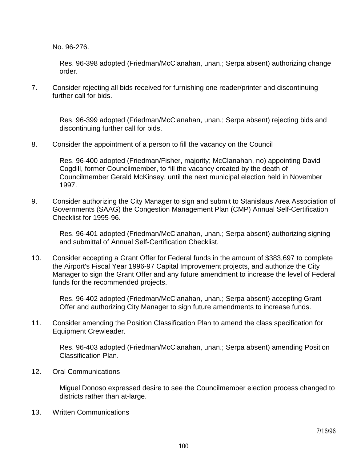No. 96-276.

 Res. 96-398 adopted (Friedman/McClanahan, unan.; Serpa absent) authorizing change order.

7. Consider rejecting all bids received for furnishing one reader/printer and discontinuing further call for bids.

 Res. 96-399 adopted (Friedman/McClanahan, unan.; Serpa absent) rejecting bids and discontinuing further call for bids.

8. Consider the appointment of a person to fill the vacancy on the Council

 Res. 96-400 adopted (Friedman/Fisher, majority; McClanahan, no) appointing David Cogdill, former Councilmember, to fill the vacancy created by the death of Councilmember Gerald McKinsey, until the next municipal election held in November 1997.

9. Consider authorizing the City Manager to sign and submit to Stanislaus Area Association of Governments (SAAG) the Congestion Management Plan (CMP) Annual Self-Certification Checklist for 1995-96.

 Res. 96-401 adopted (Friedman/McClanahan, unan.; Serpa absent) authorizing signing and submittal of Annual Self-Certification Checklist.

10. Consider accepting a Grant Offer for Federal funds in the amount of \$383,697 to complete the Airport's Fiscal Year 1996-97 Capital Improvement projects, and authorize the City Manager to sign the Grant Offer and any future amendment to increase the level of Federal funds for the recommended projects.

 Res. 96-402 adopted (Friedman/McClanahan, unan.; Serpa absent) accepting Grant Offer and authorizing City Manager to sign future amendments to increase funds.

11. Consider amending the Position Classification Plan to amend the class specification for Equipment Crewleader.

 Res. 96-403 adopted (Friedman/McClanahan, unan.; Serpa absent) amending Position Classification Plan.

12. Oral Communications

 Miguel Donoso expressed desire to see the Councilmember election process changed to districts rather than at-large.

13. Written Communications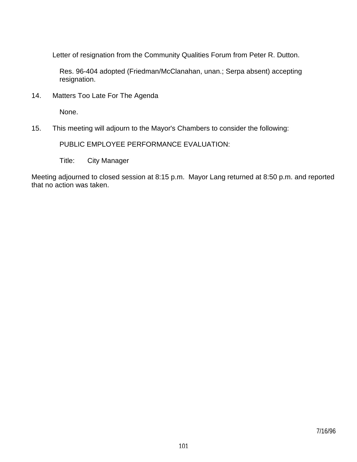Letter of resignation from the Community Qualities Forum from Peter R. Dutton.

 Res. 96-404 adopted (Friedman/McClanahan, unan.; Serpa absent) accepting resignation.

14. Matters Too Late For The Agenda

None.

15. This meeting will adjourn to the Mayor's Chambers to consider the following:

PUBLIC EMPLOYEE PERFORMANCE EVALUATION:

Title: City Manager

Meeting adjourned to closed session at 8:15 p.m. Mayor Lang returned at 8:50 p.m. and reported that no action was taken.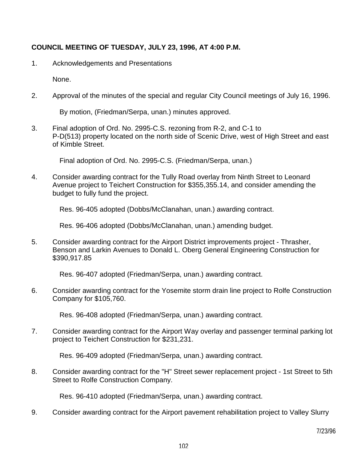# **COUNCIL MEETING OF TUESDAY, JULY 23, 1996, AT 4:00 P.M.**

1. Acknowledgements and Presentations

None.

2. Approval of the minutes of the special and regular City Council meetings of July 16, 1996.

By motion, (Friedman/Serpa, unan.) minutes approved.

3. Final adoption of Ord. No. 2995-C.S. rezoning from R-2, and C-1 to P-D(513) property located on the north side of Scenic Drive, west of High Street and east of Kimble Street.

Final adoption of Ord. No. 2995-C.S. (Friedman/Serpa, unan.)

4. Consider awarding contract for the Tully Road overlay from Ninth Street to Leonard Avenue project to Teichert Construction for \$355,355.14, and consider amending the budget to fully fund the project.

Res. 96-405 adopted (Dobbs/McClanahan, unan.) awarding contract.

Res. 96-406 adopted (Dobbs/McClanahan, unan.) amending budget.

5. Consider awarding contract for the Airport District improvements project - Thrasher, Benson and Larkin Avenues to Donald L. Oberg General Engineering Construction for \$390,917.85

Res. 96-407 adopted (Friedman/Serpa, unan.) awarding contract.

6. Consider awarding contract for the Yosemite storm drain line project to Rolfe Construction Company for \$105,760.

Res. 96-408 adopted (Friedman/Serpa, unan.) awarding contract.

7. Consider awarding contract for the Airport Way overlay and passenger terminal parking lot project to Teichert Construction for \$231,231.

Res. 96-409 adopted (Friedman/Serpa, unan.) awarding contract.

8. Consider awarding contract for the "H" Street sewer replacement project - 1st Street to 5th Street to Rolfe Construction Company.

Res. 96-410 adopted (Friedman/Serpa, unan.) awarding contract.

9. Consider awarding contract for the Airport pavement rehabilitation project to Valley Slurry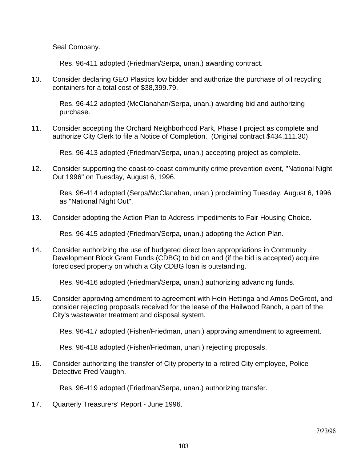Seal Company.

Res. 96-411 adopted (Friedman/Serpa, unan.) awarding contract.

10. Consider declaring GEO Plastics low bidder and authorize the purchase of oil recycling containers for a total cost of \$38,399.79.

 Res. 96-412 adopted (McClanahan/Serpa, unan.) awarding bid and authorizing purchase.

11. Consider accepting the Orchard Neighborhood Park, Phase I project as complete and authorize City Clerk to file a Notice of Completion. (Original contract \$434,111.30)

Res. 96-413 adopted (Friedman/Serpa, unan.) accepting project as complete.

12. Consider supporting the coast-to-coast community crime prevention event, "National Night Out 1996" on Tuesday, August 6, 1996.

 Res. 96-414 adopted (Serpa/McClanahan, unan.) proclaiming Tuesday, August 6, 1996 as "National Night Out".

13. Consider adopting the Action Plan to Address Impediments to Fair Housing Choice.

Res. 96-415 adopted (Friedman/Serpa, unan.) adopting the Action Plan.

14. Consider authorizing the use of budgeted direct loan appropriations in Community Development Block Grant Funds (CDBG) to bid on and (if the bid is accepted) acquire foreclosed property on which a City CDBG loan is outstanding.

Res. 96-416 adopted (Friedman/Serpa, unan.) authorizing advancing funds.

15. Consider approving amendment to agreement with Hein Hettinga and Amos DeGroot, and consider rejecting proposals received for the lease of the Hailwood Ranch, a part of the City's wastewater treatment and disposal system.

Res. 96-417 adopted (Fisher/Friedman, unan.) approving amendment to agreement.

Res. 96-418 adopted (Fisher/Friedman, unan.) rejecting proposals.

16. Consider authorizing the transfer of City property to a retired City employee, Police Detective Fred Vaughn.

Res. 96-419 adopted (Friedman/Serpa, unan.) authorizing transfer.

17. Quarterly Treasurers' Report - June 1996.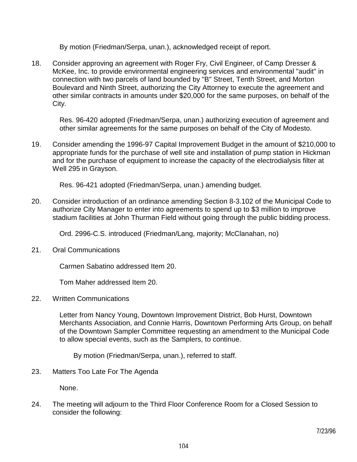By motion (Friedman/Serpa, unan.), acknowledged receipt of report.

18. Consider approving an agreement with Roger Fry, Civil Engineer, of Camp Dresser & McKee, Inc. to provide environmental engineering services and environmental "audit" in connection with two parcels of land bounded by "B" Street, Tenth Street, and Morton Boulevard and Ninth Street, authorizing the City Attorney to execute the agreement and other similar contracts in amounts under \$20,000 for the same purposes, on behalf of the City.

 Res. 96-420 adopted (Friedman/Serpa, unan.) authorizing execution of agreement and other similar agreements for the same purposes on behalf of the City of Modesto.

19. Consider amending the 1996-97 Capital Improvement Budget in the amount of \$210,000 to appropriate funds for the purchase of well site and installation of pump station in Hickman and for the purchase of equipment to increase the capacity of the electrodialysis filter at Well 295 in Grayson.

Res. 96-421 adopted (Friedman/Serpa, unan.) amending budget.

20. Consider introduction of an ordinance amending Section 8-3.102 of the Municipal Code to authorize City Manager to enter into agreements to spend up to \$3 million to improve stadium facilities at John Thurman Field without going through the public bidding process.

Ord. 2996-C.S. introduced (Friedman/Lang, majority; McClanahan, no)

21. Oral Communications

Carmen Sabatino addressed Item 20.

Tom Maher addressed Item 20.

22. Written Communications

 Letter from Nancy Young, Downtown Improvement District, Bob Hurst, Downtown Merchants Association, and Connie Harris, Downtown Performing Arts Group, on behalf of the Downtown Sampler Committee requesting an amendment to the Municipal Code to allow special events, such as the Samplers, to continue.

By motion (Friedman/Serpa, unan.), referred to staff.

23. Matters Too Late For The Agenda

None.

24. The meeting will adjourn to the Third Floor Conference Room for a Closed Session to consider the following: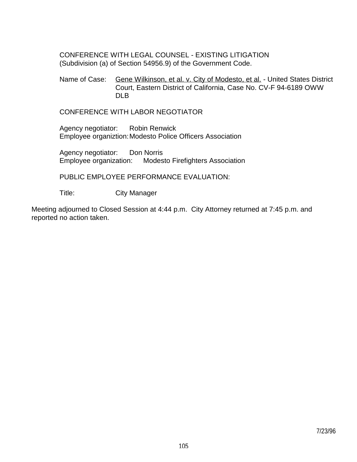CONFERENCE WITH LEGAL COUNSEL - EXISTING LITIGATION (Subdivision (a) of Section 54956.9) of the Government Code.

Name of Case: Gene Wilkinson, et al. v. City of Modesto, et al. - United States District Court, Eastern District of California, Case No. CV-F 94-6189 OWW DLB.

CONFERENCE WITH LABOR NEGOTIATOR

 Agency negotiator: Robin Renwick Employee organiztion: Modesto Police Officers Association

 Agency negotiator: Don Norris Employee organization: Modesto Firefighters Association

PUBLIC EMPLOYEE PERFORMANCE EVALUATION:

Title: City Manager

Meeting adjourned to Closed Session at 4:44 p.m. City Attorney returned at 7:45 p.m. and reported no action taken.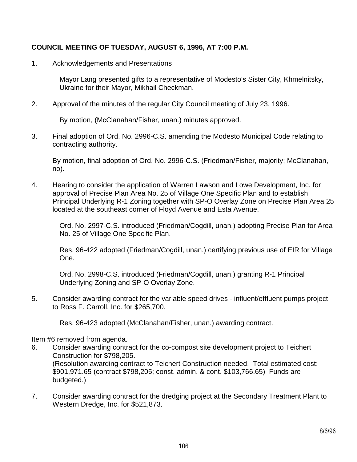# **COUNCIL MEETING OF TUESDAY, AUGUST 6, 1996, AT 7:00 P.M.**

1. Acknowledgements and Presentations

 Mayor Lang presented gifts to a representative of Modesto's Sister City, Khmelnitsky, Ukraine for their Mayor, Mikhail Checkman.

2. Approval of the minutes of the regular City Council meeting of July 23, 1996.

By motion, (McClanahan/Fisher, unan.) minutes approved.

3. Final adoption of Ord. No. 2996-C.S. amending the Modesto Municipal Code relating to contracting authority.

 By motion, final adoption of Ord. No. 2996-C.S. (Friedman/Fisher, majority; McClanahan, no).

4. Hearing to consider the application of Warren Lawson and Lowe Development, Inc. for approval of Precise Plan Area No. 25 of Village One Specific Plan and to establish Principal Underlying R-1 Zoning together with SP-O Overlay Zone on Precise Plan Area 25 located at the southeast corner of Floyd Avenue and Esta Avenue.

 Ord. No. 2997-C.S. introduced (Friedman/Cogdill, unan.) adopting Precise Plan for Area No. 25 of Village One Specific Plan.

 Res. 96-422 adopted (Friedman/Cogdill, unan.) certifying previous use of EIR for Village One.

 Ord. No. 2998-C.S. introduced (Friedman/Cogdill, unan.) granting R-1 Principal Underlying Zoning and SP-O Overlay Zone.

5. Consider awarding contract for the variable speed drives - influent/effluent pumps project to Ross F. Carroll, Inc. for \$265,700.

Res. 96-423 adopted (McClanahan/Fisher, unan.) awarding contract.

Item #6 removed from agenda.

- 6. Consider awarding contract for the co-compost site development project to Teichert Construction for \$798,205. (Resolution awarding contract to Teichert Construction needed. Total estimated cost: \$901,971.65 (contract \$798,205; const. admin. & cont. \$103,766.65) Funds are budgeted.)
- 7. Consider awarding contract for the dredging project at the Secondary Treatment Plant to Western Dredge, Inc. for \$521,873.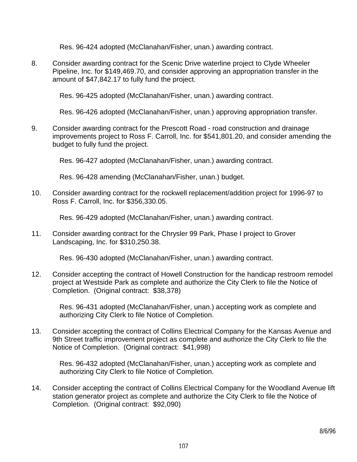Res. 96-424 adopted (McClanahan/Fisher, unan.) awarding contract.

8. Consider awarding contract for the Scenic Drive waterline project to Clyde Wheeler Pipeline, Inc. for \$149,469.70, and consider approving an appropriation transfer in the amount of \$47,842.17 to fully fund the project.

Res. 96-425 adopted (McClanahan/Fisher, unan.) awarding contract.

Res. 96-426 adopted (McClanahan/Fisher, unan.) approving appropriation transfer.

9. Consider awarding contract for the Prescott Road - road construction and drainage improvements project to Ross F. Carroll, Inc. for \$541,801.20, and consider amending the budget to fully fund the project.

Res. 96-427 adopted (McClanahan/Fisher, unan.) awarding contract.

Res. 96-428 amending (McClanahan/Fisher, unan.) budget.

10. Consider awarding contract for the rockwell replacement/addition project for 1996-97 to Ross F. Carroll, Inc. for \$356,330.05.

Res. 96-429 adopted (McClanahan/Fisher, unan.) awarding contract.

11. Consider awarding contract for the Chrysler 99 Park, Phase I project to Grover Landscaping, Inc. for \$310,250.38.

Res. 96-430 adopted (McClanahan/Fisher, unan.) awarding contract.

12. Consider accepting the contract of Howell Construction for the handicap restroom remodel project at Westside Park as complete and authorize the City Clerk to file the Notice of Completion. (Original contract: \$38,378)

 Res. 96-431 adopted (McClanahan/Fisher, unan.) accepting work as complete and authorizing City Clerk to file Notice of Completion.

13. Consider accepting the contract of Collins Electrical Company for the Kansas Avenue and 9th Street traffic improvement project as complete and authorize the City Clerk to file the Notice of Completion. (Original contract: \$41,998)

 Res. 96-432 adopted (McClanahan/Fisher, unan.) accepting work as complete and authorizing City Clerk to file Notice of Completion.

14. Consider accepting the contract of Collins Electrical Company for the Woodland Avenue lift station generator project as complete and authorize the City Clerk to file the Notice of Completion. (Original contract: \$92,090)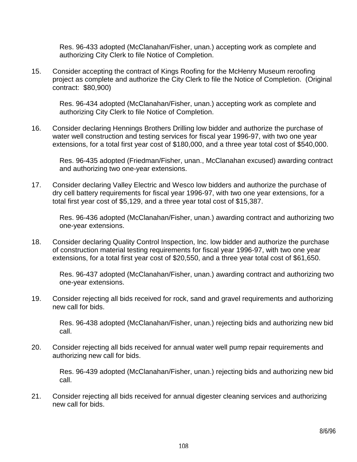Res. 96-433 adopted (McClanahan/Fisher, unan.) accepting work as complete and authorizing City Clerk to file Notice of Completion.

15. Consider accepting the contract of Kings Roofing for the McHenry Museum reroofing project as complete and authorize the City Clerk to file the Notice of Completion. (Original contract: \$80,900)

 Res. 96-434 adopted (McClanahan/Fisher, unan.) accepting work as complete and authorizing City Clerk to file Notice of Completion.

16. Consider declaring Hennings Brothers Drilling low bidder and authorize the purchase of water well construction and testing services for fiscal year 1996-97, with two one year extensions, for a total first year cost of \$180,000, and a three year total cost of \$540,000.

 Res. 96-435 adopted (Friedman/Fisher, unan., McClanahan excused) awarding contract and authorizing two one-year extensions.

17. Consider declaring Valley Electric and Wesco low bidders and authorize the purchase of dry cell battery requirements for fiscal year 1996-97, with two one year extensions, for a total first year cost of \$5,129, and a three year total cost of \$15,387.

 Res. 96-436 adopted (McClanahan/Fisher, unan.) awarding contract and authorizing two one-year extensions.

18. Consider declaring Quality Control Inspection, Inc. low bidder and authorize the purchase of construction material testing requirements for fiscal year 1996-97, with two one year extensions, for a total first year cost of \$20,550, and a three year total cost of \$61,650.

 Res. 96-437 adopted (McClanahan/Fisher, unan.) awarding contract and authorizing two one-year extensions.

19. Consider rejecting all bids received for rock, sand and gravel requirements and authorizing new call for bids.

 Res. 96-438 adopted (McClanahan/Fisher, unan.) rejecting bids and authorizing new bid call.

20. Consider rejecting all bids received for annual water well pump repair requirements and authorizing new call for bids.

 Res. 96-439 adopted (McClanahan/Fisher, unan.) rejecting bids and authorizing new bid call.

21. Consider rejecting all bids received for annual digester cleaning services and authorizing new call for bids.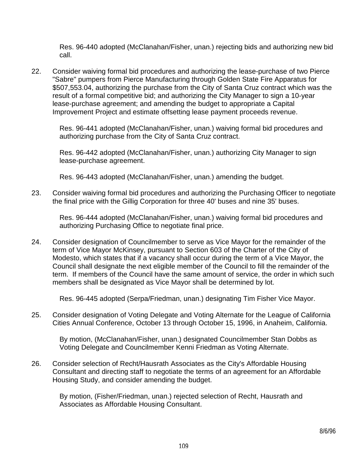Res. 96-440 adopted (McClanahan/Fisher, unan.) rejecting bids and authorizing new bid call.

22. Consider waiving formal bid procedures and authorizing the lease-purchase of two Pierce "Sabre" pumpers from Pierce Manufacturing through Golden State Fire Apparatus for \$507,553.04, authorizing the purchase from the City of Santa Cruz contract which was the result of a formal competitive bid; and authorizing the City Manager to sign a 10-year lease-purchase agreement; and amending the budget to appropriate a Capital Improvement Project and estimate offsetting lease payment proceeds revenue.

 Res. 96-441 adopted (McClanahan/Fisher, unan.) waiving formal bid procedures and authorizing purchase from the City of Santa Cruz contract.

 Res. 96-442 adopted (McClanahan/Fisher, unan.) authorizing City Manager to sign lease-purchase agreement.

Res. 96-443 adopted (McClanahan/Fisher, unan.) amending the budget.

23. Consider waiving formal bid procedures and authorizing the Purchasing Officer to negotiate the final price with the Gillig Corporation for three 40' buses and nine 35' buses.

 Res. 96-444 adopted (McClanahan/Fisher, unan.) waiving formal bid procedures and authorizing Purchasing Office to negotiate final price.

24. Consider designation of Councilmember to serve as Vice Mayor for the remainder of the term of Vice Mayor McKinsey, pursuant to Section 603 of the Charter of the City of Modesto, which states that if a vacancy shall occur during the term of a Vice Mayor, the Council shall designate the next eligible member of the Council to fill the remainder of the term. If members of the Council have the same amount of service, the order in which such members shall be designated as Vice Mayor shall be determined by lot.

Res. 96-445 adopted (Serpa/Friedman, unan.) designating Tim Fisher Vice Mayor.

25. Consider designation of Voting Delegate and Voting Alternate for the League of California Cities Annual Conference, October 13 through October 15, 1996, in Anaheim, California.

 By motion, (McClanahan/Fisher, unan.) designated Councilmember Stan Dobbs as Voting Delegate and Councilmember Kenni Friedman as Voting Alternate.

26. Consider selection of Recht/Hausrath Associates as the City's Affordable Housing Consultant and directing staff to negotiate the terms of an agreement for an Affordable Housing Study, and consider amending the budget.

 By motion, (Fisher/Friedman, unan.) rejected selection of Recht, Hausrath and Associates as Affordable Housing Consultant.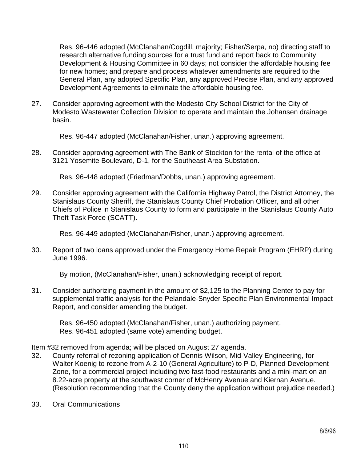Res. 96-446 adopted (McClanahan/Cogdill, majority; Fisher/Serpa, no) directing staff to research alternative funding sources for a trust fund and report back to Community Development & Housing Committee in 60 days; not consider the affordable housing fee for new homes; and prepare and process whatever amendments are required to the General Plan, any adopted Specific Plan, any approved Precise Plan, and any approved Development Agreements to eliminate the affordable housing fee.

27. Consider approving agreement with the Modesto City School District for the City of Modesto Wastewater Collection Division to operate and maintain the Johansen drainage basin.

Res. 96-447 adopted (McClanahan/Fisher, unan.) approving agreement.

28. Consider approving agreement with The Bank of Stockton for the rental of the office at 3121 Yosemite Boulevard, D-1, for the Southeast Area Substation.

Res. 96-448 adopted (Friedman/Dobbs, unan.) approving agreement.

29. Consider approving agreement with the California Highway Patrol, the District Attorney, the Stanislaus County Sheriff, the Stanislaus County Chief Probation Officer, and all other Chiefs of Police in Stanislaus County to form and participate in the Stanislaus County Auto Theft Task Force (SCATT).

Res. 96-449 adopted (McClanahan/Fisher, unan.) approving agreement.

30. Report of two loans approved under the Emergency Home Repair Program (EHRP) during June 1996.

By motion, (McClanahan/Fisher, unan.) acknowledging receipt of report.

31. Consider authorizing payment in the amount of \$2,125 to the Planning Center to pay for supplemental traffic analysis for the Pelandale-Snyder Specific Plan Environmental Impact Report, and consider amending the budget.

 Res. 96-450 adopted (McClanahan/Fisher, unan.) authorizing payment. Res. 96-451 adopted (same vote) amending budget.

- Item #32 removed from agenda; will be placed on August 27 agenda.
- 32. County referral of rezoning application of Dennis Wilson, Mid-Valley Engineering, for Walter Koenig to rezone from A-2-10 (General Agriculture) to P-D, Planned Development Zone, for a commercial project including two fast-food restaurants and a mini-mart on an 8.22-acre property at the southwest corner of McHenry Avenue and Kiernan Avenue. (Resolution recommending that the County deny the application without prejudice needed.)
- 33. Oral Communications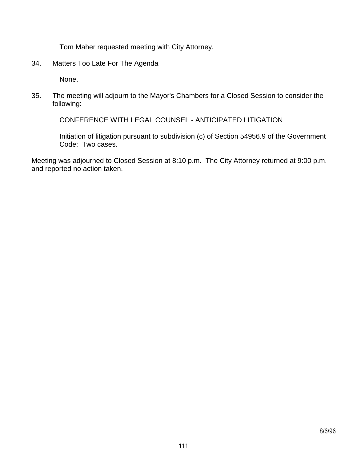Tom Maher requested meeting with City Attorney.

34. Matters Too Late For The Agenda

None.

35. The meeting will adjourn to the Mayor's Chambers for a Closed Session to consider the following:

CONFERENCE WITH LEGAL COUNSEL - ANTICIPATED LITIGATION

 Initiation of litigation pursuant to subdivision (c) of Section 54956.9 of the Government Code: Two cases.

Meeting was adjourned to Closed Session at 8:10 p.m. The City Attorney returned at 9:00 p.m. and reported no action taken.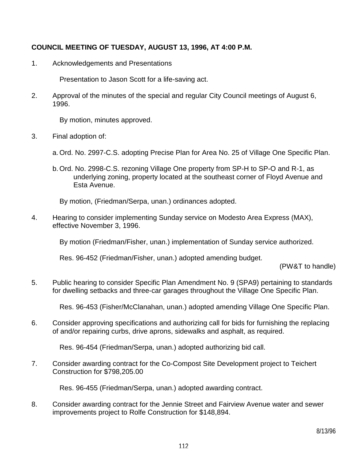## **COUNCIL MEETING OF TUESDAY, AUGUST 13, 1996, AT 4:00 P.M.**

1. Acknowledgements and Presentations

Presentation to Jason Scott for a life-saving act.

2. Approval of the minutes of the special and regular City Council meetings of August 6, 1996.

By motion, minutes approved.

- 3. Final adoption of:
	- a. Ord. No. 2997-C.S. adopting Precise Plan for Area No. 25 of Village One Specific Plan.
	- b. Ord. No. 2998-C.S. rezoning Village One property from SP-H to SP-O and R-1, as underlying zoning, property located at the southeast corner of Floyd Avenue and Esta Avenue.

By motion, (Friedman/Serpa, unan.) ordinances adopted.

4. Hearing to consider implementing Sunday service on Modesto Area Express (MAX), effective November 3, 1996.

By motion (Friedman/Fisher, unan.) implementation of Sunday service authorized.

Res. 96-452 (Friedman/Fisher, unan.) adopted amending budget.

(PW&T to handle)

5. Public hearing to consider Specific Plan Amendment No. 9 (SPA9) pertaining to standards for dwelling setbacks and three-car garages throughout the Village One Specific Plan.

Res. 96-453 (Fisher/McClanahan, unan.) adopted amending Village One Specific Plan.

6. Consider approving specifications and authorizing call for bids for furnishing the replacing of and/or repairing curbs, drive aprons, sidewalks and asphalt, as required.

Res. 96-454 (Friedman/Serpa, unan.) adopted authorizing bid call.

7. Consider awarding contract for the Co-Compost Site Development project to Teichert Construction for \$798,205.00

Res. 96-455 (Friedman/Serpa, unan.) adopted awarding contract.

8. Consider awarding contract for the Jennie Street and Fairview Avenue water and sewer improvements project to Rolfe Construction for \$148,894.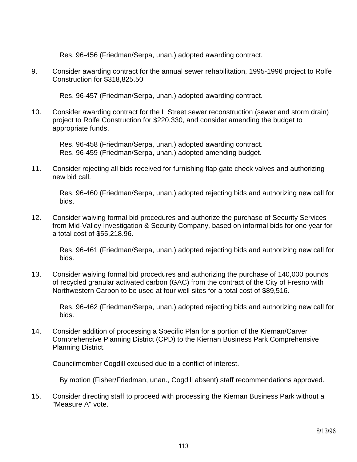Res. 96-456 (Friedman/Serpa, unan.) adopted awarding contract.

9. Consider awarding contract for the annual sewer rehabilitation, 1995-1996 project to Rolfe Construction for \$318,825.50

Res. 96-457 (Friedman/Serpa, unan.) adopted awarding contract.

10. Consider awarding contract for the L Street sewer reconstruction (sewer and storm drain) project to Rolfe Construction for \$220,330, and consider amending the budget to appropriate funds.

 Res. 96-458 (Friedman/Serpa, unan.) adopted awarding contract. Res. 96-459 (Friedman/Serpa, unan.) adopted amending budget.

11. Consider rejecting all bids received for furnishing flap gate check valves and authorizing new bid call.

 Res. 96-460 (Friedman/Serpa, unan.) adopted rejecting bids and authorizing new call for bids.

12. Consider waiving formal bid procedures and authorize the purchase of Security Services from Mid-Valley Investigation & Security Company, based on informal bids for one year for a total cost of \$55,218.96.

 Res. 96-461 (Friedman/Serpa, unan.) adopted rejecting bids and authorizing new call for bids.

13. Consider waiving formal bid procedures and authorizing the purchase of 140,000 pounds of recycled granular activated carbon (GAC) from the contract of the City of Fresno with Northwestern Carbon to be used at four well sites for a total cost of \$89,516.

 Res. 96-462 (Friedman/Serpa, unan.) adopted rejecting bids and authorizing new call for bids.

14. Consider addition of processing a Specific Plan for a portion of the Kiernan/Carver Comprehensive Planning District (CPD) to the Kiernan Business Park Comprehensive Planning District.

Councilmember Cogdill excused due to a conflict of interest.

By motion (Fisher/Friedman, unan., Cogdill absent) staff recommendations approved.

15. Consider directing staff to proceed with processing the Kiernan Business Park without a "Measure A" vote.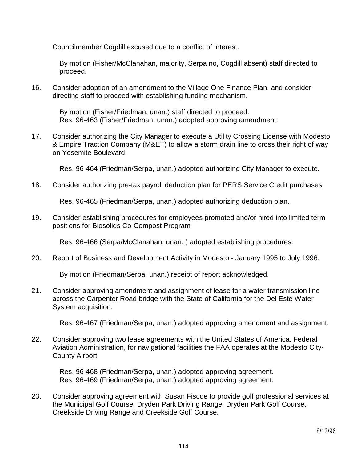Councilmember Cogdill excused due to a conflict of interest.

 By motion (Fisher/McClanahan, majority, Serpa no, Cogdill absent) staff directed to proceed.

16. Consider adoption of an amendment to the Village One Finance Plan, and consider directing staff to proceed with establishing funding mechanism.

 By motion (Fisher/Friedman, unan.) staff directed to proceed. Res. 96-463 (Fisher/Friedman, unan.) adopted approving amendment.

17. Consider authorizing the City Manager to execute a Utility Crossing License with Modesto & Empire Traction Company (M&ET) to allow a storm drain line to cross their right of way on Yosemite Boulevard.

Res. 96-464 (Friedman/Serpa, unan.) adopted authorizing City Manager to execute.

18. Consider authorizing pre-tax payroll deduction plan for PERS Service Credit purchases.

Res. 96-465 (Friedman/Serpa, unan.) adopted authorizing deduction plan.

19. Consider establishing procedures for employees promoted and/or hired into limited term positions for Biosolids Co-Compost Program

Res. 96-466 (Serpa/McClanahan, unan. ) adopted establishing procedures.

20. Report of Business and Development Activity in Modesto - January 1995 to July 1996.

By motion (Friedman/Serpa, unan.) receipt of report acknowledged.

21. Consider approving amendment and assignment of lease for a water transmission line across the Carpenter Road bridge with the State of California for the Del Este Water System acquisition.

Res. 96-467 (Friedman/Serpa, unan.) adopted approving amendment and assignment.

22. Consider approving two lease agreements with the United States of America, Federal Aviation Administration, for navigational facilities the FAA operates at the Modesto City-County Airport.

 Res. 96-468 (Friedman/Serpa, unan.) adopted approving agreement. Res. 96-469 (Friedman/Serpa, unan.) adopted approving agreement.

23. Consider approving agreement with Susan Fiscoe to provide golf professional services at the Municipal Golf Course, Dryden Park Driving Range, Dryden Park Golf Course, Creekside Driving Range and Creekside Golf Course.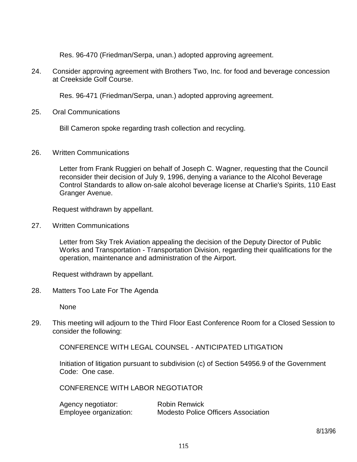Res. 96-470 (Friedman/Serpa, unan.) adopted approving agreement.

24. Consider approving agreement with Brothers Two, Inc. for food and beverage concession at Creekside Golf Course.

Res. 96-471 (Friedman/Serpa, unan.) adopted approving agreement.

25. Oral Communications

Bill Cameron spoke regarding trash collection and recycling.

26. Written Communications

 Letter from Frank Ruggieri on behalf of Joseph C. Wagner, requesting that the Council reconsider their decision of July 9, 1996, denying a variance to the Alcohol Beverage Control Standards to allow on-sale alcohol beverage license at Charlie's Spirits, 110 East Granger Avenue.

Request withdrawn by appellant.

27. Written Communications

 Letter from Sky Trek Aviation appealing the decision of the Deputy Director of Public Works and Transportation - Transportation Division, regarding their qualifications for the operation, maintenance and administration of the Airport.

Request withdrawn by appellant.

28. Matters Too Late For The Agenda

None

29. This meeting will adjourn to the Third Floor East Conference Room for a Closed Session to consider the following:

CONFERENCE WITH LEGAL COUNSEL - ANTICIPATED LITIGATION

 Initiation of litigation pursuant to subdivision (c) of Section 54956.9 of the Government Code: One case.

CONFERENCE WITH LABOR NEGOTIATOR

| Agency negotiator:     | <b>Robin Renwick</b>                       |
|------------------------|--------------------------------------------|
| Employee organization: | <b>Modesto Police Officers Association</b> |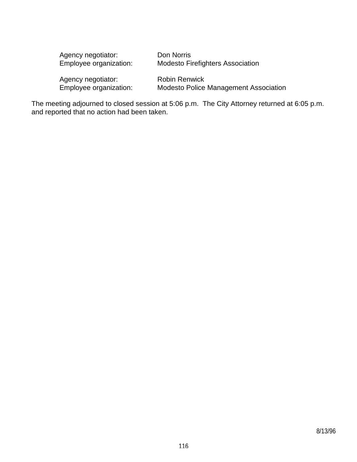| Agency negotiator:<br>Employee organization: | Don Norris<br><b>Modesto Firefighters Association</b>         |
|----------------------------------------------|---------------------------------------------------------------|
| Agency negotiator:<br>Employee organization: | <b>Robin Renwick</b><br>Modesto Police Management Association |

The meeting adjourned to closed session at 5:06 p.m. The City Attorney returned at 6:05 p.m. and reported that no action had been taken.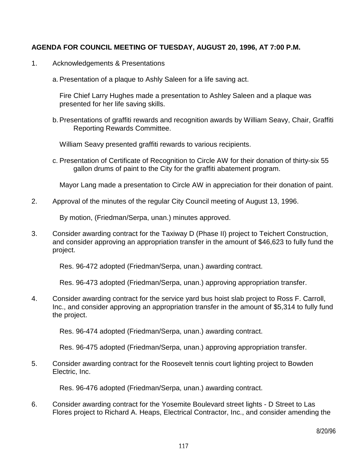## **AGENDA FOR COUNCIL MEETING OF TUESDAY, AUGUST 20, 1996, AT 7:00 P.M.**

- 1. Acknowledgements & Presentations
	- a. Presentation of a plaque to Ashly Saleen for a life saving act.

 Fire Chief Larry Hughes made a presentation to Ashley Saleen and a plaque was presented for her life saving skills.

 b. Presentations of graffiti rewards and recognition awards by William Seavy, Chair, Graffiti Reporting Rewards Committee.

William Seavy presented graffiti rewards to various recipients.

 c. Presentation of Certificate of Recognition to Circle AW for their donation of thirty-six 55 gallon drums of paint to the City for the graffiti abatement program.

Mayor Lang made a presentation to Circle AW in appreciation for their donation of paint.

2. Approval of the minutes of the regular City Council meeting of August 13, 1996.

By motion, (Friedman/Serpa, unan.) minutes approved.

3. Consider awarding contract for the Taxiway D (Phase II) project to Teichert Construction, and consider approving an appropriation transfer in the amount of \$46,623 to fully fund the project.

Res. 96-472 adopted (Friedman/Serpa, unan.) awarding contract.

Res. 96-473 adopted (Friedman/Serpa, unan.) approving appropriation transfer.

4. Consider awarding contract for the service yard bus hoist slab project to Ross F. Carroll, Inc., and consider approving an appropriation transfer in the amount of \$5,314 to fully fund the project.

Res. 96-474 adopted (Friedman/Serpa, unan.) awarding contract.

Res. 96-475 adopted (Friedman/Serpa, unan.) approving appropriation transfer.

5. Consider awarding contract for the Roosevelt tennis court lighting project to Bowden Electric, Inc.

Res. 96-476 adopted (Friedman/Serpa, unan.) awarding contract.

6. Consider awarding contract for the Yosemite Boulevard street lights - D Street to Las Flores project to Richard A. Heaps, Electrical Contractor, Inc., and consider amending the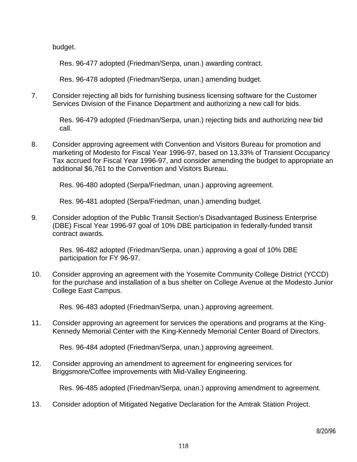budget.

Res. 96-477 adopted (Friedman/Serpa, unan.) awarding contract.

Res. 96-478 adopted (Friedman/Serpa, unan.) amending budget.

7. Consider rejecting all bids for furnishing business licensing software for the Customer Services Division of the Finance Department and authorizing a new call for bids.

 Res. 96-479 adopted (Friedman/Serpa, unan.) rejecting bids and authorizing new bid call.

8. Consider approving agreement with Convention and Visitors Bureau for promotion and marketing of Modesto for Fiscal Year 1996-97, based on 13.33% of Transient Occupancy Tax accrued for Fiscal Year 1996-97, and consider amending the budget to appropriate an additional \$6,761 to the Convention and Visitors Bureau.

Res. 96-480 adopted (Serpa/Friedman, unan.) approving agreement.

Res. 96-481 adopted (Serpa/Friedman, unan.) amending budget.

9. Consider adoption of the Public Transit Section's Disadvantaged Business Enterprise (DBE) Fiscal Year 1996-97 goal of 10% DBE participation in federally-funded transit contract awards.

 Res. 96-482 adopted (Friedman/Serpa, unan.) approving a goal of 10% DBE participation for FY 96-97.

10. Consider approving an agreement with the Yosemite Community College District (YCCD) for the purchase and installation of a bus shelter on College Avenue at the Modesto Junior College East Campus.

Res. 96-483 adopted (Friedman/Serpa, unan.) approving agreement.

11. Consider approving an agreement for services the operations and programs at the King-Kennedy Memorial Center with the King-Kennedy Memorial Center Board of Directors.

Res. 96-484 adopted (Friedman/Serpa, unan.) approving agreement.

12. Consider approving an amendment to agreement for engineering services for Briggsmore/Coffee improvements with Mid-Valley Engineering.

Res. 96-485 adopted (Friedman/Serpa, unan.) approving amendment to agreement.

13. Consider adoption of Mitigated Negative Declaration for the Amtrak Station Project.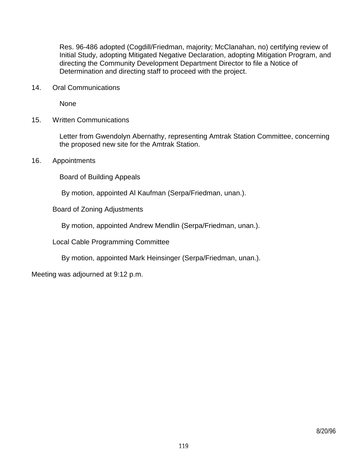Res. 96-486 adopted (Cogdill/Friedman, majority; McClanahan, no) certifying review of Initial Study, adopting Mitigated Negative Declaration, adopting Mitigation Program, and directing the Community Development Department Director to file a Notice of Determination and directing staff to proceed with the project.

14. Oral Communications

None

15. Written Communications

 Letter from Gwendolyn Abernathy, representing Amtrak Station Committee, concerning the proposed new site for the Amtrak Station.

16. Appointments

Board of Building Appeals

By motion, appointed Al Kaufman (Serpa/Friedman, unan.).

Board of Zoning Adjustments

By motion, appointed Andrew Mendlin (Serpa/Friedman, unan.).

Local Cable Programming Committee

By motion, appointed Mark Heinsinger (Serpa/Friedman, unan.).

Meeting was adjourned at 9:12 p.m.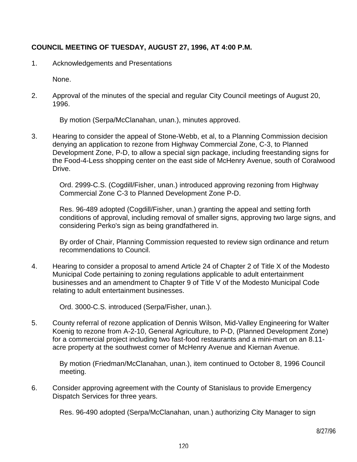# **COUNCIL MEETING OF TUESDAY, AUGUST 27, 1996, AT 4:00 P.M.**

1. Acknowledgements and Presentations

None.

2. Approval of the minutes of the special and regular City Council meetings of August 20, 1996.

By motion (Serpa/McClanahan, unan.), minutes approved.

3. Hearing to consider the appeal of Stone-Webb, et al, to a Planning Commission decision denying an application to rezone from Highway Commercial Zone, C-3, to Planned Development Zone, P-D, to allow a special sign package, including freestanding signs for the Food-4-Less shopping center on the east side of McHenry Avenue, south of Coralwood Drive.

 Ord. 2999-C.S. (Cogdill/Fisher, unan.) introduced approving rezoning from Highway Commercial Zone C-3 to Planned Development Zone P-D.

 Res. 96-489 adopted (Cogdill/Fisher, unan.) granting the appeal and setting forth conditions of approval, including removal of smaller signs, approving two large signs, and considering Perko's sign as being grandfathered in.

 By order of Chair, Planning Commission requested to review sign ordinance and return recommendations to Council.

4. Hearing to consider a proposal to amend Article 24 of Chapter 2 of Title X of the Modesto Municipal Code pertaining to zoning regulations applicable to adult entertainment businesses and an amendment to Chapter 9 of Title V of the Modesto Municipal Code relating to adult entertainment businesses.

Ord. 3000-C.S. introduced (Serpa/Fisher, unan.).

5. County referral of rezone application of Dennis Wilson, Mid-Valley Engineering for Walter Koenig to rezone from A-2-10, General Agriculture, to P-D, (Planned Development Zone) for a commercial project including two fast-food restaurants and a mini-mart on an 8.11 acre property at the southwest corner of McHenry Avenue and Kiernan Avenue.

 By motion (Friedman/McClanahan, unan.), item continued to October 8, 1996 Council meeting.

6. Consider approving agreement with the County of Stanislaus to provide Emergency Dispatch Services for three years.

Res. 96-490 adopted (Serpa/McClanahan, unan.) authorizing City Manager to sign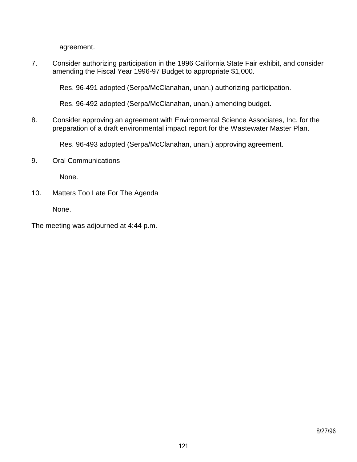agreement.

7. Consider authorizing participation in the 1996 California State Fair exhibit, and consider amending the Fiscal Year 1996-97 Budget to appropriate \$1,000.

Res. 96-491 adopted (Serpa/McClanahan, unan.) authorizing participation.

Res. 96-492 adopted (Serpa/McClanahan, unan.) amending budget.

8. Consider approving an agreement with Environmental Science Associates, Inc. for the preparation of a draft environmental impact report for the Wastewater Master Plan.

Res. 96-493 adopted (Serpa/McClanahan, unan.) approving agreement.

9. Oral Communications

None.

10. Matters Too Late For The Agenda

None.

The meeting was adjourned at 4:44 p.m.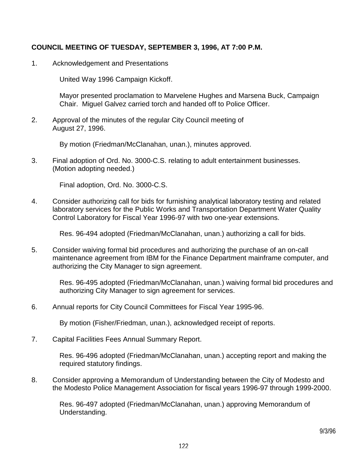## **COUNCIL MEETING OF TUESDAY, SEPTEMBER 3, 1996, AT 7:00 P.M.**

1. Acknowledgement and Presentations

United Way 1996 Campaign Kickoff.

 Mayor presented proclamation to Marvelene Hughes and Marsena Buck, Campaign Chair. Miguel Galvez carried torch and handed off to Police Officer.

2. Approval of the minutes of the regular City Council meeting of August 27, 1996.

By motion (Friedman/McClanahan, unan.), minutes approved.

3. Final adoption of Ord. No. 3000-C.S. relating to adult entertainment businesses. (Motion adopting needed.)

Final adoption, Ord. No. 3000-C.S.

4. Consider authorizing call for bids for furnishing analytical laboratory testing and related laboratory services for the Public Works and Transportation Department Water Quality Control Laboratory for Fiscal Year 1996-97 with two one-year extensions.

Res. 96-494 adopted (Friedman/McClanahan, unan.) authorizing a call for bids.

5. Consider waiving formal bid procedures and authorizing the purchase of an on-call maintenance agreement from IBM for the Finance Department mainframe computer, and authorizing the City Manager to sign agreement.

 Res. 96-495 adopted (Friedman/McClanahan, unan.) waiving formal bid procedures and authorizing City Manager to sign agreement for services.

6. Annual reports for City Council Committees for Fiscal Year 1995-96.

By motion (Fisher/Friedman, unan.), acknowledged receipt of reports.

7. Capital Facilities Fees Annual Summary Report.

 Res. 96-496 adopted (Friedman/McClanahan, unan.) accepting report and making the required statutory findings.

8. Consider approving a Memorandum of Understanding between the City of Modesto and the Modesto Police Management Association for fiscal years 1996-97 through 1999-2000.

 Res. 96-497 adopted (Friedman/McClanahan, unan.) approving Memorandum of Understanding.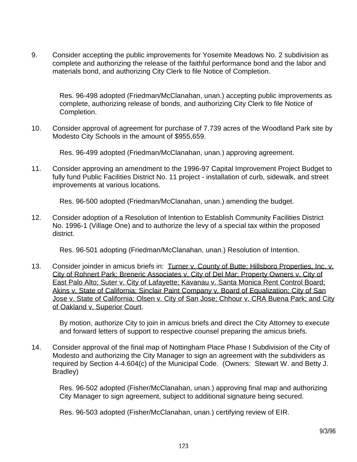9. Consider accepting the public improvements for Yosemite Meadows No. 2 subdivision as complete and authorizing the release of the faithful performance bond and the labor and materials bond, and authorizing City Clerk to file Notice of Completion.

 Res. 96-498 adopted (Friedman/McClanahan, unan.) accepting public improvements as complete, authorizing release of bonds, and authorizing City Clerk to file Notice of Completion.

10. Consider approval of agreement for purchase of 7.739 acres of the Woodland Park site by Modesto City Schools in the amount of \$955,659.

Res. 96-499 adopted (Friedman/McClanahan, unan.) approving agreement.

11. Consider approving an amendment to the 1996-97 Capital Improvement Project Budget to fully fund Public Facilities District No. 11 project - installation of curb, sidewalk, and street improvements at various locations.

Res. 96-500 adopted (Friedman/McClanahan, unan.) amending the budget.

12. Consider adoption of a Resolution of Intention to Establish Community Facilities District No. 1996-1 (Village One) and to authorize the levy of a special tax within the proposed district.

Res. 96-501 adopting (Friedman/McClanahan, unan.) Resolution of Intention.

13. Consider joinder in amicus briefs in: Turner v. County of Butte: Hillsboro Properties, Inc. v. City of Rohnert Park; Breneric Associates v. City of Del Mar; Property Owners v. City of East Palo Alto; Suter v. City of Lafayette; Kavanau v. Santa Monica Rent Control Board; Akins v. State of California: Sinclair Paint Company v. Board of Equalization: City of San Jose v. State of California; Olsen v. City of San Jose; Chhour v. CRA Buena Park; and City of Oakland v. Superior Court.

 By motion, authorize City to join in amicus briefs and direct the City Attorney to execute and forward letters of support to respective counsel preparing the amicus briefs.

14. Consider approval of the final map of Nottingham Place Phase I Subdivision of the City of Modesto and authorizing the City Manager to sign an agreement with the subdividers as required by Section 4-4.604(c) of the Municipal Code. (Owners: Stewart W. and Betty J. Bradley)

 Res. 96-502 adopted (Fisher/McClanahan, unan.) approving final map and authorizing City Manager to sign agreement, subject to additional signature being secured.

Res. 96-503 adopted (Fisher/McClanahan, unan.) certifying review of EIR.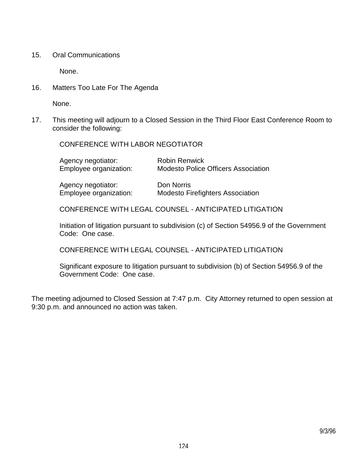15. Oral Communications

None.

16. Matters Too Late For The Agenda

None.

17. This meeting will adjourn to a Closed Session in the Third Floor East Conference Room to consider the following:

CONFERENCE WITH LABOR NEGOTIATOR

| Agency negotiator:     | <b>Robin Renwick</b>                       |            |
|------------------------|--------------------------------------------|------------|
| Employee organization: | <b>Modesto Police Officers Association</b> |            |
|                        | Agency negotiator:                         | Don Norris |

Employee organization: Modesto Firefighters Association

CONFERENCE WITH LEGAL COUNSEL - ANTICIPATED LITIGATION

 Initiation of litigation pursuant to subdivision (c) of Section 54956.9 of the Government Code: One case.

CONFERENCE WITH LEGAL COUNSEL - ANTICIPATED LITIGATION

 Significant exposure to litigation pursuant to subdivision (b) of Section 54956.9 of the Government Code: One case.

The meeting adjourned to Closed Session at 7:47 p.m. City Attorney returned to open session at 9:30 p.m. and announced no action was taken.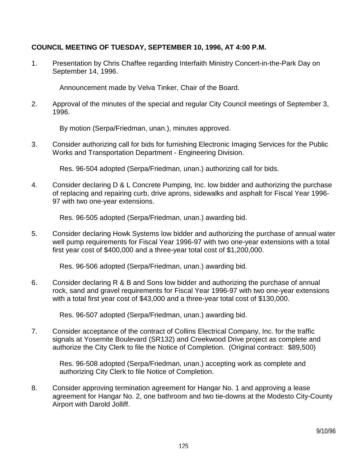## **COUNCIL MEETING OF TUESDAY, SEPTEMBER 10, 1996, AT 4:00 P.M.**

1. Presentation by Chris Chaffee regarding Interfaith Ministry Concert-in-the-Park Day on September 14, 1996.

Announcement made by Velva Tinker, Chair of the Board.

2. Approval of the minutes of the special and regular City Council meetings of September 3, 1996.

By motion (Serpa/Friedman, unan.), minutes approved.

3. Consider authorizing call for bids for furnishing Electronic Imaging Services for the Public Works and Transportation Department - Engineering Division.

Res. 96-504 adopted (Serpa/Friedman, unan.) authorizing call for bids.

4. Consider declaring D & L Concrete Pumping, Inc. low bidder and authorizing the purchase of replacing and repairing curb, drive aprons, sidewalks and asphalt for Fiscal Year 1996- 97 with two one-year extensions.

Res. 96-505 adopted (Serpa/Friedman, unan.) awarding bid.

5. Consider declaring Howk Systems low bidder and authorizing the purchase of annual water well pump requirements for Fiscal Year 1996-97 with two one-year extensions with a total first year cost of \$400,000 and a three-year total cost of \$1,200,000.

Res. 96-506 adopted (Serpa/Friedman, unan.) awarding bid.

6. Consider declaring R & B and Sons low bidder and authorizing the purchase of annual rock, sand and gravel requirements for Fiscal Year 1996-97 with two one-year extensions with a total first year cost of \$43,000 and a three-year total cost of \$130,000.

Res. 96-507 adopted (Serpa/Friedman, unan.) awarding bid.

7. Consider acceptance of the contract of Collins Electrical Company, Inc. for the traffic signals at Yosemite Boulevard (SR132) and Creekwood Drive project as complete and authorize the City Clerk to file the Notice of Completion. (Original contract: \$89,500)

 Res. 96-508 adopted (Serpa/Friedman, unan.) accepting work as complete and authorizing City Clerk to file Notice of Completion.

8. Consider approving termination agreement for Hangar No. 1 and approving a lease agreement for Hangar No. 2, one bathroom and two tie-downs at the Modesto City-County Airport with Darold Jolliff.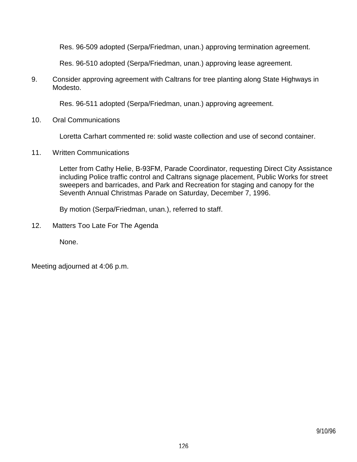Res. 96-509 adopted (Serpa/Friedman, unan.) approving termination agreement.

Res. 96-510 adopted (Serpa/Friedman, unan.) approving lease agreement.

9. Consider approving agreement with Caltrans for tree planting along State Highways in Modesto.

Res. 96-511 adopted (Serpa/Friedman, unan.) approving agreement.

10. Oral Communications

Loretta Carhart commented re: solid waste collection and use of second container.

11. Written Communications

 Letter from Cathy Helie, B-93FM, Parade Coordinator, requesting Direct City Assistance including Police traffic control and Caltrans signage placement, Public Works for street sweepers and barricades, and Park and Recreation for staging and canopy for the Seventh Annual Christmas Parade on Saturday, December 7, 1996.

By motion (Serpa/Friedman, unan.), referred to staff.

12. Matters Too Late For The Agenda

None.

Meeting adjourned at 4:06 p.m.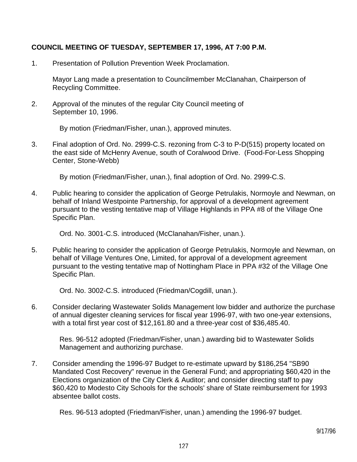## **COUNCIL MEETING OF TUESDAY, SEPTEMBER 17, 1996, AT 7:00 P.M.**

1. Presentation of Pollution Prevention Week Proclamation.

 Mayor Lang made a presentation to Councilmember McClanahan, Chairperson of Recycling Committee.

2. Approval of the minutes of the regular City Council meeting of September 10, 1996.

By motion (Friedman/Fisher, unan.), approved minutes.

3. Final adoption of Ord. No. 2999-C.S. rezoning from C-3 to P-D(515) property located on the east side of McHenry Avenue, south of Coralwood Drive. (Food-For-Less Shopping Center, Stone-Webb)

By motion (Friedman/Fisher, unan.), final adoption of Ord. No. 2999-C.S.

4. Public hearing to consider the application of George Petrulakis, Normoyle and Newman, on behalf of Inland Westpointe Partnership, for approval of a development agreement pursuant to the vesting tentative map of Village Highlands in PPA #8 of the Village One Specific Plan.

Ord. No. 3001-C.S. introduced (McClanahan/Fisher, unan.).

5. Public hearing to consider the application of George Petrulakis, Normoyle and Newman, on behalf of Village Ventures One, Limited, for approval of a development agreement pursuant to the vesting tentative map of Nottingham Place in PPA #32 of the Village One Specific Plan.

Ord. No. 3002-C.S. introduced (Friedman/Cogdill, unan.).

6. Consider declaring Wastewater Solids Management low bidder and authorize the purchase of annual digester cleaning services for fiscal year 1996-97, with two one-year extensions, with a total first year cost of \$12,161.80 and a three-year cost of \$36,485.40.

 Res. 96-512 adopted (Friedman/Fisher, unan.) awarding bid to Wastewater Solids Management and authorizing purchase.

7. Consider amending the 1996-97 Budget to re-estimate upward by \$186,254 "SB90 Mandated Cost Recovery" revenue in the General Fund; and appropriating \$60,420 in the Elections organization of the City Clerk & Auditor; and consider directing staff to pay \$60,420 to Modesto City Schools for the schools' share of State reimbursement for 1993 absentee ballot costs.

Res. 96-513 adopted (Friedman/Fisher, unan.) amending the 1996-97 budget.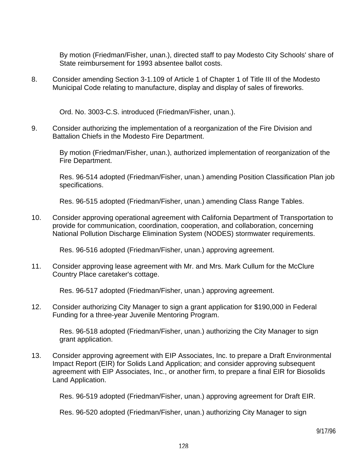By motion (Friedman/Fisher, unan.), directed staff to pay Modesto City Schools' share of State reimbursement for 1993 absentee ballot costs.

8. Consider amending Section 3-1.109 of Article 1 of Chapter 1 of Title III of the Modesto Municipal Code relating to manufacture, display and display of sales of fireworks.

Ord. No. 3003-C.S. introduced (Friedman/Fisher, unan.).

9. Consider authorizing the implementation of a reorganization of the Fire Division and Battalion Chiefs in the Modesto Fire Department.

 By motion (Friedman/Fisher, unan.), authorized implementation of reorganization of the Fire Department.

 Res. 96-514 adopted (Friedman/Fisher, unan.) amending Position Classification Plan job specifications.

Res. 96-515 adopted (Friedman/Fisher, unan.) amending Class Range Tables.

10. Consider approving operational agreement with California Department of Transportation to provide for communication, coordination, cooperation, and collaboration, concerning National Pollution Discharge Elimination System (NODES) stormwater requirements.

Res. 96-516 adopted (Friedman/Fisher, unan.) approving agreement.

11. Consider approving lease agreement with Mr. and Mrs. Mark Cullum for the McClure Country Place caretaker's cottage.

Res. 96-517 adopted (Friedman/Fisher, unan.) approving agreement.

12. Consider authorizing City Manager to sign a grant application for \$190,000 in Federal Funding for a three-year Juvenile Mentoring Program.

 Res. 96-518 adopted (Friedman/Fisher, unan.) authorizing the City Manager to sign grant application.

13. Consider approving agreement with EIP Associates, Inc. to prepare a Draft Environmental Impact Report (EIR) for Solids Land Application; and consider approving subsequent agreement with EIP Associates, Inc., or another firm, to prepare a final EIR for Biosolids Land Application.

Res. 96-519 adopted (Friedman/Fisher, unan.) approving agreement for Draft EIR.

Res. 96-520 adopted (Friedman/Fisher, unan.) authorizing City Manager to sign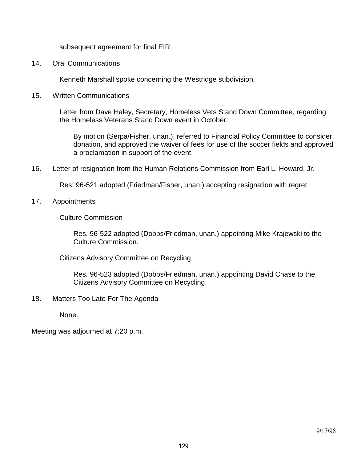subsequent agreement for final EIR.

14. Oral Communications

Kenneth Marshall spoke concerning the Westridge subdivision.

15. Written Communications

 Letter from Dave Haley, Secretary, Homeless Vets Stand Down Committee, regarding the Homeless Veterans Stand Down event in October.

 By motion (Serpa/Fisher, unan.), referred to Financial Policy Committee to consider donation, and approved the waiver of fees for use of the soccer fields and approved a proclamation in support of the event.

16. Letter of resignation from the Human Relations Commission from Earl L. Howard, Jr.

Res. 96-521 adopted (Friedman/Fisher, unan.) accepting resignation with regret.

#### 17. Appointments

Culture Commission

 Res. 96-522 adopted (Dobbs/Friedman, unan.) appointing Mike Krajewski to the Culture Commission.

Citizens Advisory Committee on Recycling

 Res. 96-523 adopted (Dobbs/Friedman, unan.) appointing David Chase to the Citizens Advisory Committee on Recycling.

18. Matters Too Late For The Agenda

None.

Meeting was adjourned at 7:20 p.m.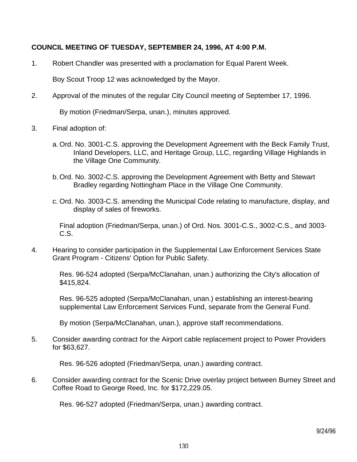## **COUNCIL MEETING OF TUESDAY, SEPTEMBER 24, 1996, AT 4:00 P.M.**

1. Robert Chandler was presented with a proclamation for Equal Parent Week.

Boy Scout Troop 12 was acknowledged by the Mayor.

2. Approval of the minutes of the regular City Council meeting of September 17, 1996.

By motion (Friedman/Serpa, unan.), minutes approved.

- 3. Final adoption of:
	- a. Ord. No. 3001-C.S. approving the Development Agreement with the Beck Family Trust, Inland Developers, LLC, and Heritage Group, LLC, regarding Village Highlands in the Village One Community.
	- b. Ord. No. 3002-C.S. approving the Development Agreement with Betty and Stewart Bradley regarding Nottingham Place in the Village One Community.
	- c. Ord. No. 3003-C.S. amending the Municipal Code relating to manufacture, display, and display of sales of fireworks.

 Final adoption (Friedman/Serpa, unan.) of Ord. Nos. 3001-C.S., 3002-C.S., and 3003- C.S.

4. Hearing to consider participation in the Supplemental Law Enforcement Services State Grant Program - Citizens' Option for Public Safety.

 Res. 96-524 adopted (Serpa/McClanahan, unan.) authorizing the City's allocation of \$415,824.

 Res. 96-525 adopted (Serpa/McClanahan, unan.) establishing an interest-bearing supplemental Law Enforcement Services Fund, separate from the General Fund.

By motion (Serpa/McClanahan, unan.), approve staff recommendations.

5. Consider awarding contract for the Airport cable replacement project to Power Providers for \$63,627.

Res. 96-526 adopted (Friedman/Serpa, unan.) awarding contract.

6. Consider awarding contract for the Scenic Drive overlay project between Burney Street and Coffee Road to George Reed, Inc. for \$172,229.05.

Res. 96-527 adopted (Friedman/Serpa, unan.) awarding contract.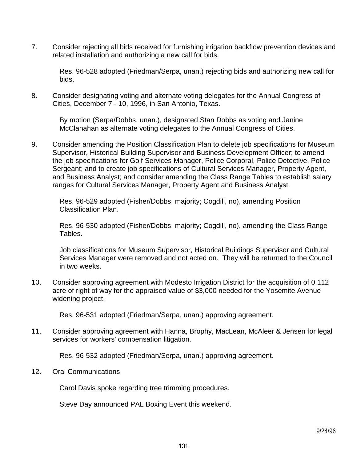7. Consider rejecting all bids received for furnishing irrigation backflow prevention devices and related installation and authorizing a new call for bids.

 Res. 96-528 adopted (Friedman/Serpa, unan.) rejecting bids and authorizing new call for bids.

8. Consider designating voting and alternate voting delegates for the Annual Congress of Cities, December 7 - 10, 1996, in San Antonio, Texas.

 By motion (Serpa/Dobbs, unan.), designated Stan Dobbs as voting and Janine McClanahan as alternate voting delegates to the Annual Congress of Cities.

9. Consider amending the Position Classification Plan to delete job specifications for Museum Supervisor, Historical Building Supervisor and Business Development Officer; to amend the job specifications for Golf Services Manager, Police Corporal, Police Detective, Police Sergeant; and to create job specifications of Cultural Services Manager, Property Agent, and Business Analyst; and consider amending the Class Range Tables to establish salary ranges for Cultural Services Manager, Property Agent and Business Analyst.

 Res. 96-529 adopted (Fisher/Dobbs, majority; Cogdill, no), amending Position Classification Plan.

 Res. 96-530 adopted (Fisher/Dobbs, majority; Cogdill, no), amending the Class Range Tables.

 Job classifications for Museum Supervisor, Historical Buildings Supervisor and Cultural Services Manager were removed and not acted on. They will be returned to the Council in two weeks.

10. Consider approving agreement with Modesto Irrigation District for the acquisition of 0.112 acre of right of way for the appraised value of \$3,000 needed for the Yosemite Avenue widening project.

Res. 96-531 adopted (Friedman/Serpa, unan.) approving agreement.

11. Consider approving agreement with Hanna, Brophy, MacLean, McAleer & Jensen for legal services for workers' compensation litigation.

Res. 96-532 adopted (Friedman/Serpa, unan.) approving agreement.

12. Oral Communications

Carol Davis spoke regarding tree trimming procedures.

Steve Day announced PAL Boxing Event this weekend.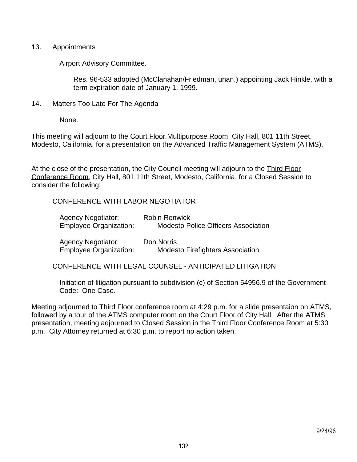#### 13. Appointments

Airport Advisory Committee.

 Res. 96-533 adopted (McClanahan/Friedman, unan.) appointing Jack Hinkle, with a term expiration date of January 1, 1999.

14. Matters Too Late For The Agenda

None.

This meeting will adjourn to the Court Floor Multipurpose Room, City Hall, 801 11th Street, Modesto, California, for a presentation on the Advanced Traffic Management System (ATMS).

At the close of the presentation, the City Council meeting will adjourn to the Third Floor Conference Room, City Hall, 801 11th Street, Modesto, California, for a Closed Session to consider the following:

CONFERENCE WITH LABOR NEGOTIATOR

| <b>Agency Negotiator:</b><br><b>Employee Organization:</b> | <b>Robin Renwick</b><br><b>Modesto Police Officers Association</b> |
|------------------------------------------------------------|--------------------------------------------------------------------|
| <b>Agency Negotiator:</b><br><b>Employee Organization:</b> | Don Norris<br><b>Modesto Firefighters Association</b>              |

CONFERENCE WITH LEGAL COUNSEL - ANTICIPATED LITIGATION

 Initiation of litigation pursuant to subdivision (c) of Section 54956.9 of the Government Code: One Case.

Meeting adjourned to Third Floor conference room at 4:29 p.m. for a slide presentaion on ATMS, followed by a tour of the ATMS computer room on the Court Floor of City Hall. After the ATMS presentation, meeting adjourned to Closed Session in the Third Floor Conference Room at 5:30 p.m. City Attorney returned at 6:30 p.m. to report no action taken.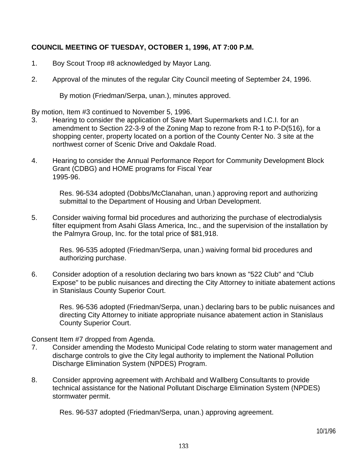# **COUNCIL MEETING OF TUESDAY, OCTOBER 1, 1996, AT 7:00 P.M.**

- 1. Boy Scout Troop #8 acknowledged by Mayor Lang.
- 2. Approval of the minutes of the regular City Council meeting of September 24, 1996.

By motion (Friedman/Serpa, unan.), minutes approved.

By motion, Item #3 continued to November 5, 1996.

- 3. Hearing to consider the application of Save Mart Supermarkets and I.C.I. for an amendment to Section 22-3-9 of the Zoning Map to rezone from R-1 to P-D(516), for a shopping center, property located on a portion of the County Center No. 3 site at the northwest corner of Scenic Drive and Oakdale Road.
- 4. Hearing to consider the Annual Performance Report for Community Development Block Grant (CDBG) and HOME programs for Fiscal Year 1995-96.

 Res. 96-534 adopted (Dobbs/McClanahan, unan.) approving report and authorizing submittal to the Department of Housing and Urban Development.

5. Consider waiving formal bid procedures and authorizing the purchase of electrodialysis filter equipment from Asahi Glass America, Inc., and the supervision of the installation by the Palmyra Group, Inc. for the total price of \$81,918.

 Res. 96-535 adopted (Friedman/Serpa, unan.) waiving formal bid procedures and authorizing purchase.

6. Consider adoption of a resolution declaring two bars known as "522 Club" and "Club Expose" to be public nuisances and directing the City Attorney to initiate abatement actions in Stanislaus County Superior Court.

 Res. 96-536 adopted (Friedman/Serpa, unan.) declaring bars to be public nuisances and directing City Attorney to initiate appropriate nuisance abatement action in Stanislaus County Superior Court.

Consent Item #7 dropped from Agenda.

- 7. Consider amending the Modesto Municipal Code relating to storm water management and discharge controls to give the City legal authority to implement the National Pollution Discharge Elimination System (NPDES) Program.
- 8. Consider approving agreement with Archibald and Wallberg Consultants to provide technical assistance for the National Pollutant Discharge Elimination System (NPDES) stormwater permit.

Res. 96-537 adopted (Friedman/Serpa, unan.) approving agreement.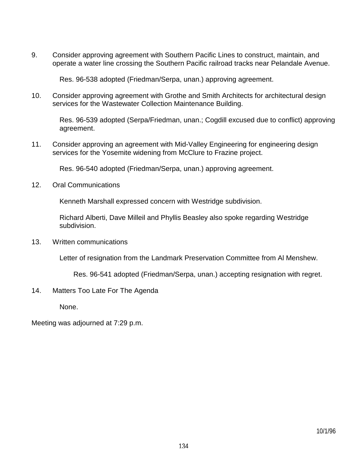9. Consider approving agreement with Southern Pacific Lines to construct, maintain, and operate a water line crossing the Southern Pacific railroad tracks near Pelandale Avenue.

Res. 96-538 adopted (Friedman/Serpa, unan.) approving agreement.

10. Consider approving agreement with Grothe and Smith Architects for architectural design services for the Wastewater Collection Maintenance Building.

 Res. 96-539 adopted (Serpa/Friedman, unan.; Cogdill excused due to conflict) approving agreement.

11. Consider approving an agreement with Mid-Valley Engineering for engineering design services for the Yosemite widening from McClure to Frazine project.

Res. 96-540 adopted (Friedman/Serpa, unan.) approving agreement.

12. Oral Communications

Kenneth Marshall expressed concern with Westridge subdivision.

 Richard Alberti, Dave Milleil and Phyllis Beasley also spoke regarding Westridge subdivision.

13. Written communications

Letter of resignation from the Landmark Preservation Committee from Al Menshew.

Res. 96-541 adopted (Friedman/Serpa, unan.) accepting resignation with regret.

14. Matters Too Late For The Agenda

None.

Meeting was adjourned at 7:29 p.m.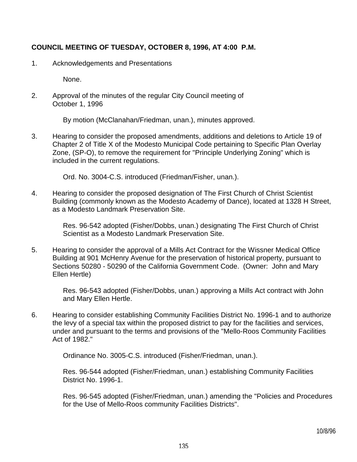# **COUNCIL MEETING OF TUESDAY, OCTOBER 8, 1996, AT 4:00 P.M.**

1. Acknowledgements and Presentations

None.

2. Approval of the minutes of the regular City Council meeting of October 1, 1996

By motion (McClanahan/Friedman, unan.), minutes approved.

3. Hearing to consider the proposed amendments, additions and deletions to Article 19 of Chapter 2 of Title X of the Modesto Municipal Code pertaining to Specific Plan Overlay Zone, (SP-O), to remove the requirement for "Principle Underlying Zoning" which is included in the current regulations.

Ord. No. 3004-C.S. introduced (Friedman/Fisher, unan.).

4. Hearing to consider the proposed designation of The First Church of Christ Scientist Building (commonly known as the Modesto Academy of Dance), located at 1328 H Street, as a Modesto Landmark Preservation Site.

> Res. 96-542 adopted (Fisher/Dobbs, unan.) designating The First Church of Christ Scientist as a Modesto Landmark Preservation Site.

5. Hearing to consider the approval of a Mills Act Contract for the Wissner Medical Office Building at 901 McHenry Avenue for the preservation of historical property, pursuant to Sections 50280 - 50290 of the California Government Code. (Owner: John and Mary Ellen Hertle)

> Res. 96-543 adopted (Fisher/Dobbs, unan.) approving a Mills Act contract with John and Mary Ellen Hertle.

6. Hearing to consider establishing Community Facilities District No. 1996-1 and to authorize the levy of a special tax within the proposed district to pay for the facilities and services, under and pursuant to the terms and provisions of the "Mello-Roos Community Facilities Act of 1982."

Ordinance No. 3005-C.S. introduced (Fisher/Friedman, unan.).

 Res. 96-544 adopted (Fisher/Friedman, unan.) establishing Community Facilities District No. 1996-1.

 Res. 96-545 adopted (Fisher/Friedman, unan.) amending the "Policies and Procedures for the Use of Mello-Roos community Facilities Districts".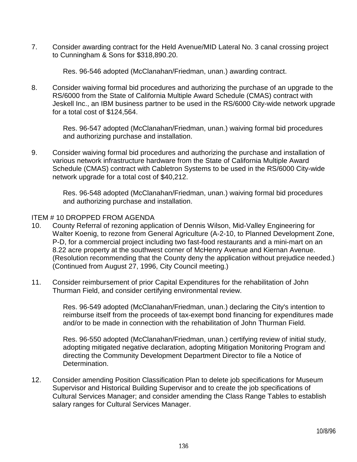7. Consider awarding contract for the Held Avenue/MID Lateral No. 3 canal crossing project to Cunningham & Sons for \$318,890.20.

Res. 96-546 adopted (McClanahan/Friedman, unan.) awarding contract.

8. Consider waiving formal bid procedures and authorizing the purchase of an upgrade to the RS/6000 from the State of California Multiple Award Schedule (CMAS) contract with Jeskell Inc., an IBM business partner to be used in the RS/6000 City-wide network upgrade for a total cost of \$124,564.

> Res. 96-547 adopted (McClanahan/Friedman, unan.) waiving formal bid procedures and authorizing purchase and installation.

9. Consider waiving formal bid procedures and authorizing the purchase and installation of various network infrastructure hardware from the State of California Multiple Award Schedule (CMAS) contract with Cabletron Systems to be used in the RS/6000 City-wide network upgrade for a total cost of \$40,212.

> Res. 96-548 adopted (McClanahan/Friedman, unan.) waiving formal bid procedures and authorizing purchase and installation.

### ITEM # 10 DROPPED FROM AGENDA

- 10. County Referral of rezoning application of Dennis Wilson, Mid-Valley Engineering for Walter Koenig, to rezone from General Agriculture (A-2-10, to Planned Development Zone, P-D, for a commercial project including two fast-food restaurants and a mini-mart on an 8.22 acre property at the southwest corner of McHenry Avenue and Kiernan Avenue. (Resolution recommending that the County deny the application without prejudice needed.) (Continued from August 27, 1996, City Council meeting.)
- 11. Consider reimbursement of prior Capital Expenditures for the rehabilitation of John Thurman Field, and consider certifying environmental review.

 Res. 96-549 adopted (McClanahan/Friedman, unan.) declaring the City's intention to reimburse itself from the proceeds of tax-exempt bond financing for expenditures made and/or to be made in connection with the rehabilitation of John Thurman Field.

 Res. 96-550 adopted (McClanahan/Friedman, unan.) certifying review of initial study, adopting mitigated negative declaration, adopting Mitigation Monitoring Program and directing the Community Development Department Director to file a Notice of Determination.

12. Consider amending Position Classification Plan to delete job specifications for Museum Supervisor and Historical Building Supervisor and to create the job specifications of Cultural Services Manager; and consider amending the Class Range Tables to establish salary ranges for Cultural Services Manager.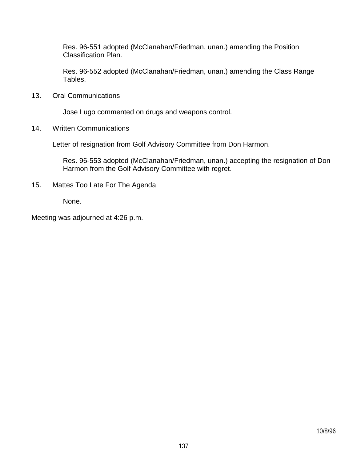Res. 96-551 adopted (McClanahan/Friedman, unan.) amending the Position Classification Plan.

 Res. 96-552 adopted (McClanahan/Friedman, unan.) amending the Class Range Tables.

13. Oral Communications

Jose Lugo commented on drugs and weapons control.

14. Written Communications

Letter of resignation from Golf Advisory Committee from Don Harmon.

 Res. 96-553 adopted (McClanahan/Friedman, unan.) accepting the resignation of Don Harmon from the Golf Advisory Committee with regret.

15. Mattes Too Late For The Agenda

None.

Meeting was adjourned at 4:26 p.m.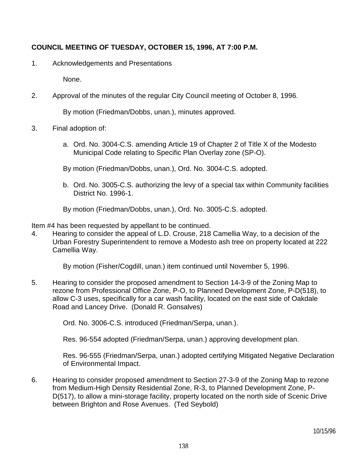# **COUNCIL MEETING OF TUESDAY, OCTOBER 15, 1996, AT 7:00 P.M.**

1. Acknowledgements and Presentations

None.

2. Approval of the minutes of the regular City Council meeting of October 8, 1996.

By motion (Friedman/Dobbs, unan.), minutes approved.

- 3. Final adoption of:
	- a. Ord. No. 3004-C.S. amending Article 19 of Chapter 2 of Title X of the Modesto Municipal Code relating to Specific Plan Overlay zone (SP-O).

By motion (Friedman/Dobbs, unan.), Ord. No. 3004-C.S. adopted.

 b. Ord. No. 3005-C.S. authorizing the levy of a special tax within Community facilities District No. 1996-1.

By motion (Friedman/Dobbs, unan.), Ord. No. 3005-C.S. adopted.

Item #4 has been requested by appellant to be continued.

4. Hearing to consider the appeal of L.D. Crouse, 218 Camellia Way, to a decision of the Urban Forestry Superintendent to remove a Modesto ash tree on property located at 222 Camellia Way.

By motion (Fisher/Cogdill, unan.) item continued until November 5, 1996.

5. Hearing to consider the proposed amendment to Section 14-3-9 of the Zoning Map to rezone from Professional Office Zone, P-O, to Planned Development Zone, P-D(518), to allow C-3 uses, specifically for a car wash facility, located on the east side of Oakdale Road and Lancey Drive. (Donald R. Gonsalves)

Ord. No. 3006-C.S. introduced (Friedman/Serpa, unan.).

Res. 96-554 adopted (Friedman/Serpa, unan.) approving development plan.

 Res. 96-555 (Friedman/Serpa, unan.) adopted certifying Mitigated Negative Declaration of Environmental Impact.

6. Hearing to consider proposed amendment to Section 27-3-9 of the Zoning Map to rezone from Medium-High Density Residential Zone, R-3, to Planned Development Zone, P-D(517), to allow a mini-storage facility, property located on the north side of Scenic Drive between Brighton and Rose Avenues. (Ted Seybold)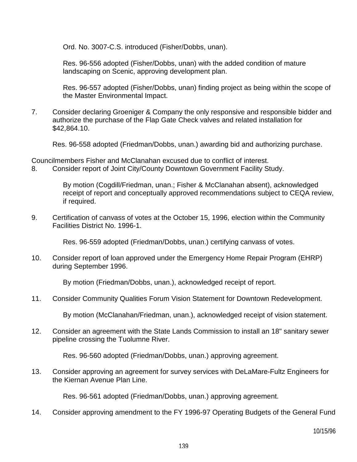Ord. No. 3007-C.S. introduced (Fisher/Dobbs, unan).

 Res. 96-556 adopted (Fisher/Dobbs, unan) with the added condition of mature landscaping on Scenic, approving development plan.

 Res. 96-557 adopted (Fisher/Dobbs, unan) finding project as being within the scope of the Master Environmental Impact.

7. Consider declaring Groeniger & Company the only responsive and responsible bidder and authorize the purchase of the Flap Gate Check valves and related installation for \$42,864.10.

Res. 96-558 adopted (Friedman/Dobbs, unan.) awarding bid and authorizing purchase.

Councilmembers Fisher and McClanahan excused due to conflict of interest. 8. Consider report of Joint City/County Downtown Government Facility Study.

> By motion (Cogdill/Friedman, unan.; Fisher & McClanahan absent), acknowledged receipt of report and conceptually approved recommendations subject to CEQA review, if required.

9. Certification of canvass of votes at the October 15, 1996, election within the Community Facilities District No. 1996-1.

Res. 96-559 adopted (Friedman/Dobbs, unan.) certifying canvass of votes.

10. Consider report of loan approved under the Emergency Home Repair Program (EHRP) during September 1996.

By motion (Friedman/Dobbs, unan.), acknowledged receipt of report.

11. Consider Community Qualities Forum Vision Statement for Downtown Redevelopment.

By motion (McClanahan/Friedman, unan.), acknowledged receipt of vision statement.

12. Consider an agreement with the State Lands Commission to install an 18" sanitary sewer pipeline crossing the Tuolumne River.

Res. 96-560 adopted (Friedman/Dobbs, unan.) approving agreement.

13. Consider approving an agreement for survey services with DeLaMare-Fultz Engineers for the Kiernan Avenue Plan Line.

Res. 96-561 adopted (Friedman/Dobbs, unan.) approving agreement.

14. Consider approving amendment to the FY 1996-97 Operating Budgets of the General Fund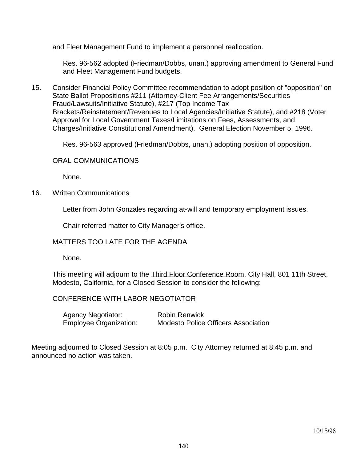and Fleet Management Fund to implement a personnel reallocation.

 Res. 96-562 adopted (Friedman/Dobbs, unan.) approving amendment to General Fund and Fleet Management Fund budgets.

15. Consider Financial Policy Committee recommendation to adopt position of "opposition" on State Ballot Propositions #211 (Attorney-Client Fee Arrangements/Securities Fraud/Lawsuits/Initiative Statute), #217 (Top Income Tax Brackets/Reinstatement/Revenues to Local Agencies/Initiative Statute), and #218 (Voter Approval for Local Government Taxes/Limitations on Fees, Assessments, and Charges/Initiative Constitutional Amendment). General Election November 5, 1996.

Res. 96-563 approved (Friedman/Dobbs, unan.) adopting position of opposition.

#### ORAL COMMUNICATIONS

None.

16. Written Communications

Letter from John Gonzales regarding at-will and temporary employment issues.

Chair referred matter to City Manager's office.

### MATTERS TOO LATE FOR THE AGENDA

None.

This meeting will adjourn to the Third Floor Conference Room, City Hall, 801 11th Street, Modesto, California, for a Closed Session to consider the following:

### CONFERENCE WITH LABOR NEGOTIATOR

| <b>Agency Negotiator:</b>     | <b>Robin Renwick</b>                       |
|-------------------------------|--------------------------------------------|
| <b>Employee Organization:</b> | <b>Modesto Police Officers Association</b> |

Meeting adjourned to Closed Session at 8:05 p.m. City Attorney returned at 8:45 p.m. and announced no action was taken.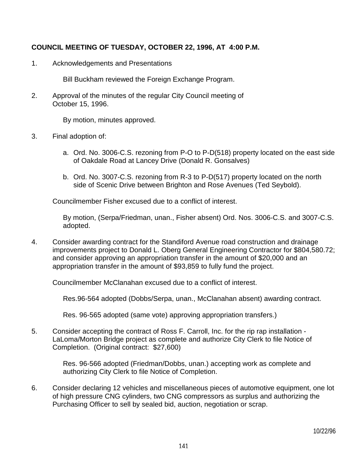## **COUNCIL MEETING OF TUESDAY, OCTOBER 22, 1996, AT 4:00 P.M.**

1. Acknowledgements and Presentations

Bill Buckham reviewed the Foreign Exchange Program.

2. Approval of the minutes of the regular City Council meeting of October 15, 1996.

By motion, minutes approved.

- 3. Final adoption of:
	- a. Ord. No. 3006-C.S. rezoning from P-O to P-D(518) property located on the east side of Oakdale Road at Lancey Drive (Donald R. Gonsalves)
	- b. Ord. No. 3007-C.S. rezoning from R-3 to P-D(517) property located on the north side of Scenic Drive between Brighton and Rose Avenues (Ted Seybold).

Councilmember Fisher excused due to a conflict of interest.

 By motion, (Serpa/Friedman, unan., Fisher absent) Ord. Nos. 3006-C.S. and 3007-C.S. adopted.

4. Consider awarding contract for the Standiford Avenue road construction and drainage improvements project to Donald L. Oberg General Engineering Contractor for \$804,580.72; and consider approving an appropriation transfer in the amount of \$20,000 and an appropriation transfer in the amount of \$93,859 to fully fund the project.

Councilmember McClanahan excused due to a conflict of interest.

Res.96-564 adopted (Dobbs/Serpa, unan., McClanahan absent) awarding contract.

Res. 96-565 adopted (same vote) approving appropriation transfers.)

5. Consider accepting the contract of Ross F. Carroll, Inc. for the rip rap installation - LaLoma/Morton Bridge project as complete and authorize City Clerk to file Notice of Completion. (Original contract: \$27,600)

> Res. 96-566 adopted (Friedman/Dobbs, unan.) accepting work as complete and authorizing City Clerk to file Notice of Completion.

6. Consider declaring 12 vehicles and miscellaneous pieces of automotive equipment, one lot of high pressure CNG cylinders, two CNG compressors as surplus and authorizing the Purchasing Officer to sell by sealed bid, auction, negotiation or scrap.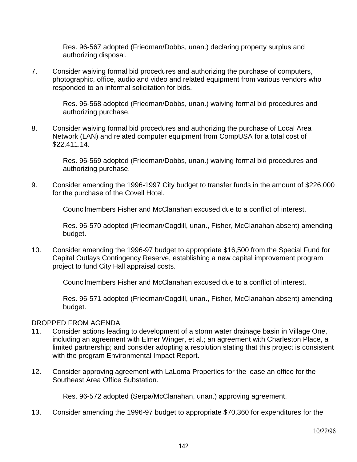Res. 96-567 adopted (Friedman/Dobbs, unan.) declaring property surplus and authorizing disposal.

7. Consider waiving formal bid procedures and authorizing the purchase of computers, photographic, office, audio and video and related equipment from various vendors who responded to an informal solicitation for bids.

> Res. 96-568 adopted (Friedman/Dobbs, unan.) waiving formal bid procedures and authorizing purchase.

8. Consider waiving formal bid procedures and authorizing the purchase of Local Area Network (LAN) and related computer equipment from CompUSA for a total cost of \$22,411.14.

> Res. 96-569 adopted (Friedman/Dobbs, unan.) waiving formal bid procedures and authorizing purchase.

9. Consider amending the 1996-1997 City budget to transfer funds in the amount of \$226,000 for the purchase of the Covell Hotel.

Councilmembers Fisher and McClanahan excused due to a conflict of interest.

 Res. 96-570 adopted (Friedman/Cogdill, unan., Fisher, McClanahan absent) amending budget.

10. Consider amending the 1996-97 budget to appropriate \$16,500 from the Special Fund for Capital Outlays Contingency Reserve, establishing a new capital improvement program project to fund City Hall appraisal costs.

Councilmembers Fisher and McClanahan excused due to a conflict of interest.

 Res. 96-571 adopted (Friedman/Cogdill, unan., Fisher, McClanahan absent) amending budget.

#### DROPPED FROM AGENDA

- 11. Consider actions leading to development of a storm water drainage basin in Village One, including an agreement with Elmer Winger, et al.; an agreement with Charleston Place, a limited partnership; and consider adopting a resolution stating that this project is consistent with the program Environmental Impact Report.
- 12. Consider approving agreement with LaLoma Properties for the lease an office for the Southeast Area Office Substation.

Res. 96-572 adopted (Serpa/McClanahan, unan.) approving agreement.

13. Consider amending the 1996-97 budget to appropriate \$70,360 for expenditures for the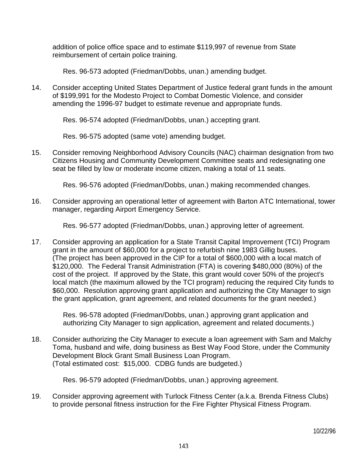addition of police office space and to estimate \$119,997 of revenue from State reimbursement of certain police training.

Res. 96-573 adopted (Friedman/Dobbs, unan.) amending budget.

14. Consider accepting United States Department of Justice federal grant funds in the amount of \$199,991 for the Modesto Project to Combat Domestic Violence, and consider amending the 1996-97 budget to estimate revenue and appropriate funds.

Res. 96-574 adopted (Friedman/Dobbs, unan.) accepting grant.

Res. 96-575 adopted (same vote) amending budget.

15. Consider removing Neighborhood Advisory Councils (NAC) chairman designation from two Citizens Housing and Community Development Committee seats and redesignating one seat be filled by low or moderate income citizen, making a total of 11 seats.

Res. 96-576 adopted (Friedman/Dobbs, unan.) making recommended changes.

16. Consider approving an operational letter of agreement with Barton ATC International, tower manager, regarding Airport Emergency Service.

Res. 96-577 adopted (Friedman/Dobbs, unan.) approving letter of agreement.

17. Consider approving an application for a State Transit Capital Improvement (TCI) Program grant in the amount of \$60,000 for a project to refurbish nine 1983 Gillig buses. (The project has been approved in the CIP for a total of \$600,000 with a local match of \$120,000. The Federal Transit Administration (FTA) is covering \$480,000 (80%) of the cost of the project. If approved by the State, this grant would cover 50% of the project's local match (the maximum allowed by the TCI program) reducing the required City funds to \$60,000. Resolution approving grant application and authorizing the City Manager to sign the grant application, grant agreement, and related documents for the grant needed.)

> Res. 96-578 adopted (Friedman/Dobbs, unan.) approving grant application and authorizing City Manager to sign application, agreement and related documents.)

18. Consider authorizing the City Manager to execute a loan agreement with Sam and Malchy Toma, husband and wife, doing business as Best Way Food Store, under the Community Development Block Grant Small Business Loan Program. (Total estimated cost: \$15,000. CDBG funds are budgeted.)

Res. 96-579 adopted (Friedman/Dobbs, unan.) approving agreement.

19. Consider approving agreement with Turlock Fitness Center (a.k.a. Brenda Fitness Clubs) to provide personal fitness instruction for the Fire Fighter Physical Fitness Program.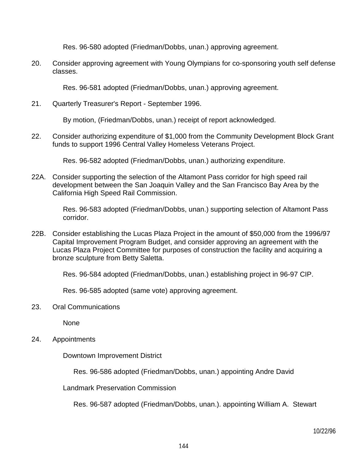Res. 96-580 adopted (Friedman/Dobbs, unan.) approving agreement.

20. Consider approving agreement with Young Olympians for co-sponsoring youth self defense classes.

Res. 96-581 adopted (Friedman/Dobbs, unan.) approving agreement.

21. Quarterly Treasurer's Report - September 1996.

By motion, (Friedman/Dobbs, unan.) receipt of report acknowledged.

22. Consider authorizing expenditure of \$1,000 from the Community Development Block Grant funds to support 1996 Central Valley Homeless Veterans Project.

Res. 96-582 adopted (Friedman/Dobbs, unan.) authorizing expenditure.

22A. Consider supporting the selection of the Altamont Pass corridor for high speed rail development between the San Joaquin Valley and the San Francisco Bay Area by the California High Speed Rail Commission.

> Res. 96-583 adopted (Friedman/Dobbs, unan.) supporting selection of Altamont Pass corridor.

22B. Consider establishing the Lucas Plaza Project in the amount of \$50,000 from the 1996/97 Capital Improvement Program Budget, and consider approving an agreement with the Lucas Plaza Project Committee for purposes of construction the facility and acquiring a bronze sculpture from Betty Saletta.

Res. 96-584 adopted (Friedman/Dobbs, unan.) establishing project in 96-97 CIP.

Res. 96-585 adopted (same vote) approving agreement.

23. Oral Communications

None

24. Appointments

Downtown Improvement District

Res. 96-586 adopted (Friedman/Dobbs, unan.) appointing Andre David

Landmark Preservation Commission

Res. 96-587 adopted (Friedman/Dobbs, unan.). appointing William A. Stewart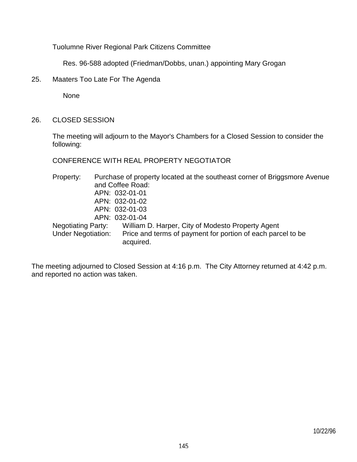Tuolumne River Regional Park Citizens Committee

Res. 96-588 adopted (Friedman/Dobbs, unan.) appointing Mary Grogan

25. Maaters Too Late For The Agenda

None

26. CLOSED SESSION

 The meeting will adjourn to the Mayor's Chambers for a Closed Session to consider the following:

CONFERENCE WITH REAL PROPERTY NEGOTIATOR

 Property: Purchase of property located at the southeast corner of Briggsmore Avenue and Coffee Road: APN: 032-01-01 APN: 032-01-02 APN: 032-01-03 APN: 032-01-04 Negotiating Party: William D. Harper, City of Modesto Property Agent Under Negotiation: Price and terms of payment for portion of each parcel to be acquired.

The meeting adjourned to Closed Session at 4:16 p.m. The City Attorney returned at 4:42 p.m. and reported no action was taken.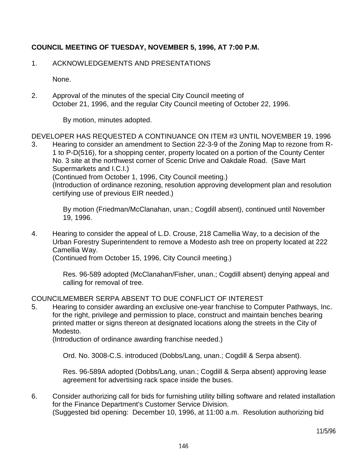# **COUNCIL MEETING OF TUESDAY, NOVEMBER 5, 1996, AT 7:00 P.M.**

## 1. ACKNOWLEDGEMENTS AND PRESENTATIONS

None.

2. Approval of the minutes of the special City Council meeting of October 21, 1996, and the regular City Council meeting of October 22, 1996.

By motion, minutes adopted.

DEVELOPER HAS REQUESTED A CONTINUANCE ON ITEM #3 UNTIL NOVEMBER 19, 1996

3. Hearing to consider an amendment to Section 22-3-9 of the Zoning Map to rezone from R-1 to P-D(516), for a shopping center, property located on a portion of the County Center No. 3 site at the northwest corner of Scenic Drive and Oakdale Road. (Save Mart Supermarkets and I.C.I.) (Continued from October 1, 1996, City Council meeting.)

 (Introduction of ordinance rezoning, resolution approving development plan and resolution certifying use of previous EIR needed.)

 By motion (Friedman/McClanahan, unan.; Cogdill absent), continued until November 19, 1996.

4. Hearing to consider the appeal of L.D. Crouse, 218 Camellia Way, to a decision of the Urban Forestry Superintendent to remove a Modesto ash tree on property located at 222 Camellia Way.

(Continued from October 15, 1996, City Council meeting.)

 Res. 96-589 adopted (McClanahan/Fisher, unan.; Cogdill absent) denying appeal and calling for removal of tree.

# COUNCILMEMBER SERPA ABSENT TO DUE CONFLICT OF INTEREST

5. Hearing to consider awarding an exclusive one-year franchise to Computer Pathways, Inc. for the right, privilege and permission to place, construct and maintain benches bearing printed matter or signs thereon at designated locations along the streets in the City of Modesto.

(Introduction of ordinance awarding franchise needed.)

Ord. No. 3008-C.S. introduced (Dobbs/Lang, unan.; Cogdill & Serpa absent).

 Res. 96-589A adopted (Dobbs/Lang, unan.; Cogdill & Serpa absent) approving lease agreement for advertising rack space inside the buses.

6. Consider authorizing call for bids for furnishing utility billing software and related installation for the Finance Department's Customer Service Division. (Suggested bid opening: December 10, 1996, at 11:00 a.m. Resolution authorizing bid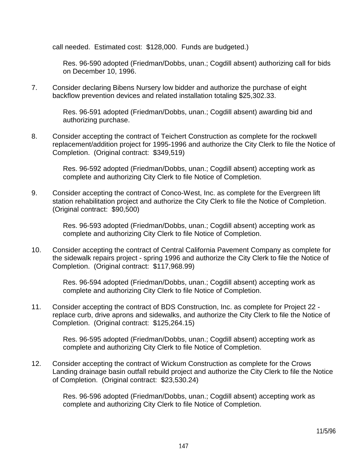call needed. Estimated cost: \$128,000. Funds are budgeted.)

 Res. 96-590 adopted (Friedman/Dobbs, unan.; Cogdill absent) authorizing call for bids on December 10, 1996.

7. Consider declaring Bibens Nursery low bidder and authorize the purchase of eight backflow prevention devices and related installation totaling \$25,302.33.

> Res. 96-591 adopted (Friedman/Dobbs, unan.; Cogdill absent) awarding bid and authorizing purchase.

8. Consider accepting the contract of Teichert Construction as complete for the rockwell replacement/addition project for 1995-1996 and authorize the City Clerk to file the Notice of Completion. (Original contract: \$349,519)

> Res. 96-592 adopted (Friedman/Dobbs, unan.; Cogdill absent) accepting work as complete and authorizing City Clerk to file Notice of Completion.

9. Consider accepting the contract of Conco-West, Inc. as complete for the Evergreen lift station rehabilitation project and authorize the City Clerk to file the Notice of Completion. (Original contract: \$90,500)

> Res. 96-593 adopted (Friedman/Dobbs, unan.; Cogdill absent) accepting work as complete and authorizing City Clerk to file Notice of Completion.

10. Consider accepting the contract of Central California Pavement Company as complete for the sidewalk repairs project - spring 1996 and authorize the City Clerk to file the Notice of Completion. (Original contract: \$117,968.99)

 Res. 96-594 adopted (Friedman/Dobbs, unan.; Cogdill absent) accepting work as complete and authorizing City Clerk to file Notice of Completion.

11. Consider accepting the contract of BDS Construction, Inc. as complete for Project 22 replace curb, drive aprons and sidewalks, and authorize the City Clerk to file the Notice of Completion. (Original contract: \$125,264.15)

> Res. 96-595 adopted (Friedman/Dobbs, unan.; Cogdill absent) accepting work as complete and authorizing City Clerk to file Notice of Completion.

12. Consider accepting the contract of Wickum Construction as complete for the Crows Landing drainage basin outfall rebuild project and authorize the City Clerk to file the Notice of Completion. (Original contract: \$23,530.24)

> Res. 96-596 adopted (Friedman/Dobbs, unan.; Cogdill absent) accepting work as complete and authorizing City Clerk to file Notice of Completion.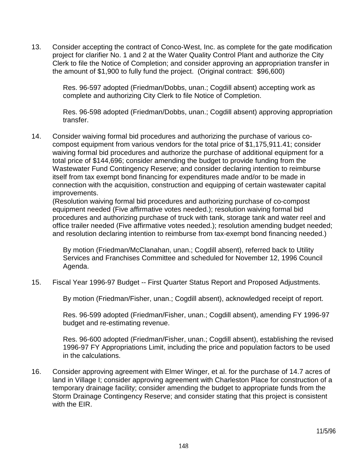13. Consider accepting the contract of Conco-West, Inc. as complete for the gate modification project for clarifier No. 1 and 2 at the Water Quality Control Plant and authorize the City Clerk to file the Notice of Completion; and consider approving an appropriation transfer in the amount of \$1,900 to fully fund the project. (Original contract: \$96,600)

> Res. 96-597 adopted (Friedman/Dobbs, unan.; Cogdill absent) accepting work as complete and authorizing City Clerk to file Notice of Completion.

 Res. 96-598 adopted (Friedman/Dobbs, unan.; Cogdill absent) approving appropriation transfer.

14. Consider waiving formal bid procedures and authorizing the purchase of various cocompost equipment from various vendors for the total price of \$1,175,911.41; consider waiving formal bid procedures and authorize the purchase of additional equipment for a total price of \$144,696; consider amending the budget to provide funding from the Wastewater Fund Contingency Reserve; and consider declaring intention to reimburse itself from tax exempt bond financing for expenditures made and/or to be made in connection with the acquisition, construction and equipping of certain wastewater capital improvements.

 (Resolution waiving formal bid procedures and authorizing purchase of co-compost equipment needed (Five affirmative votes needed.); resolution waiving formal bid procedures and authorizing purchase of truck with tank, storage tank and water reel and office trailer needed (Five affirmative votes needed.); resolution amending budget needed; and resolution declaring intention to reimburse from tax-exempt bond financing needed.)

 By motion (Friedman/McClanahan, unan.; Cogdill absent), referred back to Utility Services and Franchises Committee and scheduled for November 12, 1996 Council Agenda.

15. Fiscal Year 1996-97 Budget -- First Quarter Status Report and Proposed Adjustments.

By motion (Friedman/Fisher, unan.; Cogdill absent), acknowledged receipt of report.

 Res. 96-599 adopted (Friedman/Fisher, unan.; Cogdill absent), amending FY 1996-97 budget and re-estimating revenue.

 Res. 96-600 adopted (Friedman/Fisher, unan.; Cogdill absent), establishing the revised 1996-97 FY Appropriations Limit, including the price and population factors to be used in the calculations.

16. Consider approving agreement with Elmer Winger, et al. for the purchase of 14.7 acres of land in Village I; consider approving agreement with Charleston Place for construction of a temporary drainage facility; consider amending the budget to appropriate funds from the Storm Drainage Contingency Reserve; and consider stating that this project is consistent with the EIR.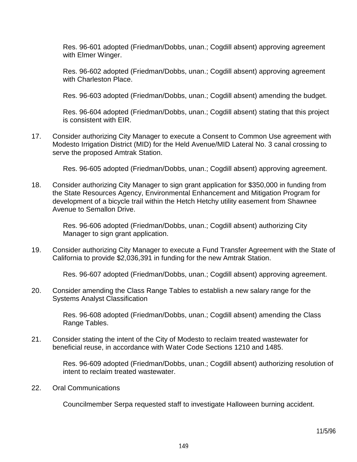Res. 96-601 adopted (Friedman/Dobbs, unan.; Cogdill absent) approving agreement with Elmer Winger.

 Res. 96-602 adopted (Friedman/Dobbs, unan.; Cogdill absent) approving agreement with Charleston Place.

Res. 96-603 adopted (Friedman/Dobbs, unan.; Cogdill absent) amending the budget.

 Res. 96-604 adopted (Friedman/Dobbs, unan.; Cogdill absent) stating that this project is consistent with EIR.

17. Consider authorizing City Manager to execute a Consent to Common Use agreement with Modesto Irrigation District (MID) for the Held Avenue/MID Lateral No. 3 canal crossing to serve the proposed Amtrak Station.

Res. 96-605 adopted (Friedman/Dobbs, unan.; Cogdill absent) approving agreement.

18. Consider authorizing City Manager to sign grant application for \$350,000 in funding from the State Resources Agency, Environmental Enhancement and Mitigation Program for development of a bicycle trail within the Hetch Hetchy utility easement from Shawnee Avenue to Semallon Drive.

> Res. 96-606 adopted (Friedman/Dobbs, unan.; Cogdill absent) authorizing City Manager to sign grant application.

19. Consider authorizing City Manager to execute a Fund Transfer Agreement with the State of California to provide \$2,036,391 in funding for the new Amtrak Station.

Res. 96-607 adopted (Friedman/Dobbs, unan.; Cogdill absent) approving agreement.

20. Consider amending the Class Range Tables to establish a new salary range for the Systems Analyst Classification

> Res. 96-608 adopted (Friedman/Dobbs, unan.; Cogdill absent) amending the Class Range Tables.

21. Consider stating the intent of the City of Modesto to reclaim treated wastewater for beneficial reuse, in accordance with Water Code Sections 1210 and 1485.

> Res. 96-609 adopted (Friedman/Dobbs, unan.; Cogdill absent) authorizing resolution of intent to reclaim treated wastewater.

22. Oral Communications

Councilmember Serpa requested staff to investigate Halloween burning accident.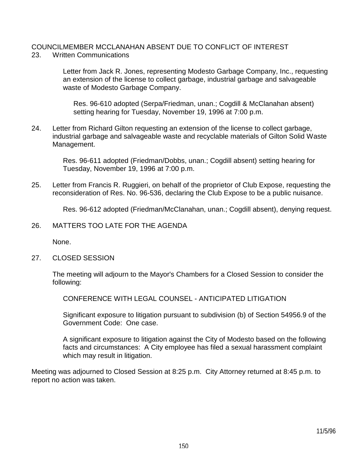#### COUNCILMEMBER MCCLANAHAN ABSENT DUE TO CONFLICT OF INTEREST 23. Written Communications

 Letter from Jack R. Jones, representing Modesto Garbage Company, Inc., requesting an extension of the license to collect garbage, industrial garbage and salvageable waste of Modesto Garbage Company.

 Res. 96-610 adopted (Serpa/Friedman, unan.; Cogdill & McClanahan absent) setting hearing for Tuesday, November 19, 1996 at 7:00 p.m.

24. Letter from Richard Gilton requesting an extension of the license to collect garbage, industrial garbage and salvageable waste and recyclable materials of Gilton Solid Waste Management.

> Res. 96-611 adopted (Friedman/Dobbs, unan.; Cogdill absent) setting hearing for Tuesday, November 19, 1996 at 7:00 p.m.

25. Letter from Francis R. Ruggieri, on behalf of the proprietor of Club Expose, requesting the reconsideration of Res. No. 96-536, declaring the Club Expose to be a public nuisance.

Res. 96-612 adopted (Friedman/McClanahan, unan.; Cogdill absent), denying request.

26. MATTERS TOO LATE FOR THE AGENDA

None.

27. CLOSED SESSION

 The meeting will adjourn to the Mayor's Chambers for a Closed Session to consider the following:

CONFERENCE WITH LEGAL COUNSEL - ANTICIPATED LITIGATION

 Significant exposure to litigation pursuant to subdivision (b) of Section 54956.9 of the Government Code: One case.

 A significant exposure to litigation against the City of Modesto based on the following facts and circumstances: A City employee has filed a sexual harassment complaint which may result in litigation.

Meeting was adjourned to Closed Session at 8:25 p.m. City Attorney returned at 8:45 p.m. to report no action was taken.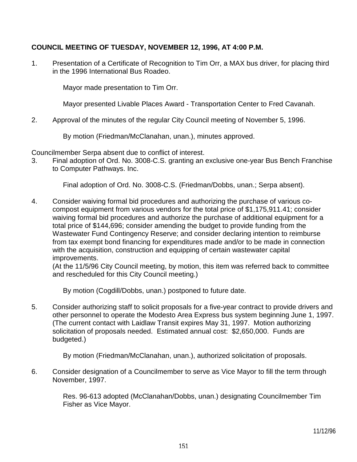# **COUNCIL MEETING OF TUESDAY, NOVEMBER 12, 1996, AT 4:00 P.M.**

1. Presentation of a Certificate of Recognition to Tim Orr, a MAX bus driver, for placing third in the 1996 International Bus Roadeo.

Mayor made presentation to Tim Orr.

Mayor presented Livable Places Award - Transportation Center to Fred Cavanah.

2. Approval of the minutes of the regular City Council meeting of November 5, 1996.

By motion (Friedman/McClanahan, unan.), minutes approved.

Councilmember Serpa absent due to conflict of interest.

3. Final adoption of Ord. No. 3008-C.S. granting an exclusive one-year Bus Bench Franchise to Computer Pathways. Inc.

Final adoption of Ord. No. 3008-C.S. (Friedman/Dobbs, unan.; Serpa absent).

4. Consider waiving formal bid procedures and authorizing the purchase of various cocompost equipment from various vendors for the total price of \$1,175,911.41; consider waiving formal bid procedures and authorize the purchase of additional equipment for a total price of \$144,696; consider amending the budget to provide funding from the Wastewater Fund Contingency Reserve; and consider declaring intention to reimburse from tax exempt bond financing for expenditures made and/or to be made in connection with the acquisition, construction and equipping of certain wastewater capital improvements.

 (At the 11/5/96 City Council meeting, by motion, this item was referred back to committee and rescheduled for this City Council meeting.)

By motion (Cogdill/Dobbs, unan.) postponed to future date.

5. Consider authorizing staff to solicit proposals for a five-year contract to provide drivers and other personnel to operate the Modesto Area Express bus system beginning June 1, 1997. (The current contact with Laidlaw Transit expires May 31, 1997. Motion authorizing solicitation of proposals needed. Estimated annual cost: \$2,650,000. Funds are budgeted.)

By motion (Friedman/McClanahan, unan.), authorized solicitation of proposals.

6. Consider designation of a Councilmember to serve as Vice Mayor to fill the term through November, 1997.

> Res. 96-613 adopted (McClanahan/Dobbs, unan.) designating Councilmember Tim Fisher as Vice Mayor.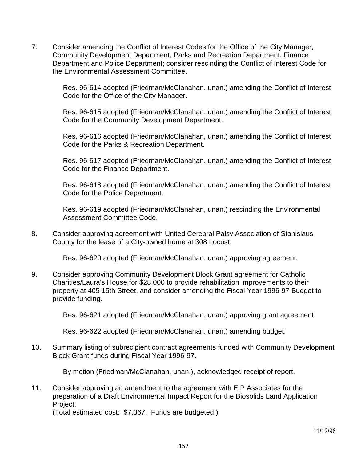7. Consider amending the Conflict of Interest Codes for the Office of the City Manager, Community Development Department, Parks and Recreation Department, Finance Department and Police Department; consider rescinding the Conflict of Interest Code for the Environmental Assessment Committee.

> Res. 96-614 adopted (Friedman/McClanahan, unan.) amending the Conflict of Interest Code for the Office of the City Manager.

> Res. 96-615 adopted (Friedman/McClanahan, unan.) amending the Conflict of Interest Code for the Community Development Department.

> Res. 96-616 adopted (Friedman/McClanahan, unan.) amending the Conflict of Interest Code for the Parks & Recreation Department.

> Res. 96-617 adopted (Friedman/McClanahan, unan.) amending the Conflict of Interest Code for the Finance Department.

> Res. 96-618 adopted (Friedman/McClanahan, unan.) amending the Conflict of Interest Code for the Police Department.

 Res. 96-619 adopted (Friedman/McClanahan, unan.) rescinding the Environmental Assessment Committee Code.

8. Consider approving agreement with United Cerebral Palsy Association of Stanislaus County for the lease of a City-owned home at 308 Locust.

Res. 96-620 adopted (Friedman/McClanahan, unan.) approving agreement.

9. Consider approving Community Development Block Grant agreement for Catholic Charities/Laura's House for \$28,000 to provide rehabilitation improvements to their property at 405 15th Street, and consider amending the Fiscal Year 1996-97 Budget to provide funding.

Res. 96-621 adopted (Friedman/McClanahan, unan.) approving grant agreement.

Res. 96-622 adopted (Friedman/McClanahan, unan.) amending budget.

10. Summary listing of subrecipient contract agreements funded with Community Development Block Grant funds during Fiscal Year 1996-97.

By motion (Friedman/McClanahan, unan.), acknowledged receipt of report.

11. Consider approving an amendment to the agreement with EIP Associates for the preparation of a Draft Environmental Impact Report for the Biosolids Land Application Project.

(Total estimated cost: \$7,367. Funds are budgeted.)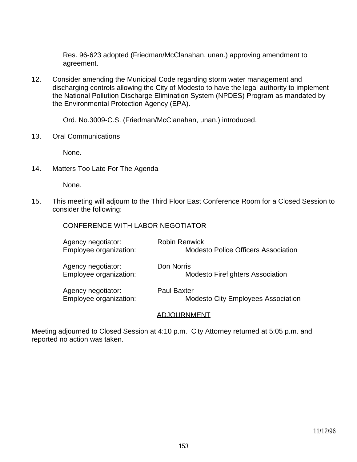Res. 96-623 adopted (Friedman/McClanahan, unan.) approving amendment to agreement.

12. Consider amending the Municipal Code regarding storm water management and discharging controls allowing the City of Modesto to have the legal authority to implement the National Pollution Discharge Elimination System (NPDES) Program as mandated by the Environmental Protection Agency (EPA).

Ord. No.3009-C.S. (Friedman/McClanahan, unan.) introduced.

13. Oral Communications

None.

14. Matters Too Late For The Agenda

None.

15. This meeting will adjourn to the Third Floor East Conference Room for a Closed Session to consider the following:

| Agency negotiator:     | <b>Robin Renwick</b>                       |
|------------------------|--------------------------------------------|
| Employee organization: | <b>Modesto Police Officers Association</b> |
| Agency negotiator:     | Don Norris                                 |
| Employee organization: | <b>Modesto Firefighters Association</b>    |
| Agency negotiator:     | <b>Paul Baxter</b>                         |
| Employee organization: | <b>Modesto City Employees Association</b>  |

#### ADJOURNMENT

Meeting adjourned to Closed Session at 4:10 p.m. City Attorney returned at 5:05 p.m. and reported no action was taken.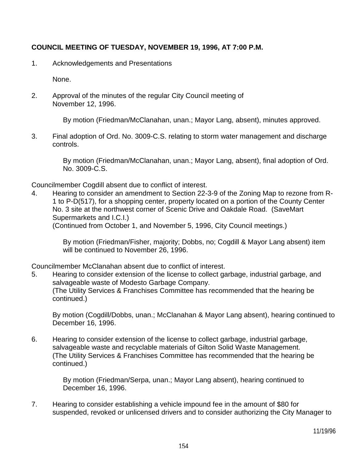# **COUNCIL MEETING OF TUESDAY, NOVEMBER 19, 1996, AT 7:00 P.M.**

1. Acknowledgements and Presentations

None.

2. Approval of the minutes of the regular City Council meeting of November 12, 1996.

By motion (Friedman/McClanahan, unan.; Mayor Lang, absent), minutes approved.

3. Final adoption of Ord. No. 3009-C.S. relating to storm water management and discharge controls.

> By motion (Friedman/McClanahan, unan.; Mayor Lang, absent), final adoption of Ord. No. 3009-C.S.

Councilmember Cogdill absent due to conflict of interest.

4. Hearing to consider an amendment to Section 22-3-9 of the Zoning Map to rezone from R-1 to P-D(517), for a shopping center, property located on a portion of the County Center No. 3 site at the northwest corner of Scenic Drive and Oakdale Road. (SaveMart Supermarkets and I.C.I.)

(Continued from October 1, and November 5, 1996, City Council meetings.)

 By motion (Friedman/Fisher, majority; Dobbs, no; Cogdill & Mayor Lang absent) item will be continued to November 26, 1996.

Councilmember McClanahan absent due to conflict of interest.

5. Hearing to consider extension of the license to collect garbage, industrial garbage, and salvageable waste of Modesto Garbage Company. (The Utility Services & Franchises Committee has recommended that the hearing be continued.)

 By motion (Cogdill/Dobbs, unan.; McClanahan & Mayor Lang absent), hearing continued to December 16, 1996.

6. Hearing to consider extension of the license to collect garbage, industrial garbage, salvageable waste and recyclable materials of Gilton Solid Waste Management. (The Utility Services & Franchises Committee has recommended that the hearing be continued.)

> By motion (Friedman/Serpa, unan.; Mayor Lang absent), hearing continued to December 16, 1996.

7. Hearing to consider establishing a vehicle impound fee in the amount of \$80 for suspended, revoked or unlicensed drivers and to consider authorizing the City Manager to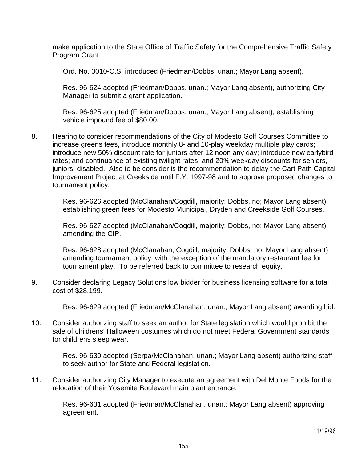make application to the State Office of Traffic Safety for the Comprehensive Traffic Safety Program Grant

Ord. No. 3010-C.S. introduced (Friedman/Dobbs, unan.; Mayor Lang absent).

 Res. 96-624 adopted (Friedman/Dobbs, unan.; Mayor Lang absent), authorizing City Manager to submit a grant application.

 Res. 96-625 adopted (Friedman/Dobbs, unan.; Mayor Lang absent), establishing vehicle impound fee of \$80.00.

8. Hearing to consider recommendations of the City of Modesto Golf Courses Committee to increase greens fees, introduce monthly 8- and 10-play weekday multiple play cards; introduce new 50% discount rate for juniors after 12 noon any day; introduce new earlybird rates; and continuance of existing twilight rates; and 20% weekday discounts for seniors, juniors, disabled. Also to be consider is the recommendation to delay the Cart Path Capital Improvement Project at Creekside until F.Y. 1997-98 and to approve proposed changes to tournament policy.

> Res. 96-626 adopted (McClanahan/Cogdill, majority; Dobbs, no; Mayor Lang absent) establishing green fees for Modesto Municipal, Dryden and Creekside Golf Courses.

> Res. 96-627 adopted (McClanahan/Cogdill, majority; Dobbs, no; Mayor Lang absent) amending the CIP.

> Res. 96-628 adopted (McClanahan, Cogdill, majority; Dobbs, no; Mayor Lang absent) amending tournament policy, with the exception of the mandatory restaurant fee for tournament play. To be referred back to committee to research equity.

9. Consider declaring Legacy Solutions low bidder for business licensing software for a total cost of \$28,199.

Res. 96-629 adopted (Friedman/McClanahan, unan.; Mayor Lang absent) awarding bid.

10. Consider authorizing staff to seek an author for State legislation which would prohibit the sale of childrens' Halloween costumes which do not meet Federal Government standards for childrens sleep wear.

> Res. 96-630 adopted (Serpa/McClanahan, unan.; Mayor Lang absent) authorizing staff to seek author for State and Federal legislation.

11. Consider authorizing City Manager to execute an agreement with Del Monte Foods for the relocation of their Yosemite Boulevard main plant entrance.

> Res. 96-631 adopted (Friedman/McClanahan, unan.; Mayor Lang absent) approving agreement.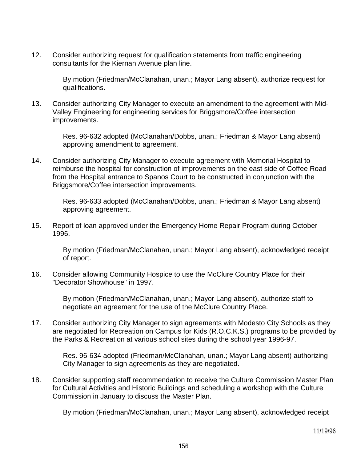12. Consider authorizing request for qualification statements from traffic engineering consultants for the Kiernan Avenue plan line.

> By motion (Friedman/McClanahan, unan.; Mayor Lang absent), authorize request for qualifications.

13. Consider authorizing City Manager to execute an amendment to the agreement with Mid-Valley Engineering for engineering services for Briggsmore/Coffee intersection improvements.

> Res. 96-632 adopted (McClanahan/Dobbs, unan.; Friedman & Mayor Lang absent) approving amendment to agreement.

14. Consider authorizing City Manager to execute agreement with Memorial Hospital to reimburse the hospital for construction of improvements on the east side of Coffee Road from the Hospital entrance to Spanos Court to be constructed in conjunction with the Briggsmore/Coffee intersection improvements.

> Res. 96-633 adopted (McClanahan/Dobbs, unan.; Friedman & Mayor Lang absent) approving agreement.

15. Report of loan approved under the Emergency Home Repair Program during October 1996.

> By motion (Friedman/McClanahan, unan.; Mayor Lang absent), acknowledged receipt of report.

16. Consider allowing Community Hospice to use the McClure Country Place for their "Decorator Showhouse" in 1997.

> By motion (Friedman/McClanahan, unan.; Mayor Lang absent), authorize staff to negotiate an agreement for the use of the McClure Country Place.

17. Consider authorizing City Manager to sign agreements with Modesto City Schools as they are negotiated for Recreation on Campus for Kids (R.O.C.K.S.) programs to be provided by the Parks & Recreation at various school sites during the school year 1996-97.

> Res. 96-634 adopted (Friedman/McClanahan, unan.; Mayor Lang absent) authorizing City Manager to sign agreements as they are negotiated.

18. Consider supporting staff recommendation to receive the Culture Commission Master Plan for Cultural Activities and Historic Buildings and scheduling a workshop with the Culture Commission in January to discuss the Master Plan.

By motion (Friedman/McClanahan, unan.; Mayor Lang absent), acknowledged receipt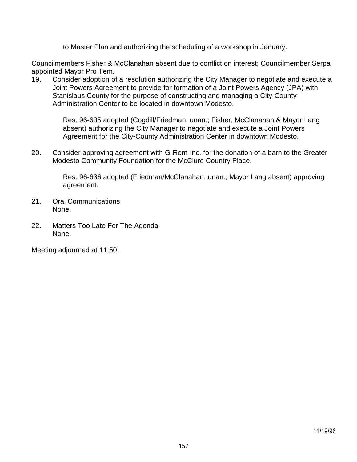to Master Plan and authorizing the scheduling of a workshop in January.

Councilmembers Fisher & McClanahan absent due to conflict on interest; Councilmember Serpa appointed Mayor Pro Tem.

19. Consider adoption of a resolution authorizing the City Manager to negotiate and execute a Joint Powers Agreement to provide for formation of a Joint Powers Agency (JPA) with Stanislaus County for the purpose of constructing and managing a City-County Administration Center to be located in downtown Modesto.

> Res. 96-635 adopted (Cogdill/Friedman, unan.; Fisher, McClanahan & Mayor Lang absent) authorizing the City Manager to negotiate and execute a Joint Powers Agreement for the City-County Administration Center in downtown Modesto.

20. Consider approving agreement with G-Rem-Inc. for the donation of a barn to the Greater Modesto Community Foundation for the McClure Country Place.

> Res. 96-636 adopted (Friedman/McClanahan, unan.; Mayor Lang absent) approving agreement.

- 21. Oral Communications None.
- 22. Matters Too Late For The Agenda None.

Meeting adjourned at 11:50.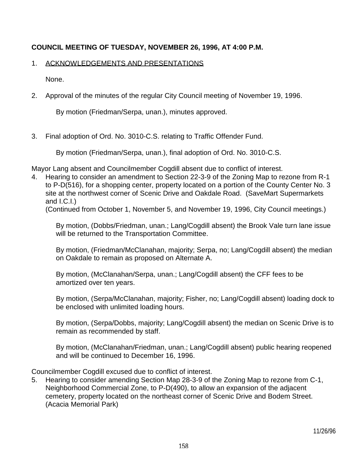# **COUNCIL MEETING OF TUESDAY, NOVEMBER 26, 1996, AT 4:00 P.M.**

### 1. ACKNOWLEDGEMENTS AND PRESENTATIONS

None.

2. Approval of the minutes of the regular City Council meeting of November 19, 1996.

By motion (Friedman/Serpa, unan.), minutes approved.

3. Final adoption of Ord. No. 3010-C.S. relating to Traffic Offender Fund.

By motion (Friedman/Serpa, unan.), final adoption of Ord. No. 3010-C.S.

Mayor Lang absent and Councilmember Cogdill absent due to conflict of interest.

4. Hearing to consider an amendment to Section 22-3-9 of the Zoning Map to rezone from R-1 to P-D(516), for a shopping center, property located on a portion of the County Center No. 3 site at the northwest corner of Scenic Drive and Oakdale Road. (SaveMart Supermarkets and I.C.I.)

(Continued from October 1, November 5, and November 19, 1996, City Council meetings.)

 By motion, (Dobbs/Friedman, unan.; Lang/Cogdill absent) the Brook Vale turn lane issue will be returned to the Transportation Committee.

 By motion, (Friedman/McClanahan, majority; Serpa, no; Lang/Cogdill absent) the median on Oakdale to remain as proposed on Alternate A.

 By motion, (McClanahan/Serpa, unan.; Lang/Cogdill absent) the CFF fees to be amortized over ten years.

 By motion, (Serpa/McClanahan, majority; Fisher, no; Lang/Cogdill absent) loading dock to be enclosed with unlimited loading hours.

 By motion, (Serpa/Dobbs, majority; Lang/Cogdill absent) the median on Scenic Drive is to remain as recommended by staff.

 By motion, (McClanahan/Friedman, unan.; Lang/Cogdill absent) public hearing reopened and will be continued to December 16, 1996.

Councilmember Cogdill excused due to conflict of interest.

5. Hearing to consider amending Section Map 28-3-9 of the Zoning Map to rezone from C-1, Neighborhood Commercial Zone, to P-D(490), to allow an expansion of the adjacent cemetery, property located on the northeast corner of Scenic Drive and Bodem Street. (Acacia Memorial Park)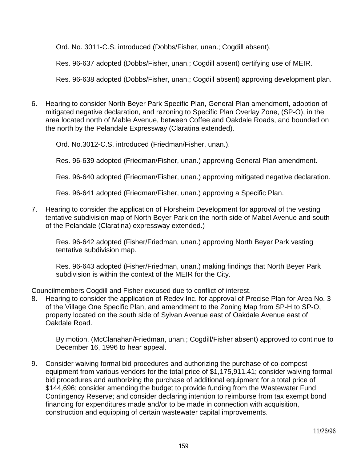Ord. No. 3011-C.S. introduced (Dobbs/Fisher, unan.; Cogdill absent).

Res. 96-637 adopted (Dobbs/Fisher, unan.; Cogdill absent) certifying use of MEIR.

Res. 96-638 adopted (Dobbs/Fisher, unan.; Cogdill absent) approving development plan.

6. Hearing to consider North Beyer Park Specific Plan, General Plan amendment, adoption of mitigated negative declaration, and rezoning to Specific Plan Overlay Zone, (SP-O), in the area located north of Mable Avenue, between Coffee and Oakdale Roads, and bounded on the north by the Pelandale Expressway (Claratina extended).

Ord. No.3012-C.S. introduced (Friedman/Fisher, unan.).

Res. 96-639 adopted (Friedman/Fisher, unan.) approving General Plan amendment.

Res. 96-640 adopted (Friedman/Fisher, unan.) approving mitigated negative declaration.

Res. 96-641 adopted (Friedman/Fisher, unan.) approving a Specific Plan.

7. Hearing to consider the application of Florsheim Development for approval of the vesting tentative subdivision map of North Beyer Park on the north side of Mabel Avenue and south of the Pelandale (Claratina) expressway extended.)

 Res. 96-642 adopted (Fisher/Friedman, unan.) approving North Beyer Park vesting tentative subdivision map.

 Res. 96-643 adopted (Fisher/Friedman, unan.) making findings that North Beyer Park subdivision is within the context of the MEIR for the City.

Councilmembers Cogdill and Fisher excused due to conflict of interest.

8. Hearing to consider the application of Redev Inc. for approval of Precise Plan for Area No. 3 of the Village One Specific Plan, and amendment to the Zoning Map from SP-H to SP-O, property located on the south side of Sylvan Avenue east of Oakdale Avenue east of Oakdale Road.

 By motion, (McClanahan/Friedman, unan.; Cogdill/Fisher absent) approved to continue to December 16, 1996 to hear appeal.

9. Consider waiving formal bid procedures and authorizing the purchase of co-compost equipment from various vendors for the total price of \$1,175,911.41; consider waiving formal bid procedures and authorizing the purchase of additional equipment for a total price of \$144,696; consider amending the budget to provide funding from the Wastewater Fund Contingency Reserve; and consider declaring intention to reimburse from tax exempt bond financing for expenditures made and/or to be made in connection with acquisition, construction and equipping of certain wastewater capital improvements.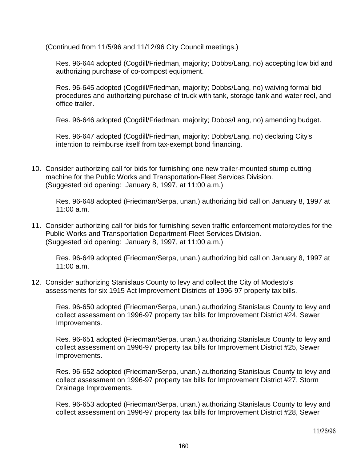(Continued from 11/5/96 and 11/12/96 City Council meetings.)

 Res. 96-644 adopted (Cogdill/Friedman, majority; Dobbs/Lang, no) accepting low bid and authorizing purchase of co-compost equipment.

 Res. 96-645 adopted (Cogdill/Friedman, majority; Dobbs/Lang, no) waiving formal bid procedures and authorizing purchase of truck with tank, storage tank and water reel, and office trailer.

Res. 96-646 adopted (Cogdill/Friedman, majority; Dobbs/Lang, no) amending budget.

 Res. 96-647 adopted (Cogdill/Friedman, majority; Dobbs/Lang, no) declaring City's intention to reimburse itself from tax-exempt bond financing.

10. Consider authorizing call for bids for furnishing one new trailer-mounted stump cutting machine for the Public Works and Transportation-Fleet Services Division. (Suggested bid opening: January 8, 1997, at 11:00 a.m.)

 Res. 96-648 adopted (Friedman/Serpa, unan.) authorizing bid call on January 8, 1997 at 11:00 a.m.

11. Consider authorizing call for bids for furnishing seven traffic enforcement motorcycles for the Public Works and Transportation Department-Fleet Services Division. (Suggested bid opening: January 8, 1997, at 11:00 a.m.)

 Res. 96-649 adopted (Friedman/Serpa, unan.) authorizing bid call on January 8, 1997 at 11:00 a.m.

12. Consider authorizing Stanislaus County to levy and collect the City of Modesto's assessments for six 1915 Act Improvement Districts of 1996-97 property tax bills.

 Res. 96-650 adopted (Friedman/Serpa, unan.) authorizing Stanislaus County to levy and collect assessment on 1996-97 property tax bills for Improvement District #24, Sewer Improvements.

 Res. 96-651 adopted (Friedman/Serpa, unan.) authorizing Stanislaus County to levy and collect assessment on 1996-97 property tax bills for Improvement District #25, Sewer Improvements.

 Res. 96-652 adopted (Friedman/Serpa, unan.) authorizing Stanislaus County to levy and collect assessment on 1996-97 property tax bills for Improvement District #27, Storm Drainage Improvements.

 Res. 96-653 adopted (Friedman/Serpa, unan.) authorizing Stanislaus County to levy and collect assessment on 1996-97 property tax bills for Improvement District #28, Sewer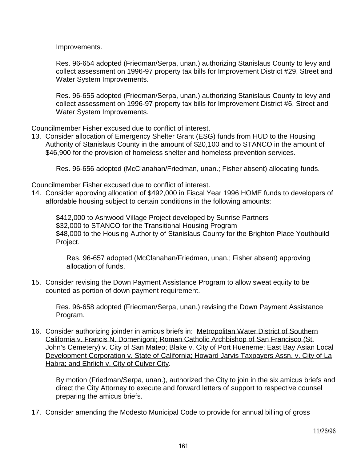Improvements.

 Res. 96-654 adopted (Friedman/Serpa, unan.) authorizing Stanislaus County to levy and collect assessment on 1996-97 property tax bills for Improvement District #29, Street and Water System Improvements.

 Res. 96-655 adopted (Friedman/Serpa, unan.) authorizing Stanislaus County to levy and collect assessment on 1996-97 property tax bills for Improvement District #6, Street and Water System Improvements.

Councilmember Fisher excused due to conflict of interest.

13. Consider allocation of Emergency Shelter Grant (ESG) funds from HUD to the Housing Authority of Stanislaus County in the amount of \$20,100 and to STANCO in the amount of \$46,900 for the provision of homeless shelter and homeless prevention services.

Res. 96-656 adopted (McClanahan/Friedman, unan.; Fisher absent) allocating funds.

Councilmember Fisher excused due to conflict of interest.

14. Consider approving allocation of \$492,000 in Fiscal Year 1996 HOME funds to developers of affordable housing subject to certain conditions in the following amounts:

 \$412,000 to Ashwood Village Project developed by Sunrise Partners \$32,000 to STANCO for the Transitional Housing Program \$48,000 to the Housing Authority of Stanislaus County for the Brighton Place Youthbuild Project.

 Res. 96-657 adopted (McClanahan/Friedman, unan.; Fisher absent) approving allocation of funds.

15. Consider revising the Down Payment Assistance Program to allow sweat equity to be counted as portion of down payment requirement.

 Res. 96-658 adopted (Friedman/Serpa, unan.) revising the Down Payment Assistance Program.

16. Consider authorizing joinder in amicus briefs in: Metropolitan Water District of Southern California v. Francis N. Domenigoni; Roman Catholic Archbishop of San Francisco (St. John's Cemetery) v. City of San Mateo; Blake v. City of Port Hueneme; East Bay Asian Local Development Corporation v. State of California; Howard Jarvis Taxpayers Assn. v. City of La Habra; and Ehrlich v. City of Culver City.

 By motion (Friedman/Serpa, unan.), authorized the City to join in the six amicus briefs and direct the City Attorney to execute and forward letters of support to respective counsel preparing the amicus briefs.

17. Consider amending the Modesto Municipal Code to provide for annual billing of gross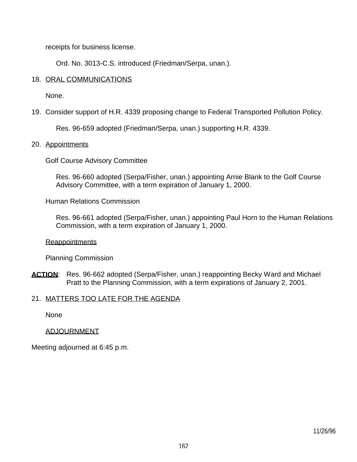receipts for business license.

Ord. No. 3013-C.S. introduced (Friedman/Serpa, unan.).

## 18. ORAL COMMUNICATIONS

None.

19. Consider support of H.R. 4339 proposing change to Federal Transported Pollution Policy.

Res. 96-659 adopted (Friedman/Serpa, unan.) supporting H.R. 4339.

#### 20. Appointments

Golf Course Advisory Committee

 Res. 96-660 adopted (Serpa/Fisher, unan.) appointing Arnie Blank to the Golf Course Advisory Committee, with a term expiration of January 1, 2000.

Human Relations Commission

 Res. 96-661 adopted (Serpa/Fisher, unan.) appointing Paul Horn to the Human Relations Commission, with a term expiration of January 1, 2000.

#### **Reappointments**

Planning Commission

ACTION: Res. 96-662 adopted (Serpa/Fisher, unan.) reappointing Becky Ward and Michael Pratt to the Planning Commission, with a term expirations of January 2, 2001.

#### 21. MATTERS TOO LATE FOR THE AGENDA

**None** 

#### ADJOURNMENT

Meeting adjourned at 6:45 p.m.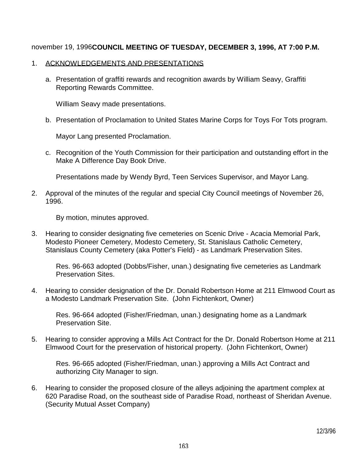## november 19, 1996**COUNCIL MEETING OF TUESDAY, DECEMBER 3, 1996, AT 7:00 P.M.**

#### 1. ACKNOWLEDGEMENTS AND PRESENTATIONS

 a. Presentation of graffiti rewards and recognition awards by William Seavy, Graffiti Reporting Rewards Committee.

William Seavy made presentations.

b. Presentation of Proclamation to United States Marine Corps for Toys For Tots program.

Mayor Lang presented Proclamation.

 c. Recognition of the Youth Commission for their participation and outstanding effort in the Make A Difference Day Book Drive.

Presentations made by Wendy Byrd, Teen Services Supervisor, and Mayor Lang.

2. Approval of the minutes of the regular and special City Council meetings of November 26, 1996.

By motion, minutes approved.

3. Hearing to consider designating five cemeteries on Scenic Drive - Acacia Memorial Park, Modesto Pioneer Cemetery, Modesto Cemetery, St. Stanislaus Catholic Cemetery, Stanislaus County Cemetery (aka Potter's Field) - as Landmark Preservation Sites.

 Res. 96-663 adopted (Dobbs/Fisher, unan.) designating five cemeteries as Landmark Preservation Sites.

4. Hearing to consider designation of the Dr. Donald Robertson Home at 211 Elmwood Court as a Modesto Landmark Preservation Site. (John Fichtenkort, Owner)

 Res. 96-664 adopted (Fisher/Friedman, unan.) designating home as a Landmark Preservation Site.

5. Hearing to consider approving a Mills Act Contract for the Dr. Donald Robertson Home at 211 Elmwood Court for the preservation of historical property. (John Fichtenkort, Owner)

 Res. 96-665 adopted (Fisher/Friedman, unan.) approving a Mills Act Contract and authorizing City Manager to sign.

6. Hearing to consider the proposed closure of the alleys adjoining the apartment complex at 620 Paradise Road, on the southeast side of Paradise Road, northeast of Sheridan Avenue. (Security Mutual Asset Company)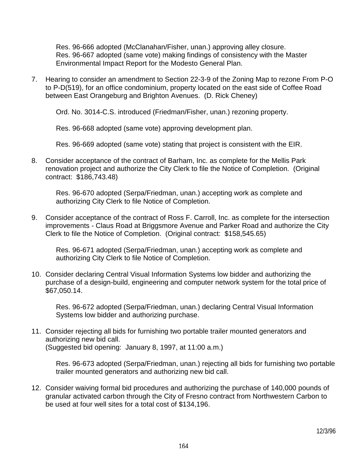Res. 96-666 adopted (McClanahan/Fisher, unan.) approving alley closure. Res. 96-667 adopted (same vote) making findings of consistency with the Master Environmental Impact Report for the Modesto General Plan.

7. Hearing to consider an amendment to Section 22-3-9 of the Zoning Map to rezone From P-O to P-D(519), for an office condominium, property located on the east side of Coffee Road between East Orangeburg and Brighton Avenues. (D. Rick Cheney)

Ord. No. 3014-C.S. introduced (Friedman/Fisher, unan.) rezoning property.

Res. 96-668 adopted (same vote) approving development plan.

Res. 96-669 adopted (same vote) stating that project is consistent with the EIR.

8. Consider acceptance of the contract of Barham, Inc. as complete for the Mellis Park renovation project and authorize the City Clerk to file the Notice of Completion. (Original contract: \$186,743.48)

 Res. 96-670 adopted (Serpa/Friedman, unan.) accepting work as complete and authorizing City Clerk to file Notice of Completion.

9. Consider acceptance of the contract of Ross F. Carroll, Inc. as complete for the intersection improvements - Claus Road at Briggsmore Avenue and Parker Road and authorize the City Clerk to file the Notice of Completion. (Original contract: \$158,545.65)

 Res. 96-671 adopted (Serpa/Friedman, unan.) accepting work as complete and authorizing City Clerk to file Notice of Completion.

10. Consider declaring Central Visual Information Systems low bidder and authorizing the purchase of a design-build, engineering and computer network system for the total price of \$67,050.14.

 Res. 96-672 adopted (Serpa/Friedman, unan.) declaring Central Visual Information Systems low bidder and authorizing purchase.

11. Consider rejecting all bids for furnishing two portable trailer mounted generators and authorizing new bid call. (Suggested bid opening: January 8, 1997, at 11:00 a.m.)

 Res. 96-673 adopted (Serpa/Friedman, unan.) rejecting all bids for furnishing two portable trailer mounted generators and authorizing new bid call.

12. Consider waiving formal bid procedures and authorizing the purchase of 140,000 pounds of granular activated carbon through the City of Fresno contract from Northwestern Carbon to be used at four well sites for a total cost of \$134,196.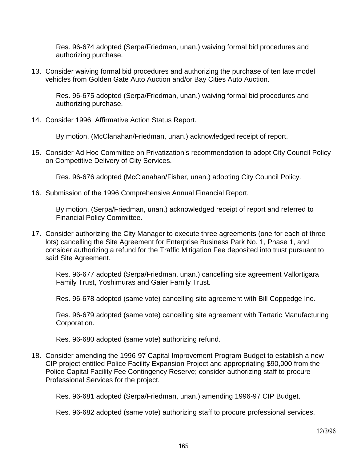Res. 96-674 adopted (Serpa/Friedman, unan.) waiving formal bid procedures and authorizing purchase.

13. Consider waiving formal bid procedures and authorizing the purchase of ten late model vehicles from Golden Gate Auto Auction and/or Bay Cities Auto Auction.

 Res. 96-675 adopted (Serpa/Friedman, unan.) waiving formal bid procedures and authorizing purchase.

14. Consider 1996 Affirmative Action Status Report.

By motion, (McClanahan/Friedman, unan.) acknowledged receipt of report.

15. Consider Ad Hoc Committee on Privatization's recommendation to adopt City Council Policy on Competitive Delivery of City Services.

Res. 96-676 adopted (McClanahan/Fisher, unan.) adopting City Council Policy.

16. Submission of the 1996 Comprehensive Annual Financial Report.

 By motion, (Serpa/Friedman, unan.) acknowledged receipt of report and referred to Financial Policy Committee.

17. Consider authorizing the City Manager to execute three agreements (one for each of three lots) cancelling the Site Agreement for Enterprise Business Park No. 1, Phase 1, and consider authorizing a refund for the Traffic Mitigation Fee deposited into trust pursuant to said Site Agreement.

 Res. 96-677 adopted (Serpa/Friedman, unan.) cancelling site agreement Vallortigara Family Trust, Yoshimuras and Gaier Family Trust.

Res. 96-678 adopted (same vote) cancelling site agreement with Bill Coppedge Inc.

 Res. 96-679 adopted (same vote) cancelling site agreement with Tartaric Manufacturing Corporation.

Res. 96-680 adopted (same vote) authorizing refund.

18. Consider amending the 1996-97 Capital Improvement Program Budget to establish a new CIP project entitled Police Facility Expansion Project and appropriating \$90,000 from the Police Capital Facility Fee Contingency Reserve; consider authorizing staff to procure Professional Services for the project.

Res. 96-681 adopted (Serpa/Friedman, unan.) amending 1996-97 CIP Budget.

Res. 96-682 adopted (same vote) authorizing staff to procure professional services.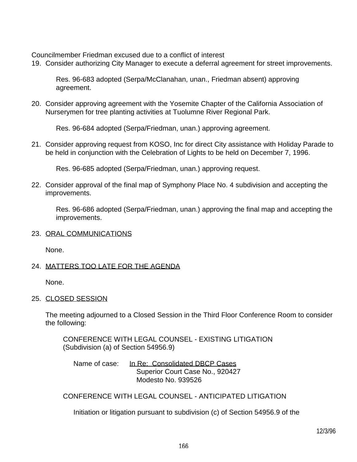Councilmember Friedman excused due to a conflict of interest

19. Consider authorizing City Manager to execute a deferral agreement for street improvements.

 Res. 96-683 adopted (Serpa/McClanahan, unan., Friedman absent) approving agreement.

20. Consider approving agreement with the Yosemite Chapter of the California Association of Nurserymen for tree planting activities at Tuolumne River Regional Park.

Res. 96-684 adopted (Serpa/Friedman, unan.) approving agreement.

21. Consider approving request from KOSO, Inc for direct City assistance with Holiday Parade to be held in conjunction with the Celebration of Lights to be held on December 7, 1996.

Res. 96-685 adopted (Serpa/Friedman, unan.) approving request.

22. Consider approval of the final map of Symphony Place No. 4 subdivision and accepting the improvements.

 Res. 96-686 adopted (Serpa/Friedman, unan.) approving the final map and accepting the improvements.

#### 23. ORAL COMMUNICATIONS

None.

## 24. MATTERS TOO LATE FOR THE AGENDA

None.

#### 25. CLOSED SESSION

 The meeting adjourned to a Closed Session in the Third Floor Conference Room to consider the following:

 CONFERENCE WITH LEGAL COUNSEL - EXISTING LITIGATION (Subdivision (a) of Section 54956.9)

Name of case: In Re: Consolidated DBCP Cases Superior Court Case No., 920427 Modesto No. 939526

CONFERENCE WITH LEGAL COUNSEL - ANTICIPATED LITIGATION

Initiation or litigation pursuant to subdivision (c) of Section 54956.9 of the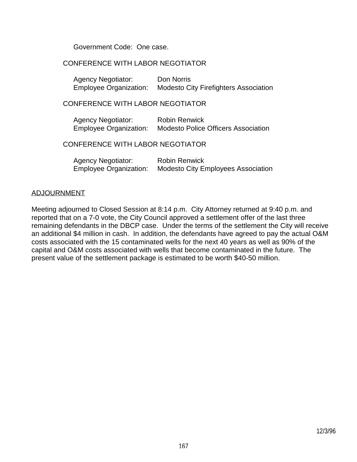Government Code: One case.

### CONFERENCE WITH LABOR NEGOTIATOR

| <b>Agency Negotiator:</b>     | Don Norris                                   |
|-------------------------------|----------------------------------------------|
| <b>Employee Organization:</b> | <b>Modesto City Firefighters Association</b> |

#### CONFERENCE WITH LABOR NEGOTIATOR

| <b>Agency Negotiator:</b>     | <b>Robin Renwick</b>                       |
|-------------------------------|--------------------------------------------|
| <b>Employee Organization:</b> | <b>Modesto Police Officers Association</b> |

### CONFERENCE WITH LABOR NEGOTIATOR

| <b>Agency Negotiator:</b> | <b>Robin Renwick</b>                      |
|---------------------------|-------------------------------------------|
| Employee Organization:    | <b>Modesto City Employees Association</b> |

#### ADJOURNMENT

Meeting adjourned to Closed Session at 8:14 p.m. City Attorney returned at 9:40 p.m. and reported that on a 7-0 vote, the City Council approved a settlement offer of the last three remaining defendants in the DBCP case. Under the terms of the settlement the City will receive an additional \$4 million in cash. In addition, the defendants have agreed to pay the actual O&M costs associated with the 15 contaminated wells for the next 40 years as well as 90% of the capital and O&M costs associated with wells that become contaminated in the future. The present value of the settlement package is estimated to be worth \$40-50 million.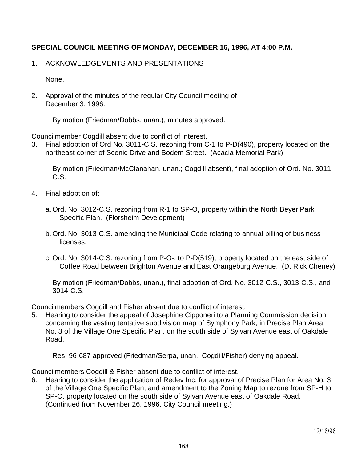# **SPECIAL COUNCIL MEETING OF MONDAY, DECEMBER 16, 1996, AT 4:00 P.M.**

### 1. ACKNOWLEDGEMENTS AND PRESENTATIONS

None.

2. Approval of the minutes of the regular City Council meeting of December 3, 1996.

By motion (Friedman/Dobbs, unan.), minutes approved.

Councilmember Cogdill absent due to conflict of interest.

3. Final adoption of Ord No. 3011-C.S. rezoning from C-1 to P-D(490), property located on the northeast corner of Scenic Drive and Bodem Street. (Acacia Memorial Park)

 By motion (Friedman/McClanahan, unan.; Cogdill absent), final adoption of Ord. No. 3011- C.S.

- 4. Final adoption of:
	- a. Ord. No. 3012-C.S. rezoning from R-1 to SP-O, property within the North Beyer Park Specific Plan. (Florsheim Development)
	- b. Ord. No. 3013-C.S. amending the Municipal Code relating to annual billing of business licenses.
	- c. Ord. No. 3014-C.S. rezoning from P-O-, to P-D(519), property located on the east side of Coffee Road between Brighton Avenue and East Orangeburg Avenue. (D. Rick Cheney)

 By motion (Friedman/Dobbs, unan.), final adoption of Ord. No. 3012-C.S., 3013-C.S., and 3014-C.S.

Councilmembers Cogdill and Fisher absent due to conflict of interest.

5. Hearing to consider the appeal of Josephine Cipponeri to a Planning Commission decision concerning the vesting tentative subdivision map of Symphony Park, in Precise Plan Area No. 3 of the Village One Specific Plan, on the south side of Sylvan Avenue east of Oakdale Road.

Res. 96-687 approved (Friedman/Serpa, unan.; Cogdill/Fisher) denying appeal.

Councilmembers Cogdill & Fisher absent due to conflict of interest.

6. Hearing to consider the application of Redev Inc. for approval of Precise Plan for Area No. 3 of the Village One Specific Plan, and amendment to the Zoning Map to rezone from SP-H to SP-O, property located on the south side of Sylvan Avenue east of Oakdale Road. (Continued from November 26, 1996, City Council meeting.)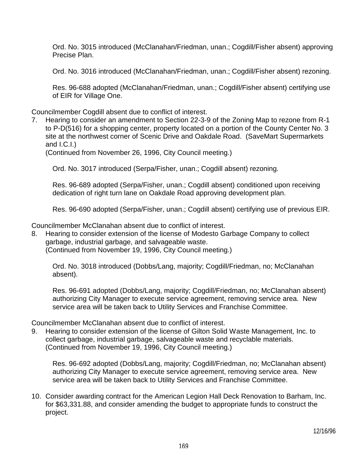Ord. No. 3015 introduced (McClanahan/Friedman, unan.; Cogdill/Fisher absent) approving Precise Plan.

Ord. No. 3016 introduced (McClanahan/Friedman, unan.; Cogdill/Fisher absent) rezoning.

 Res. 96-688 adopted (McClanahan/Friedman, unan.; Cogdill/Fisher absent) certifying use of EIR for Village One.

Councilmember Cogdill absent due to conflict of interest.

7. Hearing to consider an amendment to Section 22-3-9 of the Zoning Map to rezone from R-1 to P-D(516) for a shopping center, property located on a portion of the County Center No. 3 site at the northwest corner of Scenic Drive and Oakdale Road. (SaveMart Supermarkets and I.C.I.)

(Continued from November 26, 1996, City Council meeting.)

Ord. No. 3017 introduced (Serpa/Fisher, unan.; Cogdill absent) rezoning.

 Res. 96-689 adopted (Serpa/Fisher, unan.; Cogdill absent) conditioned upon receiving dedication of right turn lane on Oakdale Road approving development plan.

Res. 96-690 adopted (Serpa/Fisher, unan.; Cogdill absent) certifying use of previous EIR.

Councilmember McClanahan absent due to conflict of interest.

8. Hearing to consider extension of the license of Modesto Garbage Company to collect garbage, industrial garbage, and salvageable waste. (Continued from November 19, 1996, City Council meeting.)

 Ord. No. 3018 introduced (Dobbs/Lang, majority; Cogdill/Friedman, no; McClanahan absent).

 Res. 96-691 adopted (Dobbs/Lang, majority; Cogdill/Friedman, no; McClanahan absent) authorizing City Manager to execute service agreement, removing service area. New service area will be taken back to Utility Services and Franchise Committee.

Councilmember McClanahan absent due to conflict of interest.

9. Hearing to consider extension of the license of Gilton Solid Waste Management, Inc. to collect garbage, industrial garbage, salvageable waste and recyclable materials. (Continued from November 19, 1996, City Council meeting.)

 Res. 96-692 adopted (Dobbs/Lang, majority; Cogdill/Friedman, no; McClanahan absent) authorizing City Manager to execute service agreement, removing service area. New service area will be taken back to Utility Services and Franchise Committee.

10. Consider awarding contract for the American Legion Hall Deck Renovation to Barham, Inc. for \$63,331.88, and consider amending the budget to appropriate funds to construct the project.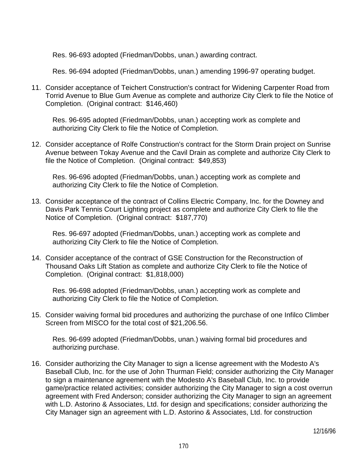Res. 96-693 adopted (Friedman/Dobbs, unan.) awarding contract.

Res. 96-694 adopted (Friedman/Dobbs, unan.) amending 1996-97 operating budget.

11. Consider acceptance of Teichert Construction's contract for Widening Carpenter Road from Torrid Avenue to Blue Gum Avenue as complete and authorize City Clerk to file the Notice of Completion. (Original contract: \$146,460)

 Res. 96-695 adopted (Friedman/Dobbs, unan.) accepting work as complete and authorizing City Clerk to file the Notice of Completion.

12. Consider acceptance of Rolfe Construction's contract for the Storm Drain project on Sunrise Avenue between Tokay Avenue and the Cavil Drain as complete and authorize City Clerk to file the Notice of Completion. (Original contract: \$49,853)

 Res. 96-696 adopted (Friedman/Dobbs, unan.) accepting work as complete and authorizing City Clerk to file the Notice of Completion.

13. Consider acceptance of the contract of Collins Electric Company, Inc. for the Downey and Davis Park Tennis Court Lighting project as complete and authorize City Clerk to file the Notice of Completion. (Original contract: \$187,770)

 Res. 96-697 adopted (Friedman/Dobbs, unan.) accepting work as complete and authorizing City Clerk to file the Notice of Completion.

14. Consider acceptance of the contract of GSE Construction for the Reconstruction of Thousand Oaks Lift Station as complete and authorize City Clerk to file the Notice of Completion. (Original contract: \$1,818,000)

 Res. 96-698 adopted (Friedman/Dobbs, unan.) accepting work as complete and authorizing City Clerk to file the Notice of Completion.

15. Consider waiving formal bid procedures and authorizing the purchase of one Infilco Climber Screen from MISCO for the total cost of \$21,206.56.

 Res. 96-699 adopted (Friedman/Dobbs, unan.) waiving formal bid procedures and authorizing purchase.

16. Consider authorizing the City Manager to sign a license agreement with the Modesto A's Baseball Club, Inc. for the use of John Thurman Field; consider authorizing the City Manager to sign a maintenance agreement with the Modesto A's Baseball Club, Inc. to provide game/practice related activities; consider authorizing the City Manager to sign a cost overrun agreement with Fred Anderson; consider authorizing the City Manager to sign an agreement with L.D. Astorino & Associates, Ltd. for design and specifications; consider authorizing the City Manager sign an agreement with L.D. Astorino & Associates, Ltd. for construction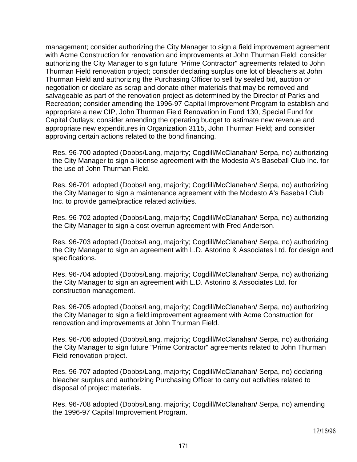management; consider authorizing the City Manager to sign a field improvement agreement with Acme Construction for renovation and improvements at John Thurman Field; consider authorizing the City Manager to sign future "Prime Contractor" agreements related to John Thurman Field renovation project; consider declaring surplus one lot of bleachers at John Thurman Field and authorizing the Purchasing Officer to sell by sealed bid, auction or negotiation or declare as scrap and donate other materials that may be removed and salvageable as part of the renovation project as determined by the Director of Parks and Recreation; consider amending the 1996-97 Capital Improvement Program to establish and appropriate a new CIP, John Thurman Field Renovation in Fund 130, Special Fund for Capital Outlays; consider amending the operating budget to estimate new revenue and appropriate new expenditures in Organization 3115, John Thurman Field; and consider approving certain actions related to the bond financing.

 Res. 96-700 adopted (Dobbs/Lang, majority; Cogdill/McClanahan/ Serpa, no) authorizing the City Manager to sign a license agreement with the Modesto A's Baseball Club Inc. for the use of John Thurman Field.

 Res. 96-701 adopted (Dobbs/Lang, majority; Cogdill/McClanahan/ Serpa, no) authorizing the City Manager to sign a maintenance agreement with the Modesto A's Baseball Club Inc. to provide game/practice related activities.

 Res. 96-702 adopted (Dobbs/Lang, majority; Cogdill/McClanahan/ Serpa, no) authorizing the City Manager to sign a cost overrun agreement with Fred Anderson.

 Res. 96-703 adopted (Dobbs/Lang, majority; Cogdill/McClanahan/ Serpa, no) authorizing the City Manager to sign an agreement with L.D. Astorino & Associates Ltd. for design and specifications.

 Res. 96-704 adopted (Dobbs/Lang, majority; Cogdill/McClanahan/ Serpa, no) authorizing the City Manager to sign an agreement with L.D. Astorino & Associates Ltd. for construction management.

 Res. 96-705 adopted (Dobbs/Lang, majority; Cogdill/McClanahan/ Serpa, no) authorizing the City Manager to sign a field improvement agreement with Acme Construction for renovation and improvements at John Thurman Field.

 Res. 96-706 adopted (Dobbs/Lang, majority; Cogdill/McClanahan/ Serpa, no) authorizing the City Manager to sign future "Prime Contractor" agreements related to John Thurman Field renovation project.

 Res. 96-707 adopted (Dobbs/Lang, majority; Cogdill/McClanahan/ Serpa, no) declaring bleacher surplus and authorizing Purchasing Officer to carry out activities related to disposal of project materials.

 Res. 96-708 adopted (Dobbs/Lang, majority; Cogdill/McClanahan/ Serpa, no) amending the 1996-97 Capital Improvement Program.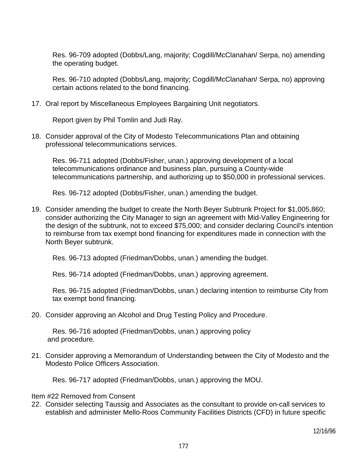Res. 96-709 adopted (Dobbs/Lang, majority; Cogdill/McClanahan/ Serpa, no) amending the operating budget.

 Res. 96-710 adopted (Dobbs/Lang, majority; Cogdill/McClanahan/ Serpa, no) approving certain actions related to the bond financing.

17. Oral report by Miscellaneous Employees Bargaining Unit negotiators.

Report given by Phil Tomlin and Judi Ray.

18. Consider approval of the City of Modesto Telecommunications Plan and obtaining professional telecommunications services.

 Res. 96-711 adopted (Dobbs/Fisher, unan.) approving development of a local telecommunications ordinance and business plan, pursuing a County-wide telecommunications partnership, and authorizing up to \$50,000 in professional services.

Res. 96-712 adopted (Dobbs/Fisher, unan.) amending the budget.

19. Consider amending the budget to create the North Beyer Subtrunk Project for \$1,005,860; consider authorizing the City Manager to sign an agreement with Mid-Valley Engineering for the design of the subtrunk, not to exceed \$75,000; and consider declaring Council's intention to reimburse from tax exempt bond financing for expenditures made in connection with the North Beyer subtrunk.

Res. 96-713 adopted (Friedman/Dobbs, unan.) amending the budget.

Res. 96-714 adopted (Friedman/Dobbs, unan.) approving agreement.

 Res. 96-715 adopted (Friedman/Dobbs, unan.) declaring intention to reimburse City from tax exempt bond financing.

20. Consider approving an Alcohol and Drug Testing Policy and Procedure.

 Res. 96-716 adopted (Friedman/Dobbs, unan.) approving policy and procedure.

21. Consider approving a Memorandum of Understanding between the City of Modesto and the Modesto Police Officers Association.

Res. 96-717 adopted (Friedman/Dobbs, unan.) approving the MOU.

#### Item #22 Removed from Consent

22. Consider selecting Taussig and Associates as the consultant to provide on-call services to establish and administer Mello-Roos Community Facilities Districts (CFD) in future specific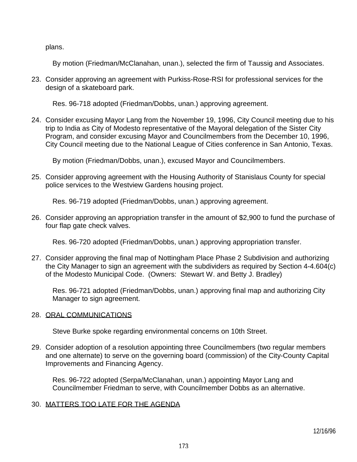plans.

By motion (Friedman/McClanahan, unan.), selected the firm of Taussig and Associates.

23. Consider approving an agreement with Purkiss-Rose-RSI for professional services for the design of a skateboard park.

Res. 96-718 adopted (Friedman/Dobbs, unan.) approving agreement.

24. Consider excusing Mayor Lang from the November 19, 1996, City Council meeting due to his trip to India as City of Modesto representative of the Mayoral delegation of the Sister City Program, and consider excusing Mayor and Councilmembers from the December 10, 1996, City Council meeting due to the National League of Cities conference in San Antonio, Texas.

By motion (Friedman/Dobbs, unan.), excused Mayor and Councilmembers.

25. Consider approving agreement with the Housing Authority of Stanislaus County for special police services to the Westview Gardens housing project.

Res. 96-719 adopted (Friedman/Dobbs, unan.) approving agreement.

26. Consider approving an appropriation transfer in the amount of \$2,900 to fund the purchase of four flap gate check valves.

Res. 96-720 adopted (Friedman/Dobbs, unan.) approving appropriation transfer.

27. Consider approving the final map of Nottingham Place Phase 2 Subdivision and authorizing the City Manager to sign an agreement with the subdividers as required by Section 4-4.604(c) of the Modesto Municipal Code. (Owners: Stewart W. and Betty J. Bradley)

 Res. 96-721 adopted (Friedman/Dobbs, unan.) approving final map and authorizing City Manager to sign agreement.

# 28. ORAL COMMUNICATIONS

Steve Burke spoke regarding environmental concerns on 10th Street.

29. Consider adoption of a resolution appointing three Councilmembers (two regular members and one alternate) to serve on the governing board (commission) of the City-County Capital Improvements and Financing Agency.

 Res. 96-722 adopted (Serpa/McClanahan, unan.) appointing Mayor Lang and Councilmember Friedman to serve, with Councilmember Dobbs as an alternative.

## 30. MATTERS TOO LATE FOR THE AGENDA